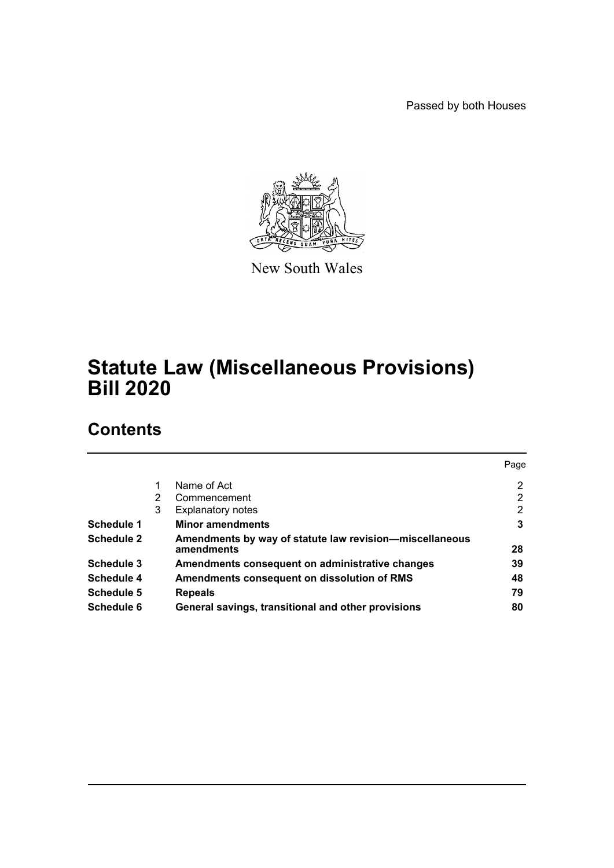Passed by both Houses



New South Wales

# **Statute Law (Miscellaneous Provisions) Bill 2020**

# **Contents**

|            |   |                                                                       | Page |
|------------|---|-----------------------------------------------------------------------|------|
|            |   | Name of Act                                                           | 2    |
|            | 2 | Commencement                                                          | 2    |
|            | 3 | <b>Explanatory notes</b>                                              | 2    |
| Schedule 1 |   | <b>Minor amendments</b>                                               | 3    |
| Schedule 2 |   | Amendments by way of statute law revision-miscellaneous<br>amendments | 28   |
| Schedule 3 |   | Amendments consequent on administrative changes                       | 39   |
| Schedule 4 |   | Amendments consequent on dissolution of RMS                           | 48   |
| Schedule 5 |   | <b>Repeals</b>                                                        | 79   |
| Schedule 6 |   | General savings, transitional and other provisions                    | 80   |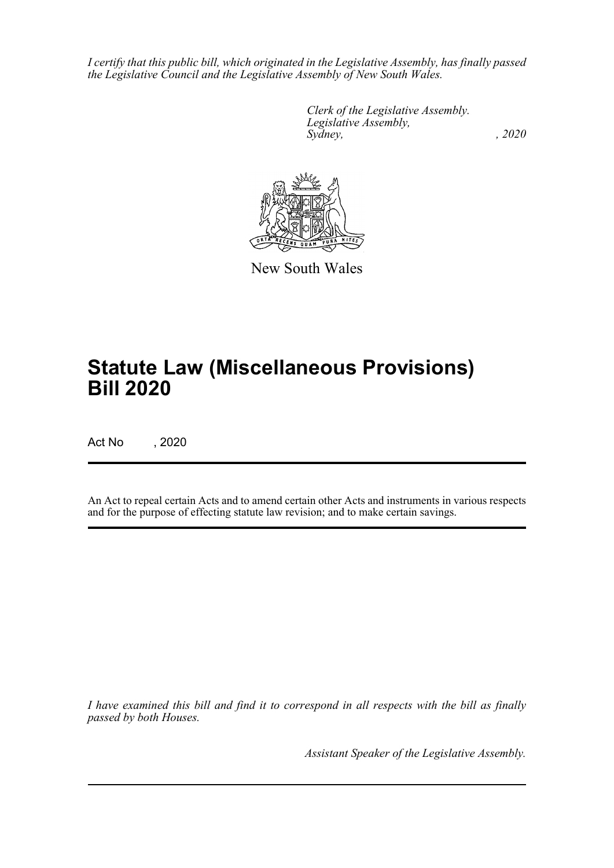*I certify that this public bill, which originated in the Legislative Assembly, has finally passed the Legislative Council and the Legislative Assembly of New South Wales.*

> *Clerk of the Legislative Assembly. Legislative Assembly, Sydney, , 2020*



New South Wales

# **Statute Law (Miscellaneous Provisions) Bill 2020**

Act No , 2020

An Act to repeal certain Acts and to amend certain other Acts and instruments in various respects and for the purpose of effecting statute law revision; and to make certain savings.

*I have examined this bill and find it to correspond in all respects with the bill as finally passed by both Houses.*

*Assistant Speaker of the Legislative Assembly.*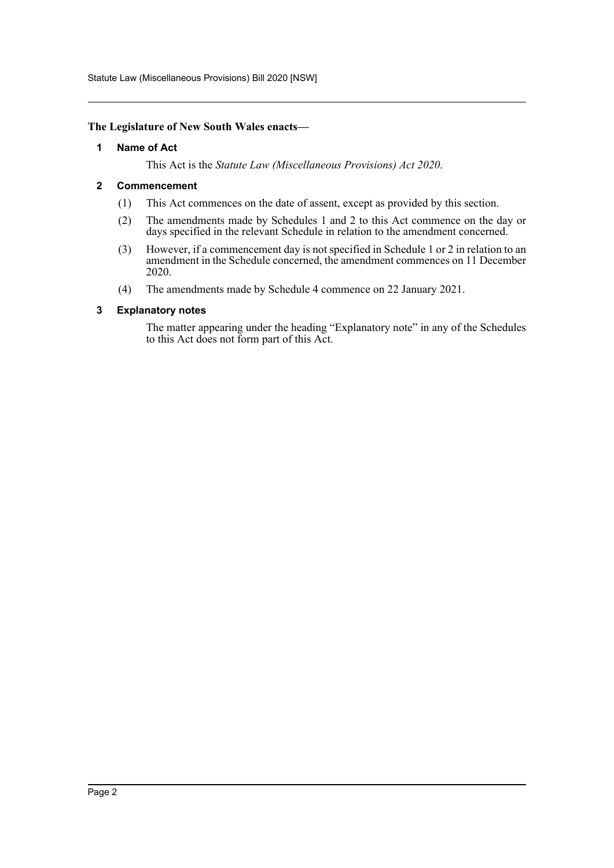Statute Law (Miscellaneous Provisions) Bill 2020 [NSW]

### <span id="page-2-0"></span>**The Legislature of New South Wales enacts—**

### **1 Name of Act**

This Act is the *Statute Law (Miscellaneous Provisions) Act 2020*.

### <span id="page-2-1"></span>**2 Commencement**

- (1) This Act commences on the date of assent, except as provided by this section.
- (2) The amendments made by Schedules 1 and 2 to this Act commence on the day or days specified in the relevant Schedule in relation to the amendment concerned.
- (3) However, if a commencement day is not specified in Schedule 1 or 2 in relation to an amendment in the Schedule concerned, the amendment commences on 11 December 2020.
- (4) The amendments made by Schedule 4 commence on 22 January 2021.

### <span id="page-2-2"></span>**3 Explanatory notes**

The matter appearing under the heading "Explanatory note" in any of the Schedules to this Act does not form part of this Act.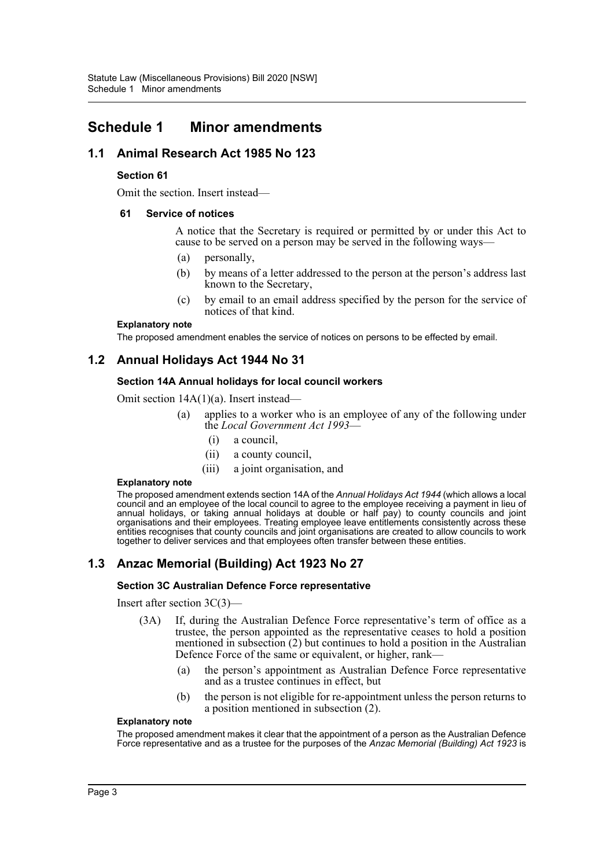# <span id="page-3-0"></span>**Schedule 1 Minor amendments**

# **1.1 Animal Research Act 1985 No 123**

### **Section 61**

Omit the section. Insert instead—

### **61 Service of notices**

A notice that the Secretary is required or permitted by or under this Act to cause to be served on a person may be served in the following ways—

- (a) personally,
- (b) by means of a letter addressed to the person at the person's address last known to the Secretary,
- (c) by email to an email address specified by the person for the service of notices of that kind.

#### **Explanatory note**

The proposed amendment enables the service of notices on persons to be effected by email.

# **1.2 Annual Holidays Act 1944 No 31**

### **Section 14A Annual holidays for local council workers**

Omit section 14A(1)(a). Insert instead—

- (a) applies to a worker who is an employee of any of the following under the *Local Government Act 1993*—
	- (i) a council,
	- (ii) a county council,
	- (iii) a joint organisation, and

#### **Explanatory note**

The proposed amendment extends section 14A of the *Annual Holidays Act 1944* (which allows a local council and an employee of the local council to agree to the employee receiving a payment in lieu of annual holidays, or taking annual holidays at double or half pay) to county councils and joint organisations and their employees. Treating employee leave entitlements consistently across these entities recognises that county councils and joint organisations are created to allow councils to work together to deliver services and that employees often transfer between these entities.

# **1.3 Anzac Memorial (Building) Act 1923 No 27**

### **Section 3C Australian Defence Force representative**

Insert after section 3C(3)—

- (3A) If, during the Australian Defence Force representative's term of office as a trustee, the person appointed as the representative ceases to hold a position mentioned in subsection (2) but continues to hold a position in the Australian Defence Force of the same or equivalent, or higher, rank—
	- (a) the person's appointment as Australian Defence Force representative and as a trustee continues in effect, but
	- (b) the person is not eligible for re-appointment unless the person returns to a position mentioned in subsection (2).

#### **Explanatory note**

The proposed amendment makes it clear that the appointment of a person as the Australian Defence Force representative and as a trustee for the purposes of the *Anzac Memorial (Building) Act 1923* is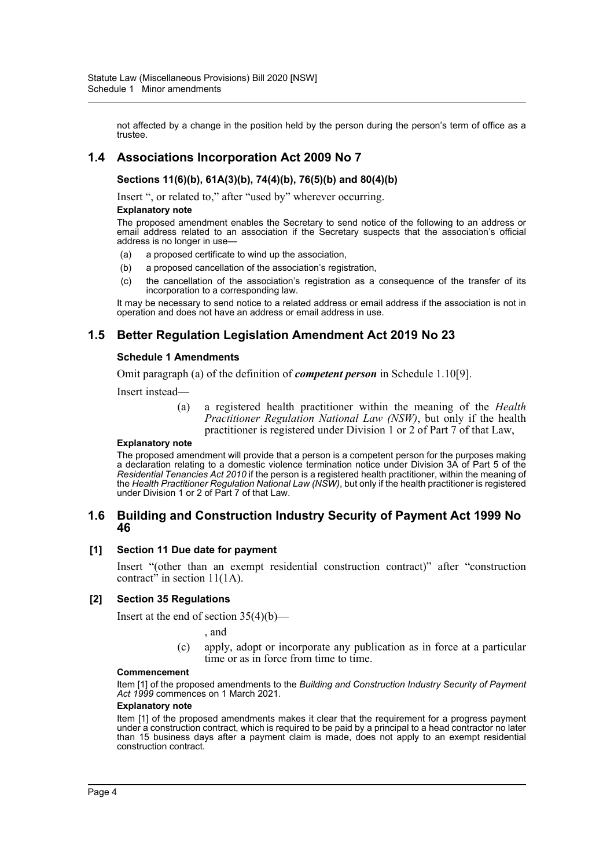not affected by a change in the position held by the person during the person's term of office as a trustee.

# **1.4 Associations Incorporation Act 2009 No 7**

### **Sections 11(6)(b), 61A(3)(b), 74(4)(b), 76(5)(b) and 80(4)(b)**

Insert ", or related to," after "used by" wherever occurring.

#### **Explanatory note**

The proposed amendment enables the Secretary to send notice of the following to an address or email address related to an association if the Secretary suspects that the association's official address is no longer in use—

- (a) a proposed certificate to wind up the association,
- (b) a proposed cancellation of the association's registration,
- (c) the cancellation of the association's registration as a consequence of the transfer of its incorporation to a corresponding law.

It may be necessary to send notice to a related address or email address if the association is not in operation and does not have an address or email address in use.

# **1.5 Better Regulation Legislation Amendment Act 2019 No 23**

#### **Schedule 1 Amendments**

Omit paragraph (a) of the definition of *competent person* in Schedule 1.10[9].

Insert instead—

(a) a registered health practitioner within the meaning of the *Health Practitioner Regulation National Law (NSW)*, but only if the health practitioner is registered under Division 1 or 2 of Part 7 of that Law,

#### **Explanatory note**

The proposed amendment will provide that a person is a competent person for the purposes making a declaration relating to a domestic violence termination notice under Division 3A of Part 5 of the *Residential Tenancies Act 2010* if the person is a registered health practitioner, within the meaning of the *Health Practitioner Regulation National Law (NSW)*, but only if the health practitioner is registered under Division 1 or 2 of Part 7 of that Law.

### **1.6 Building and Construction Industry Security of Payment Act 1999 No 46**

#### **[1] Section 11 Due date for payment**

Insert "(other than an exempt residential construction contract)" after "construction contract" in section  $11(1A)$ .

#### **[2] Section 35 Regulations**

Insert at the end of section  $35(4)(b)$ —

, and

(c) apply, adopt or incorporate any publication as in force at a particular time or as in force from time to time.

#### **Commencement**

Item [1] of the proposed amendments to the *Building and Construction Industry Security of Payment Act 1999* commences on 1 March 2021.

#### **Explanatory note**

Item [1] of the proposed amendments makes it clear that the requirement for a progress payment under a construction contract, which is required to be paid by a principal to a head contractor no later than 15 business days after a payment claim is made, does not apply to an exempt residential construction contract.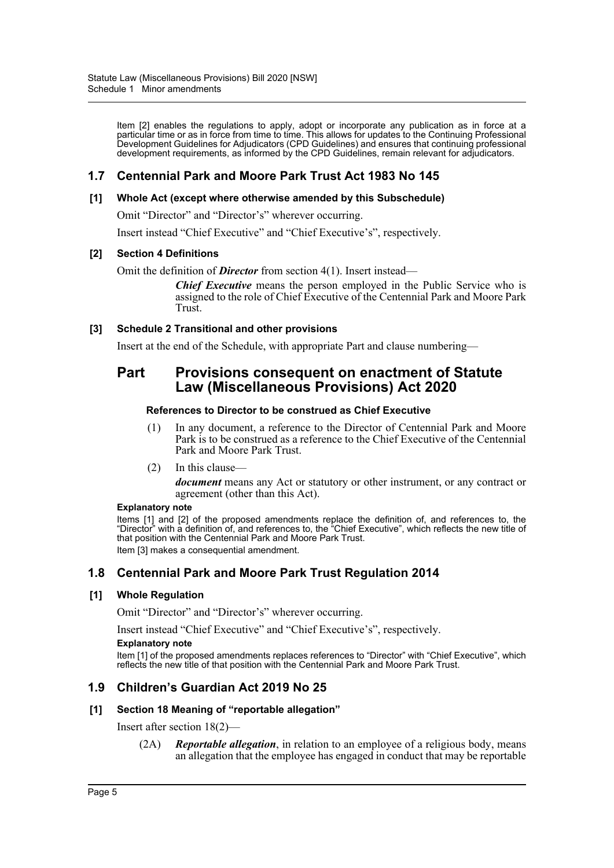Item [2] enables the regulations to apply, adopt or incorporate any publication as in force at a particular time or as in force from time to time. This allows for updates to the Continuing Professional Development Guidelines for Adjudicators (CPD Guidelines) and ensures that continuing professional development requirements, as informed by the CPD Guidelines, remain relevant for adjudicators.

# **1.7 Centennial Park and Moore Park Trust Act 1983 No 145**

### **[1] Whole Act (except where otherwise amended by this Subschedule)**

Omit "Director" and "Director's" wherever occurring.

Insert instead "Chief Executive" and "Chief Executive's", respectively.

### **[2] Section 4 Definitions**

Omit the definition of *Director* from section 4(1). Insert instead—

*Chief Executive* means the person employed in the Public Service who is assigned to the role of Chief Executive of the Centennial Park and Moore Park Trust.

### **[3] Schedule 2 Transitional and other provisions**

Insert at the end of the Schedule, with appropriate Part and clause numbering—

# **Part Provisions consequent on enactment of Statute Law (Miscellaneous Provisions) Act 2020**

### **References to Director to be construed as Chief Executive**

- (1) In any document, a reference to the Director of Centennial Park and Moore Park is to be construed as a reference to the Chief Executive of the Centennial Park and Moore Park Trust.
- (2) In this clause—

*document* means any Act or statutory or other instrument, or any contract or agreement (other than this Act).

#### **Explanatory note**

Items [1] and [2] of the proposed amendments replace the definition of, and references to, the "Director" with a definition of, and references to, the "Chief Executive", which reflects the new title of that position with the Centennial Park and Moore Park Trust. Item [3] makes a consequential amendment.

# **1.8 Centennial Park and Moore Park Trust Regulation 2014**

### **[1] Whole Regulation**

Omit "Director" and "Director's" wherever occurring.

Insert instead "Chief Executive" and "Chief Executive's", respectively.

#### **Explanatory note**

Item [1] of the proposed amendments replaces references to "Director" with "Chief Executive", which reflects the new title of that position with the Centennial Park and Moore Park Trust.

### **1.9 Children's Guardian Act 2019 No 25**

### **[1] Section 18 Meaning of "reportable allegation"**

Insert after section 18(2)—

(2A) *Reportable allegation*, in relation to an employee of a religious body, means an allegation that the employee has engaged in conduct that may be reportable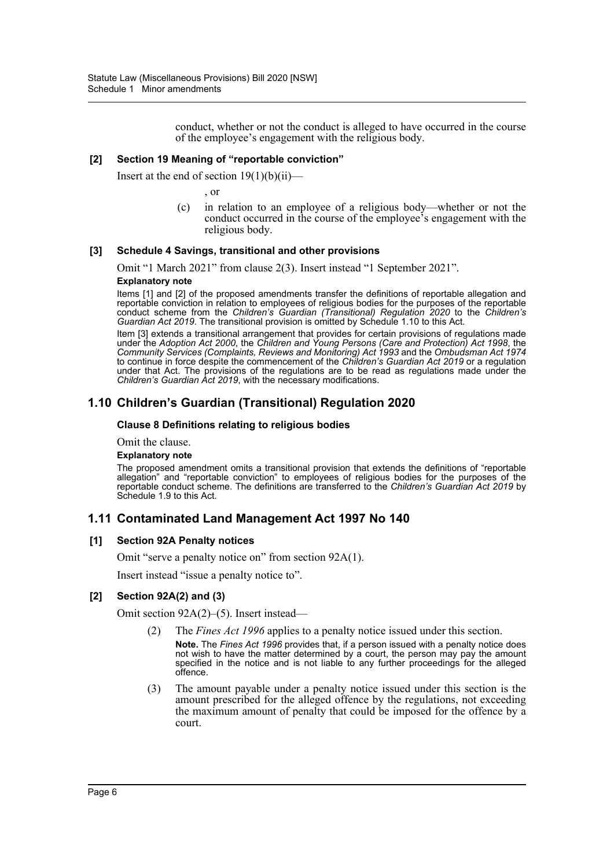conduct, whether or not the conduct is alleged to have occurred in the course of the employee's engagement with the religious body.

### **[2] Section 19 Meaning of "reportable conviction"**

Insert at the end of section  $19(1)(b)(ii)$ —

, or

(c) in relation to an employee of a religious body—whether or not the conduct occurred in the course of the employee's engagement with the religious body.

#### **[3] Schedule 4 Savings, transitional and other provisions**

Omit "1 March 2021" from clause 2(3). Insert instead "1 September 2021".

### **Explanatory note**

Items [1] and [2] of the proposed amendments transfer the definitions of reportable allegation and reportable conviction in relation to employees of religious bodies for the purposes of the reportable conduct scheme from the *Children's Guardian (Transitional) Regulation 2020* to the *Children's Guardian Act 2019*. The transitional provision is omitted by Schedule 1.10 to this Act.

Item [3] extends a transitional arrangement that provides for certain provisions of regulations made under the *Adoption Act 2000*, the *Children and Young Persons (Care and Protection) Act 1998*, the *Community Services (Complaints, Reviews and Monitoring) Act 1993* and the *Ombudsman Act 1974* to continue in force despite the commencement of the *Children's Guardian Act 2019* or a regulation under that Act. The provisions of the regulations are to be read as regulations made under the *Children's Guardian Act 2019*, with the necessary modifications.

### **1.10 Children's Guardian (Transitional) Regulation 2020**

#### **Clause 8 Definitions relating to religious bodies**

Omit the clause.

#### **Explanatory note**

The proposed amendment omits a transitional provision that extends the definitions of "reportable allegation" and "reportable conviction" to employees of religious bodies for the purposes of the reportable conduct scheme. The definitions are transferred to the *Children's Guardian Act 2019* by Schedule 1.9 to this Act.

### **1.11 Contaminated Land Management Act 1997 No 140**

#### **[1] Section 92A Penalty notices**

Omit "serve a penalty notice on" from section 92A(1).

Insert instead "issue a penalty notice to".

#### **[2] Section 92A(2) and (3)**

Omit section 92A(2)–(5). Insert instead—

- (2) The *Fines Act 1996* applies to a penalty notice issued under this section. **Note.** The *Fines Act 1996* provides that, if a person issued with a penalty notice does not wish to have the matter determined by a court, the person may pay the amount specified in the notice and is not liable to any further proceedings for the alleged offence.
- (3) The amount payable under a penalty notice issued under this section is the amount prescribed for the alleged offence by the regulations, not exceeding the maximum amount of penalty that could be imposed for the offence by a court.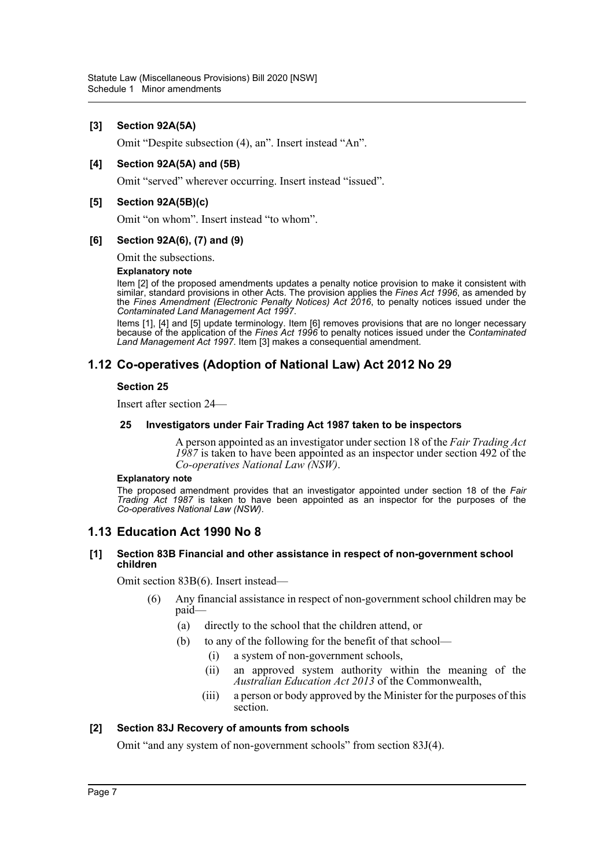### **[3] Section 92A(5A)**

Omit "Despite subsection (4), an". Insert instead "An".

### **[4] Section 92A(5A) and (5B)**

Omit "served" wherever occurring. Insert instead "issued".

### **[5] Section 92A(5B)(c)**

Omit "on whom". Insert instead "to whom".

### **[6] Section 92A(6), (7) and (9)**

Omit the subsections.

#### **Explanatory note**

Item [2] of the proposed amendments updates a penalty notice provision to make it consistent with similar, standard provisions in other Acts. The provision applies the *Fines Act 1996*, as amended by the *Fines Amendment (Electronic Penalty Notices) Act 2016*, to penalty notices issued under the *Contaminated Land Management Act 1997*.

Items [1], [4] and [5] update terminology. Item [6] removes provisions that are no longer necessary because of the application of the *Fines Act 1996* to penalty notices issued under the *Contaminated Land Management Act 1997*. Item [3] makes a consequential amendment.

# **1.12 Co-operatives (Adoption of National Law) Act 2012 No 29**

### **Section 25**

Insert after section 24—

### **25 Investigators under Fair Trading Act 1987 taken to be inspectors**

A person appointed as an investigator under section 18 of the *Fair Trading Act 1987* is taken to have been appointed as an inspector under section 492 of the *Co-operatives National Law (NSW)*.

#### **Explanatory note**

The proposed amendment provides that an investigator appointed under section 18 of the *Fair Trading Act 1987* is taken to have been appointed as an inspector for the purposes of the *Co-operatives National Law (NSW)*.

### **1.13 Education Act 1990 No 8**

### **[1] Section 83B Financial and other assistance in respect of non-government school children**

Omit section 83B(6). Insert instead—

- (6) Any financial assistance in respect of non-government school children may be paid—
	- (a) directly to the school that the children attend, or
	- (b) to any of the following for the benefit of that school—
		- (i) a system of non-government schools,
		- (ii) an approved system authority within the meaning of the *Australian Education Act 2013* of the Commonwealth,
		- (iii) a person or body approved by the Minister for the purposes of this section.

### **[2] Section 83J Recovery of amounts from schools**

Omit "and any system of non-government schools" from section 83J(4).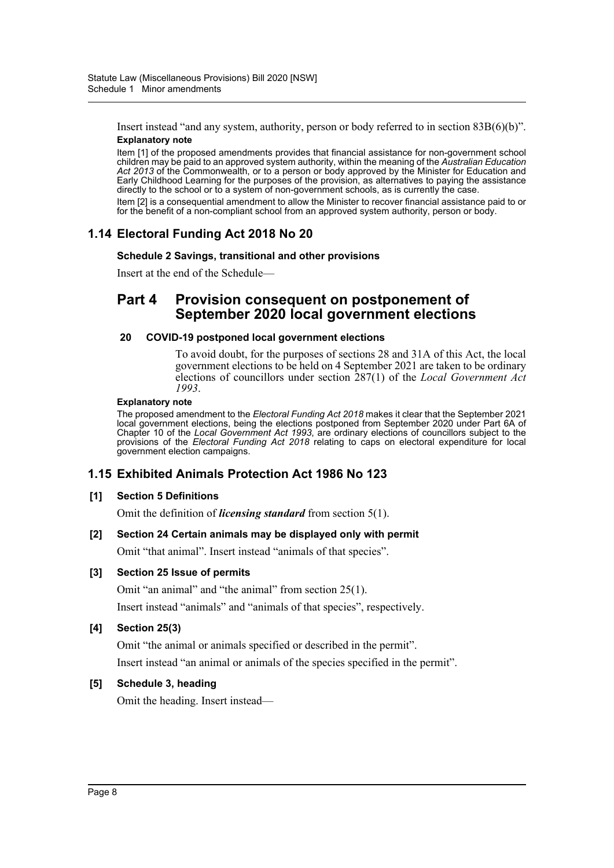Insert instead "and any system, authority, person or body referred to in section 83B(6)(b)". **Explanatory note**

Item [1] of the proposed amendments provides that financial assistance for non-government school children may be paid to an approved system authority, within the meaning of the *Australian Education Act 2013* of the Commonwealth, or to a person or body approved by the Minister for Education and Early Childhood Learning for the purposes of the provision, as alternatives to paying the assistance directly to the school or to a system of non-government schools, as is currently the case.

Item [2] is a consequential amendment to allow the Minister to recover financial assistance paid to or for the benefit of a non-compliant school from an approved system authority, person or body.

# **1.14 Electoral Funding Act 2018 No 20**

### **Schedule 2 Savings, transitional and other provisions**

Insert at the end of the Schedule—

# **Part 4 Provision consequent on postponement of September 2020 local government elections**

### **20 COVID-19 postponed local government elections**

To avoid doubt, for the purposes of sections 28 and 31A of this Act, the local government elections to be held on 4 September 2021 are taken to be ordinary elections of councillors under section 287(1) of the *Local Government Act 1993*.

### **Explanatory note**

The proposed amendment to the *Electoral Funding Act 2018* makes it clear that the September 2021 local government elections, being the elections postponed from September 2020 under Part 6A of Chapter 10 of the *Local Government Act 1993*, are ordinary elections of councillors subject to the provisions of the *Electoral Funding Act 2018* relating to caps on electoral expenditure for local government election campaigns.

# **1.15 Exhibited Animals Protection Act 1986 No 123**

### **[1] Section 5 Definitions**

Omit the definition of *licensing standard* from section 5(1).

### **[2] Section 24 Certain animals may be displayed only with permit**

Omit "that animal". Insert instead "animals of that species".

### **[3] Section 25 Issue of permits**

Omit "an animal" and "the animal" from section 25(1).

Insert instead "animals" and "animals of that species", respectively.

### **[4] Section 25(3)**

Omit "the animal or animals specified or described in the permit". Insert instead "an animal or animals of the species specified in the permit".

### **[5] Schedule 3, heading**

Omit the heading. Insert instead—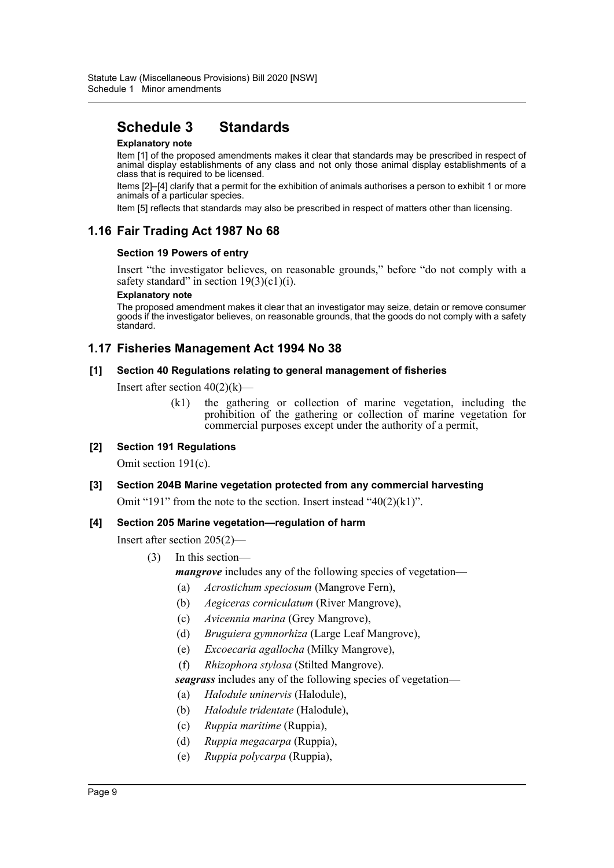# **Schedule 3 Standards**

### **Explanatory note**

Item [1] of the proposed amendments makes it clear that standards may be prescribed in respect of animal display establishments of any class and not only those animal display establishments of a class that is required to be licensed.

Items [2]–[4] clarify that a permit for the exhibition of animals authorises a person to exhibit 1 or more animals of a particular species.

Item [5] reflects that standards may also be prescribed in respect of matters other than licensing.

# **1.16 Fair Trading Act 1987 No 68**

### **Section 19 Powers of entry**

Insert "the investigator believes, on reasonable grounds," before "do not comply with a safety standard" in section  $19(3)(c1)(i)$ .

#### **Explanatory note**

The proposed amendment makes it clear that an investigator may seize, detain or remove consumer goods if the investigator believes, on reasonable grounds, that the goods do not comply with a safety standard.

# **1.17 Fisheries Management Act 1994 No 38**

### **[1] Section 40 Regulations relating to general management of fisheries**

Insert after section  $40(2)(k)$ —

(k1) the gathering or collection of marine vegetation, including the prohibition of the gathering or collection of marine vegetation for commercial purposes except under the authority of a permit,

### **[2] Section 191 Regulations**

Omit section 191(c).

### **[3] Section 204B Marine vegetation protected from any commercial harvesting**

Omit "191" from the note to the section. Insert instead " $40(2)(k1)$ ".

### **[4] Section 205 Marine vegetation—regulation of harm**

Insert after section 205(2)—

- (3) In this section
	- *mangrove* includes any of the following species of vegetation—
	- (a) *Acrostichum speciosum* (Mangrove Fern),
	- (b) *Aegiceras corniculatum* (River Mangrove),
	- (c) *Avicennia marina* (Grey Mangrove),
	- (d) *Bruguiera gymnorhiza* (Large Leaf Mangrove),
	- (e) *Excoecaria agallocha* (Milky Mangrove),
	- (f) *Rhizophora stylosa* (Stilted Mangrove).

*seagrass* includes any of the following species of vegetation—

- (a) *Halodule uninervis* (Halodule),
- (b) *Halodule tridentate* (Halodule),
- (c) *Ruppia maritime* (Ruppia),
- (d) *Ruppia megacarpa* (Ruppia),
- (e) *Ruppia polycarpa* (Ruppia),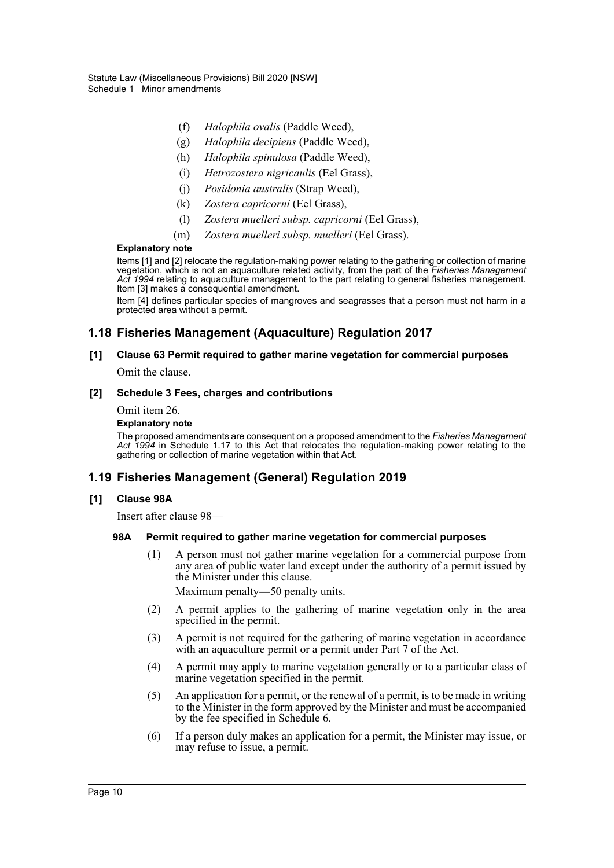- (f) *Halophila ovalis* (Paddle Weed),
- (g) *Halophila decipiens* (Paddle Weed),
- (h) *Halophila spinulosa* (Paddle Weed),
- (i) *Hetrozostera nigricaulis* (Eel Grass),
- (j) *Posidonia australis* (Strap Weed),
- (k) *Zostera capricorni* (Eel Grass),
- (l) *Zostera muelleri subsp. capricorni* (Eel Grass),
- (m) *Zostera muelleri subsp. muelleri* (Eel Grass).

#### **Explanatory note**

Items [1] and [2] relocate the regulation-making power relating to the gathering or collection of marine vegetation, which is not an aquaculture related activity, from the part of the *Fisheries Management Act 1994* relating to aquaculture management to the part relating to general fisheries management. Item [3] makes a consequential amendment.

Item [4] defines particular species of mangroves and seagrasses that a person must not harm in a protected area without a permit.

# **1.18 Fisheries Management (Aquaculture) Regulation 2017**

# **[1] Clause 63 Permit required to gather marine vegetation for commercial purposes**

Omit the clause.

### **[2] Schedule 3 Fees, charges and contributions**

Omit item 26.

#### **Explanatory note**

The proposed amendments are consequent on a proposed amendment to the *Fisheries Management Act 1994* in Schedule 1.17 to this Act that relocates the regulation-making power relating to the gathering or collection of marine vegetation within that Act.

### **1.19 Fisheries Management (General) Regulation 2019**

#### **[1] Clause 98A**

Insert after clause 98—

#### **98A Permit required to gather marine vegetation for commercial purposes**

(1) A person must not gather marine vegetation for a commercial purpose from any area of public water land except under the authority of a permit issued by the Minister under this clause.

Maximum penalty—50 penalty units.

- (2) A permit applies to the gathering of marine vegetation only in the area specified in the permit.
- (3) A permit is not required for the gathering of marine vegetation in accordance with an aquaculture permit or a permit under Part 7 of the Act.
- (4) A permit may apply to marine vegetation generally or to a particular class of marine vegetation specified in the permit.
- (5) An application for a permit, or the renewal of a permit, is to be made in writing to the Minister in the form approved by the Minister and must be accompanied by the fee specified in Schedule 6.
- (6) If a person duly makes an application for a permit, the Minister may issue, or may refuse to issue, a permit.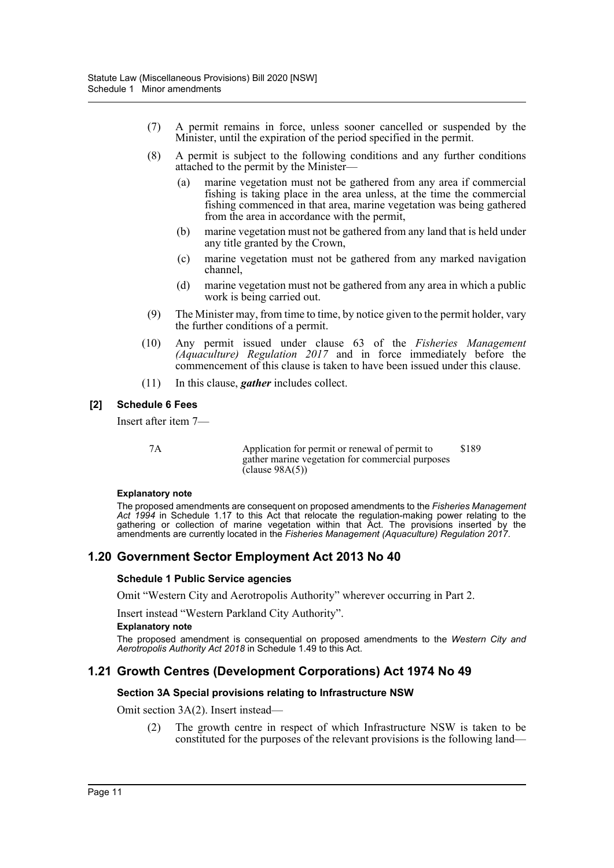- (7) A permit remains in force, unless sooner cancelled or suspended by the Minister, until the expiration of the period specified in the permit.
- (8) A permit is subject to the following conditions and any further conditions attached to the permit by the Minister—
	- (a) marine vegetation must not be gathered from any area if commercial fishing is taking place in the area unless, at the time the commercial fishing commenced in that area, marine vegetation was being gathered from the area in accordance with the permit,
	- (b) marine vegetation must not be gathered from any land that is held under any title granted by the Crown,
	- (c) marine vegetation must not be gathered from any marked navigation channel,
	- (d) marine vegetation must not be gathered from any area in which a public work is being carried out.
- (9) The Minister may, from time to time, by notice given to the permit holder, vary the further conditions of a permit.
- (10) Any permit issued under clause 63 of the *Fisheries Management (Aquaculture) Regulation 2017* and in force immediately before the commencement of this clause is taken to have been issued under this clause.
- (11) In this clause, *gather* includes collect.

### **[2] Schedule 6 Fees**

Insert after item 7—

7A Application for permit or renewal of permit to gather marine vegetation for commercial purposes  $\text{(clause } 98A(5))$ \$189

### **Explanatory note**

The proposed amendments are consequent on proposed amendments to the *Fisheries Management Act 1994* in Schedule 1.17 to this Act that relocate the regulation-making power relating to the gathering or collection of marine vegetation within that Act. The provisions inserted by the amendments are currently located in the *Fisheries Management (Aquaculture) Regulation 2017*.

# **1.20 Government Sector Employment Act 2013 No 40**

### **Schedule 1 Public Service agencies**

Omit "Western City and Aerotropolis Authority" wherever occurring in Part 2.

Insert instead "Western Parkland City Authority".

### **Explanatory note**

The proposed amendment is consequential on proposed amendments to the *Western City and Aerotropolis Authority Act 2018* in Schedule 1.49 to this Act.

# **1.21 Growth Centres (Development Corporations) Act 1974 No 49**

### **Section 3A Special provisions relating to Infrastructure NSW**

Omit section 3A(2). Insert instead—

(2) The growth centre in respect of which Infrastructure NSW is taken to be constituted for the purposes of the relevant provisions is the following land—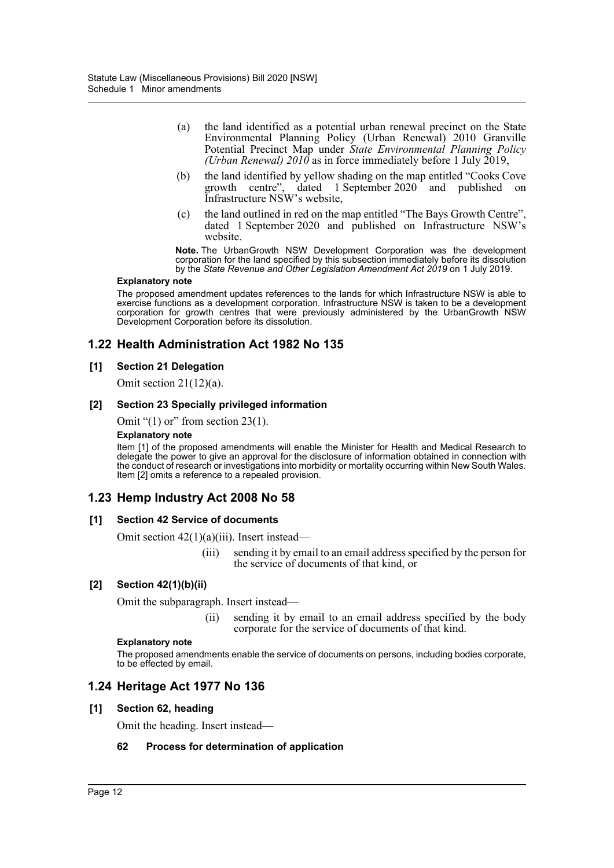- (a) the land identified as a potential urban renewal precinct on the State Environmental Planning Policy (Urban Renewal) 2010 Granville Potential Precinct Map under *State Environmental Planning Policy (Urban Renewal) 2010* as in force immediately before 1 July 2019,
- (b) the land identified by yellow shading on the map entitled "Cooks Cove growth centre", dated 1 September 2020 and published on Infrastructure NSW's website,
- (c) the land outlined in red on the map entitled "The Bays Growth Centre", dated 1 September 2020 and published on Infrastructure NSW's website.

**Note.** The UrbanGrowth NSW Development Corporation was the development corporation for the land specified by this subsection immediately before its dissolution by the *State Revenue and Other Legislation Amendment Act 2019* on 1 July 2019.

#### **Explanatory note**

The proposed amendment updates references to the lands for which Infrastructure NSW is able to exercise functions as a development corporation. Infrastructure NSW is taken to be a development corporation for growth centres that were previously administered by the UrbanGrowth NSW Development Corporation before its dissolution.

# **1.22 Health Administration Act 1982 No 135**

### **[1] Section 21 Delegation**

Omit section  $21(12)(a)$ .

### **[2] Section 23 Specially privileged information**

Omit " $(1)$  or" from section 23 $(1)$ .

#### **Explanatory note**

Item [1] of the proposed amendments will enable the Minister for Health and Medical Research to delegate the power to give an approval for the disclosure of information obtained in connection with the conduct of research or investigations into morbidity or mortality occurring within New South Wales. Item [2] omits a reference to a repealed provision.

# **1.23 Hemp Industry Act 2008 No 58**

### **[1] Section 42 Service of documents**

Omit section 42(1)(a)(iii). Insert instead—

(iii) sending it by email to an email address specified by the person for the service of documents of that kind, or

### **[2] Section 42(1)(b)(ii)**

Omit the subparagraph. Insert instead—

(ii) sending it by email to an email address specified by the body corporate for the service of documents of that kind.

#### **Explanatory note**

The proposed amendments enable the service of documents on persons, including bodies corporate, to be effected by email.

### **1.24 Heritage Act 1977 No 136**

#### **[1] Section 62, heading**

Omit the heading. Insert instead—

### **62 Process for determination of application**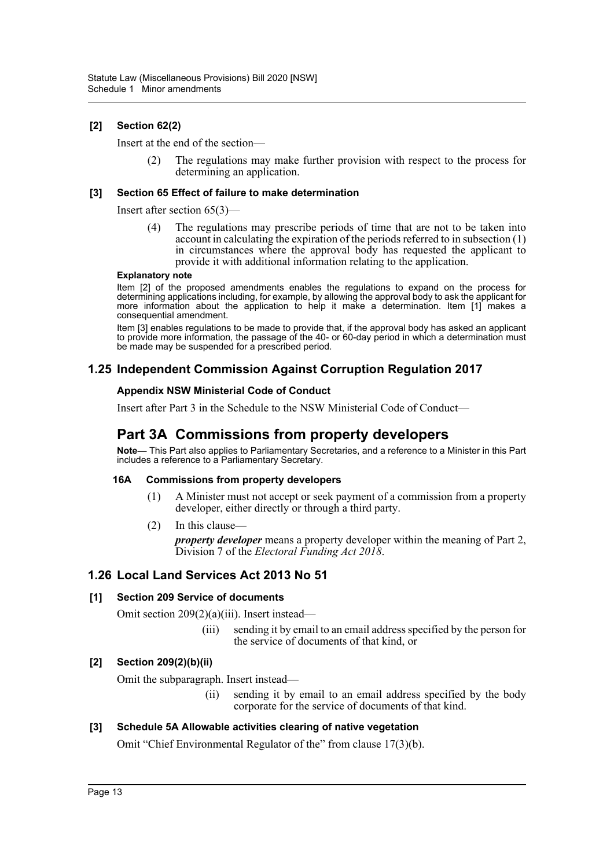### **[2] Section 62(2)**

Insert at the end of the section—

(2) The regulations may make further provision with respect to the process for determining an application.

### **[3] Section 65 Effect of failure to make determination**

Insert after section 65(3)—

(4) The regulations may prescribe periods of time that are not to be taken into account in calculating the expiration of the periods referred to in subsection (1) in circumstances where the approval body has requested the applicant to provide it with additional information relating to the application.

#### **Explanatory note**

Item [2] of the proposed amendments enables the regulations to expand on the process for determining applications including, for example, by allowing the approval body to ask the applicant for more information about the application to help it make a determination. Item [1] makes a consequential amendment.

Item [3] enables regulations to be made to provide that, if the approval body has asked an applicant to provide more information, the passage of the 40- or 60-day period in which a determination must be made may be suspended for a prescribed period.

# **1.25 Independent Commission Against Corruption Regulation 2017**

### **Appendix NSW Ministerial Code of Conduct**

Insert after Part 3 in the Schedule to the NSW Ministerial Code of Conduct—

# **Part 3A Commissions from property developers**

**Note—** This Part also applies to Parliamentary Secretaries, and a reference to a Minister in this Part includes a reference to a Parliamentary Secretary.

### **16A Commissions from property developers**

- (1) A Minister must not accept or seek payment of a commission from a property developer, either directly or through a third party.
- (2) In this clause—

*property developer* means a property developer within the meaning of Part 2, Division 7 of the *Electoral Funding Act 2018*.

### **1.26 Local Land Services Act 2013 No 51**

### **[1] Section 209 Service of documents**

Omit section 209(2)(a)(iii). Insert instead—

(iii) sending it by email to an email address specified by the person for the service of documents of that kind, or

### **[2] Section 209(2)(b)(ii)**

Omit the subparagraph. Insert instead—

(ii) sending it by email to an email address specified by the body corporate for the service of documents of that kind.

### **[3] Schedule 5A Allowable activities clearing of native vegetation**

Omit "Chief Environmental Regulator of the" from clause 17(3)(b).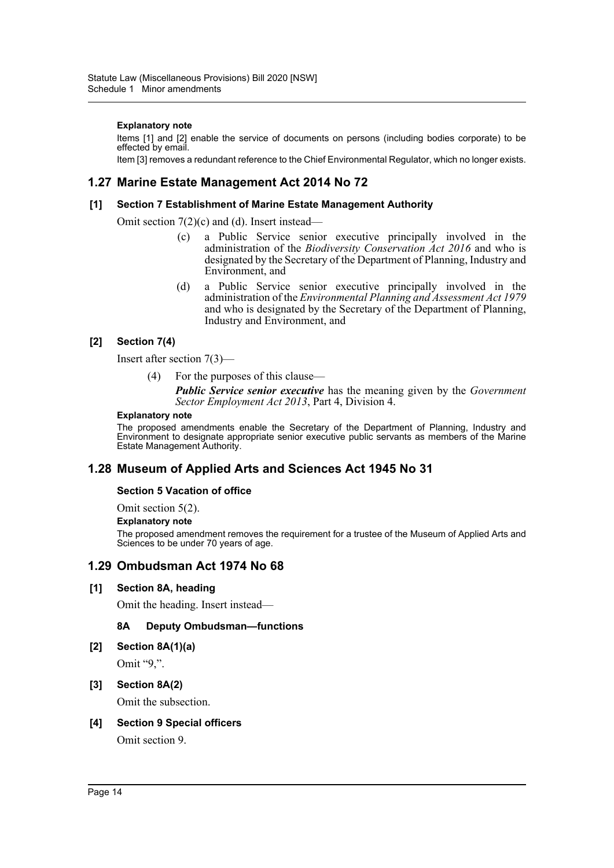### **Explanatory note**

Items [1] and [2] enable the service of documents on persons (including bodies corporate) to be effected by email.

Item [3] removes a redundant reference to the Chief Environmental Regulator, which no longer exists.

## **1.27 Marine Estate Management Act 2014 No 72**

### **[1] Section 7 Establishment of Marine Estate Management Authority**

Omit section 7(2)(c) and (d). Insert instead—

- (c) a Public Service senior executive principally involved in the administration of the *Biodiversity Conservation Act 2016* and who is designated by the Secretary of the Department of Planning, Industry and Environment, and
- (d) a Public Service senior executive principally involved in the administration of the *Environmental Planning and Assessment Act 1979* and who is designated by the Secretary of the Department of Planning, Industry and Environment, and

### **[2] Section 7(4)**

Insert after section 7(3)—

(4) For the purposes of this clause—

*Public Service senior executive* has the meaning given by the *Government Sector Employment Act 2013*, Part 4, Division 4.

#### **Explanatory note**

The proposed amendments enable the Secretary of the Department of Planning, Industry and Environment to designate appropriate senior executive public servants as members of the Marine Estate Management Authority.

### **1.28 Museum of Applied Arts and Sciences Act 1945 No 31**

### **Section 5 Vacation of office**

Omit section 5(2).

#### **Explanatory note**

The proposed amendment removes the requirement for a trustee of the Museum of Applied Arts and Sciences to be under 70 years of age.

### **1.29 Ombudsman Act 1974 No 68**

### **[1] Section 8A, heading**

Omit the heading. Insert instead—

### **8A Deputy Ombudsman—functions**

**[2] Section 8A(1)(a)**

Omit "9,".

### **[3] Section 8A(2)**

Omit the subsection.

### **[4] Section 9 Special officers**

Omit section 9.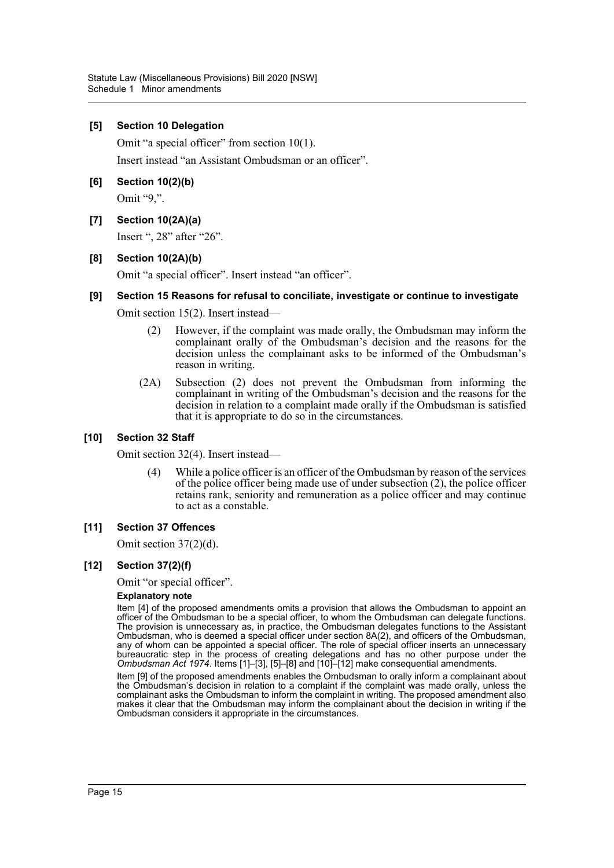### **[5] Section 10 Delegation**

Omit "a special officer" from section 10(1).

Insert instead "an Assistant Ombudsman or an officer".

### **[6] Section 10(2)(b)**

Omit "9,".

### **[7] Section 10(2A)(a)**

Insert ", 28" after "26".

### **[8] Section 10(2A)(b)**

Omit "a special officer". Insert instead "an officer".

### **[9] Section 15 Reasons for refusal to conciliate, investigate or continue to investigate**

Omit section 15(2). Insert instead—

- (2) However, if the complaint was made orally, the Ombudsman may inform the complainant orally of the Ombudsman's decision and the reasons for the decision unless the complainant asks to be informed of the Ombudsman's reason in writing.
- (2A) Subsection (2) does not prevent the Ombudsman from informing the complainant in writing of the Ombudsman's decision and the reasons for the decision in relation to a complaint made orally if the Ombudsman is satisfied that it is appropriate to do so in the circumstances.

### **[10] Section 32 Staff**

Omit section 32(4). Insert instead—

(4) While a police officer is an officer of the Ombudsman by reason of the services of the police officer being made use of under subsection (2), the police officer retains rank, seniority and remuneration as a police officer and may continue to act as a constable.

### **[11] Section 37 Offences**

Omit section 37(2)(d).

### **[12] Section 37(2)(f)**

Omit "or special officer".

#### **Explanatory note**

Item [4] of the proposed amendments omits a provision that allows the Ombudsman to appoint an officer of the Ombudsman to be a special officer, to whom the Ombudsman can delegate functions. The provision is unnecessary as, in practice, the Ombudsman delegates functions to the Assistant Ombudsman, who is deemed a special officer under section 8A(2), and officers of the Ombudsman, any of whom can be appointed a special officer. The role of special officer inserts an unnecessary bureaucratic step in the process of creating delegations and has no other purpose under the *Ombudsman Act 1974*. Items [1]–[3], [5]–[8] and [10]–[12] make consequential amendments.

Item [9] of the proposed amendments enables the Ombudsman to orally inform a complainant about the Ombudsman's decision in relation to a complaint if the complaint was made orally, unless the complainant asks the Ombudsman to inform the complaint in writing. The proposed amendment also makes it clear that the Ombudsman may inform the complainant about the decision in writing if the Ombudsman considers it appropriate in the circumstances.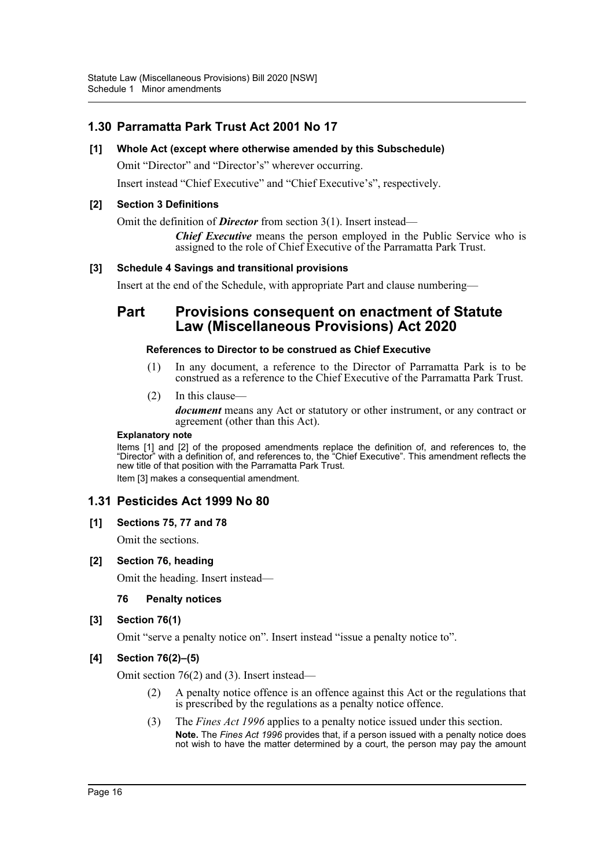# **1.30 Parramatta Park Trust Act 2001 No 17**

### **[1] Whole Act (except where otherwise amended by this Subschedule)**

Omit "Director" and "Director's" wherever occurring.

Insert instead "Chief Executive" and "Chief Executive's", respectively.

### **[2] Section 3 Definitions**

Omit the definition of *Director* from section 3(1). Insert instead—

*Chief Executive* means the person employed in the Public Service who is assigned to the role of Chief Executive of the Parramatta Park Trust.

### **[3] Schedule 4 Savings and transitional provisions**

Insert at the end of the Schedule, with appropriate Part and clause numbering—

# **Part Provisions consequent on enactment of Statute Law (Miscellaneous Provisions) Act 2020**

### **References to Director to be construed as Chief Executive**

- (1) In any document, a reference to the Director of Parramatta Park is to be construed as a reference to the Chief Executive of the Parramatta Park Trust.
- (2) In this clause *document* means any Act or statutory or other instrument, or any contract or agreement (other than this Act).

### **Explanatory note**

Items [1] and [2] of the proposed amendments replace the definition of, and references to, the "Director" with a definition of, and references to, the "Chief Executive". This amendment reflects the new title of that position with the Parramatta Park Trust. Item [3] makes a consequential amendment.

### **1.31 Pesticides Act 1999 No 80**

### **[1] Sections 75, 77 and 78**

Omit the sections.

### **[2] Section 76, heading**

Omit the heading. Insert instead—

### **76 Penalty notices**

### **[3] Section 76(1)**

Omit "serve a penalty notice on". Insert instead "issue a penalty notice to".

### **[4] Section 76(2)–(5)**

Omit section 76(2) and (3). Insert instead—

- (2) A penalty notice offence is an offence against this Act or the regulations that is prescribed by the regulations as a penalty notice offence.
- (3) The *Fines Act 1996* applies to a penalty notice issued under this section. **Note.** The *Fines Act 1996* provides that, if a person issued with a penalty notice does not wish to have the matter determined by a court, the person may pay the amount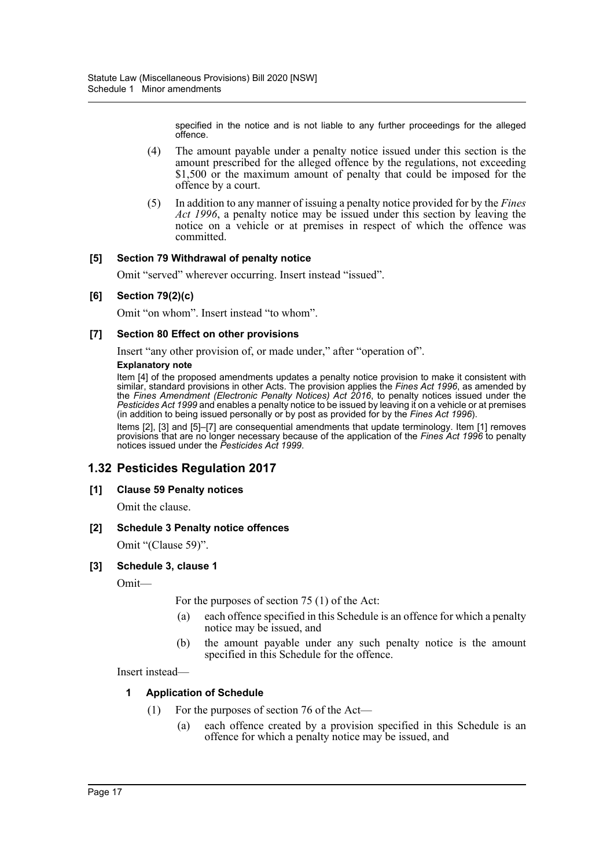specified in the notice and is not liable to any further proceedings for the alleged offence.

- (4) The amount payable under a penalty notice issued under this section is the amount prescribed for the alleged offence by the regulations, not exceeding \$1,500 or the maximum amount of penalty that could be imposed for the offence by a court.
- (5) In addition to any manner of issuing a penalty notice provided for by the *Fines Act 1996*, a penalty notice may be issued under this section by leaving the notice on a vehicle or at premises in respect of which the offence was committed.

### **[5] Section 79 Withdrawal of penalty notice**

Omit "served" wherever occurring. Insert instead "issued".

### **[6] Section 79(2)(c)**

Omit "on whom". Insert instead "to whom".

### **[7] Section 80 Effect on other provisions**

Insert "any other provision of, or made under," after "operation of".

### **Explanatory note**

Item [4] of the proposed amendments updates a penalty notice provision to make it consistent with similar, standard provisions in other Acts. The provision applies the *Fines Act 1996*, as amended by the *Fines Amendment (Electronic Penalty Notices) Act 2016*, to penalty notices issued under the *Pesticides Act 1999* and enables a penalty notice to be issued by leaving it on a vehicle or at premises (in addition to being issued personally or by post as provided for by the *Fines Act 1996*).

Items [2], [3] and [5]–[7] are consequential amendments that update terminology. Item [1] removes provisions that are no longer necessary because of the application of the *Fines Act 1996* to penalty notices issued under the *Pesticides Act 1999*.

# **1.32 Pesticides Regulation 2017**

### **[1] Clause 59 Penalty notices**

Omit the clause.

### **[2] Schedule 3 Penalty notice offences**

Omit "(Clause 59)".

### **[3] Schedule 3, clause 1**

Omit—

For the purposes of section 75 (1) of the Act:

- (a) each offence specified in this Schedule is an offence for which a penalty notice may be issued, and
- (b) the amount payable under any such penalty notice is the amount specified in this Schedule for the offence.

Insert instead—

### **1 Application of Schedule**

- (1) For the purposes of section 76 of the Act—
	- (a) each offence created by a provision specified in this Schedule is an offence for which a penalty notice may be issued, and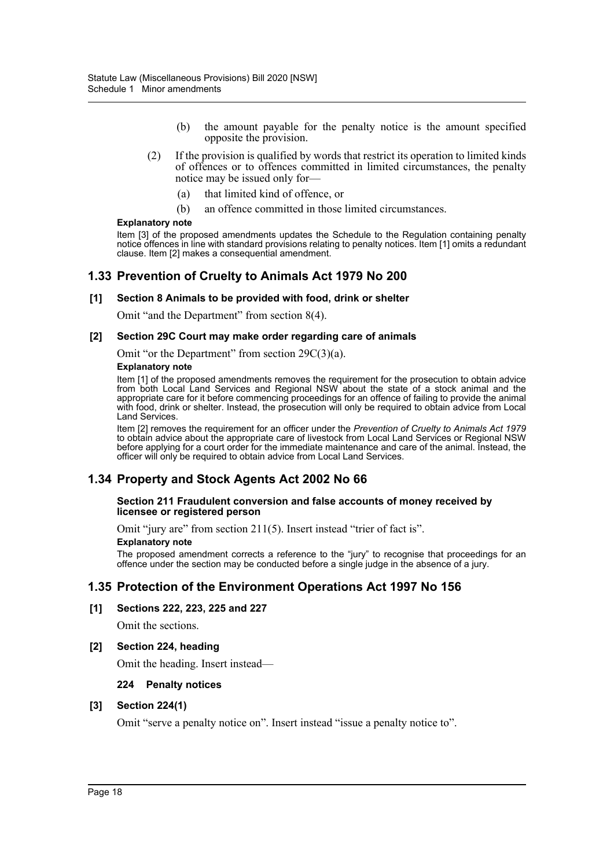- (b) the amount payable for the penalty notice is the amount specified opposite the provision.
- (2) If the provision is qualified by words that restrict its operation to limited kinds of offences or to offences committed in limited circumstances, the penalty notice may be issued only for—
	- (a) that limited kind of offence, or
	- (b) an offence committed in those limited circumstances.

#### **Explanatory note**

Item [3] of the proposed amendments updates the Schedule to the Regulation containing penalty notice offences in line with standard provisions relating to penalty notices. Item [1] omits a redundant clause. Item [2] makes a consequential amendment.

### **1.33 Prevention of Cruelty to Animals Act 1979 No 200**

#### **[1] Section 8 Animals to be provided with food, drink or shelter**

Omit "and the Department" from section 8(4).

#### **[2] Section 29C Court may make order regarding care of animals**

Omit "or the Department" from section 29C(3)(a).

#### **Explanatory note**

Item [1] of the proposed amendments removes the requirement for the prosecution to obtain advice from both Local Land Services and Regional NSW about the state of a stock animal and the appropriate care for it before commencing proceedings for an offence of failing to provide the animal with food, drink or shelter. Instead, the prosecution will only be required to obtain advice from Local Land Services.

Item [2] removes the requirement for an officer under the *Prevention of Cruelty to Animals Act 1979* to obtain advice about the appropriate care of livestock from Local Land Services or Regional NSW before applying for a court order for the immediate maintenance and care of the animal. Instead, the officer will only be required to obtain advice from Local Land Services.

### **1.34 Property and Stock Agents Act 2002 No 66**

#### **Section 211 Fraudulent conversion and false accounts of money received by licensee or registered person**

Omit "jury are" from section 211(5). Insert instead "trier of fact is".

#### **Explanatory note**

The proposed amendment corrects a reference to the "jury" to recognise that proceedings for an offence under the section may be conducted before a single judge in the absence of a jury.

### **1.35 Protection of the Environment Operations Act 1997 No 156**

#### **[1] Sections 222, 223, 225 and 227**

Omit the sections.

#### **[2] Section 224, heading**

Omit the heading. Insert instead—

#### **224 Penalty notices**

### **[3] Section 224(1)**

Omit "serve a penalty notice on". Insert instead "issue a penalty notice to".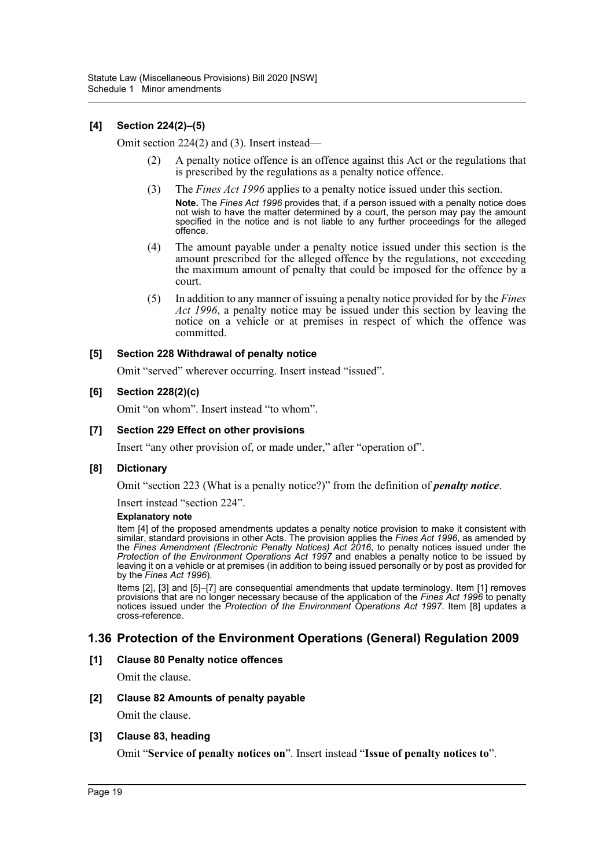### **[4] Section 224(2)–(5)**

Omit section 224(2) and (3). Insert instead—

- (2) A penalty notice offence is an offence against this Act or the regulations that is prescribed by the regulations as a penalty notice offence.
- (3) The *Fines Act 1996* applies to a penalty notice issued under this section. **Note.** The *Fines Act 1996* provides that, if a person issued with a penalty notice does not wish to have the matter determined by a court, the person may pay the amount specified in the notice and is not liable to any further proceedings for the alleged offence.
- (4) The amount payable under a penalty notice issued under this section is the amount prescribed for the alleged offence by the regulations, not exceeding the maximum amount of penalty that could be imposed for the offence by a court.
- (5) In addition to any manner of issuing a penalty notice provided for by the *Fines Act 1996*, a penalty notice may be issued under this section by leaving the notice on a vehicle or at premises in respect of which the offence was committed.

### **[5] Section 228 Withdrawal of penalty notice**

Omit "served" wherever occurring. Insert instead "issued".

### **[6] Section 228(2)(c)**

Omit "on whom". Insert instead "to whom".

### **[7] Section 229 Effect on other provisions**

Insert "any other provision of, or made under," after "operation of".

### **[8] Dictionary**

Omit "section 223 (What is a penalty notice?)" from the definition of *penalty notice*.

Insert instead "section 224".

#### **Explanatory note**

Item [4] of the proposed amendments updates a penalty notice provision to make it consistent with similar, standard provisions in other Acts. The provision applies the *Fines Act 1996*, as amended by the *Fines Amendment (Electronic Penalty Notices) Act 2016*, to penalty notices issued under the *Protection of the Environment Operations Act 1997* and enables a penalty notice to be issued by leaving it on a vehicle or at premises (in addition to being issued personally or by post as provided for by the *Fines Act 1996*).

Items [2], [3] and [5]–[7] are consequential amendments that update terminology. Item [1] removes provisions that are no longer necessary because of the application of the *Fines Act 1996* to penalty notices issued under the *Protection of the Environment Operations Act 1997*. Item [8] updates a cross-reference.

### **1.36 Protection of the Environment Operations (General) Regulation 2009**

### **[1] Clause 80 Penalty notice offences**

Omit the clause.

### **[2] Clause 82 Amounts of penalty payable**

Omit the clause.

#### **[3] Clause 83, heading**

Omit "**Service of penalty notices on**". Insert instead "**Issue of penalty notices to**".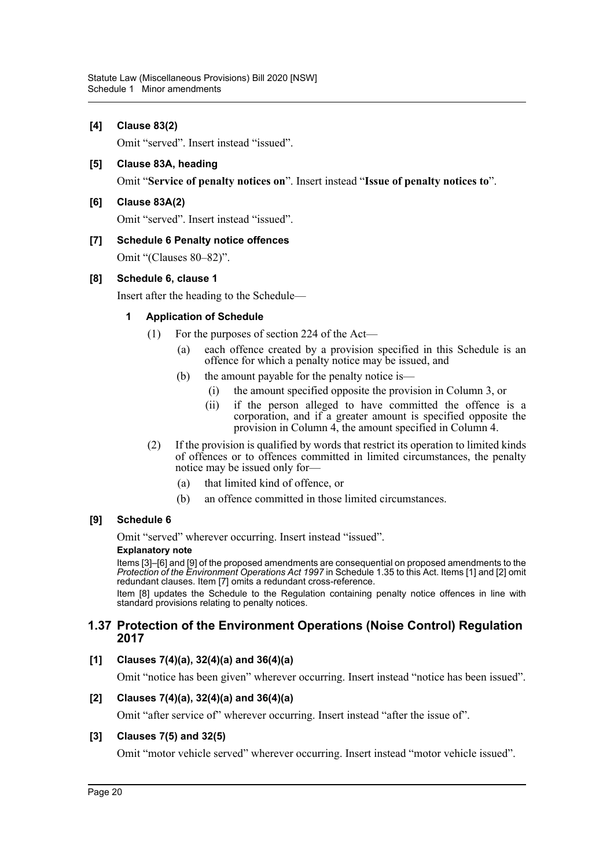### **[4] Clause 83(2)**

Omit "served". Insert instead "issued".

### **[5] Clause 83A, heading**

Omit "**Service of penalty notices on**". Insert instead "**Issue of penalty notices to**".

### **[6] Clause 83A(2)**

Omit "served". Insert instead "issued".

### **[7] Schedule 6 Penalty notice offences**

Omit "(Clauses 80–82)".

### **[8] Schedule 6, clause 1**

Insert after the heading to the Schedule—

### **1 Application of Schedule**

- (1) For the purposes of section 224 of the Act—
	- (a) each offence created by a provision specified in this Schedule is an offence for which a penalty notice may be issued, and
	- (b) the amount payable for the penalty notice is—
		- (i) the amount specified opposite the provision in Column 3, or
		- (ii) if the person alleged to have committed the offence is a corporation, and if a greater amount is specified opposite the provision in Column 4, the amount specified in Column 4.
- (2) If the provision is qualified by words that restrict its operation to limited kinds of offences or to offences committed in limited circumstances, the penalty notice may be issued only for—
	- (a) that limited kind of offence, or
	- (b) an offence committed in those limited circumstances.

### **[9] Schedule 6**

Omit "served" wherever occurring. Insert instead "issued".

#### **Explanatory note**

Items [3]–[6] and [9] of the proposed amendments are consequential on proposed amendments to the *Protection of the Environment Operations Act 1997* in Schedule 1.35 to this Act. Items [1] and [2] omit redundant clauses. Item [7] omits a redundant cross-reference.

Item [8] updates the Schedule to the Regulation containing penalty notice offences in line with standard provisions relating to penalty notices.

### **1.37 Protection of the Environment Operations (Noise Control) Regulation 2017**

### **[1] Clauses 7(4)(a), 32(4)(a) and 36(4)(a)**

Omit "notice has been given" wherever occurring. Insert instead "notice has been issued".

### **[2] Clauses 7(4)(a), 32(4)(a) and 36(4)(a)**

Omit "after service of" wherever occurring. Insert instead "after the issue of".

### **[3] Clauses 7(5) and 32(5)**

Omit "motor vehicle served" wherever occurring. Insert instead "motor vehicle issued".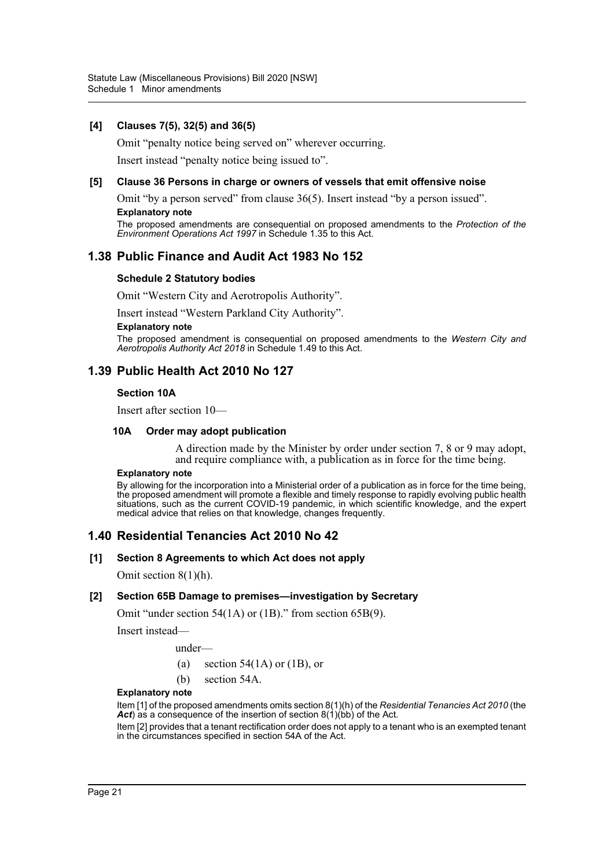### **[4] Clauses 7(5), 32(5) and 36(5)**

Omit "penalty notice being served on" wherever occurring.

Insert instead "penalty notice being issued to".

#### **[5] Clause 36 Persons in charge or owners of vessels that emit offensive noise**

Omit "by a person served" from clause 36(5). Insert instead "by a person issued". **Explanatory note**

The proposed amendments are consequential on proposed amendments to the *Protection of the Environment Operations Act 1997* in Schedule 1.35 to this Act.

### **1.38 Public Finance and Audit Act 1983 No 152**

#### **Schedule 2 Statutory bodies**

Omit "Western City and Aerotropolis Authority".

Insert instead "Western Parkland City Authority".

#### **Explanatory note**

The proposed amendment is consequential on proposed amendments to the *Western City and Aerotropolis Authority Act 2018* in Schedule 1.49 to this Act.

### **1.39 Public Health Act 2010 No 127**

#### **Section 10A**

Insert after section 10—

#### **10A Order may adopt publication**

A direction made by the Minister by order under section 7, 8 or 9 may adopt, and require compliance with, a publication as in force for the time being.

#### **Explanatory note**

By allowing for the incorporation into a Ministerial order of a publication as in force for the time being, the proposed amendment will promote a flexible and timely response to rapidly evolving public health situations, such as the current COVID-19 pandemic, in which scientific knowledge, and the expert medical advice that relies on that knowledge, changes frequently.

### **1.40 Residential Tenancies Act 2010 No 42**

#### **[1] Section 8 Agreements to which Act does not apply**

Omit section 8(1)(h).

#### **[2] Section 65B Damage to premises—investigation by Secretary**

Omit "under section 54(1A) or (1B)." from section 65B(9).

Insert instead—

under—

- (a) section 54(1A) or (1B), or
- (b) section 54A.

#### **Explanatory note**

Item [1] of the proposed amendments omits section 8(1)(h) of the *Residential Tenancies Act 2010* (the Act) as a consequence of the insertion of section  $8(1)(bb)$  of the Act.

Item [2] provides that a tenant rectification order does not apply to a tenant who is an exempted tenant in the circumstances specified in section 54A of the Act.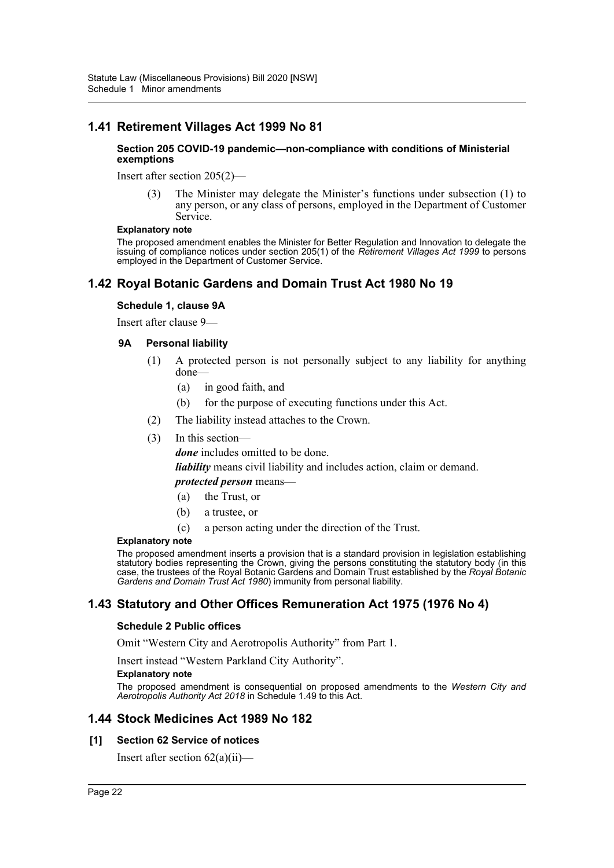# **1.41 Retirement Villages Act 1999 No 81**

#### **Section 205 COVID-19 pandemic—non-compliance with conditions of Ministerial exemptions**

Insert after section 205(2)—

(3) The Minister may delegate the Minister's functions under subsection (1) to any person, or any class of persons, employed in the Department of Customer Service.

#### **Explanatory note**

The proposed amendment enables the Minister for Better Regulation and Innovation to delegate the issuing of compliance notices under section 205(1) of the *Retirement Villages Act 1999* to persons employed in the Department of Customer Service.

# **1.42 Royal Botanic Gardens and Domain Trust Act 1980 No 19**

### **Schedule 1, clause 9A**

Insert after clause 9—

### **9A Personal liability**

- (1) A protected person is not personally subject to any liability for anything done—
	- (a) in good faith, and
	- (b) for the purpose of executing functions under this Act.
- (2) The liability instead attaches to the Crown.
- (3) In this section—

*done* includes omitted to be done.

*liability* means civil liability and includes action, claim or demand.

### *protected person* means—

- (a) the Trust, or
- (b) a trustee, or
- (c) a person acting under the direction of the Trust.

#### **Explanatory note**

The proposed amendment inserts a provision that is a standard provision in legislation establishing statutory bodies representing the Crown, giving the persons constituting the statutory body (in this case, the trustees of the Royal Botanic Gardens and Domain Trust established by the *Royal Botanic Gardens and Domain Trust Act 1980*) immunity from personal liability.

# **1.43 Statutory and Other Offices Remuneration Act 1975 (1976 No 4)**

#### **Schedule 2 Public offices**

Omit "Western City and Aerotropolis Authority" from Part 1.

Insert instead "Western Parkland City Authority".

#### **Explanatory note**

The proposed amendment is consequential on proposed amendments to the *Western City and Aerotropolis Authority Act 2018* in Schedule 1.49 to this Act.

### **1.44 Stock Medicines Act 1989 No 182**

### **[1] Section 62 Service of notices**

Insert after section  $62(a)(ii)$ —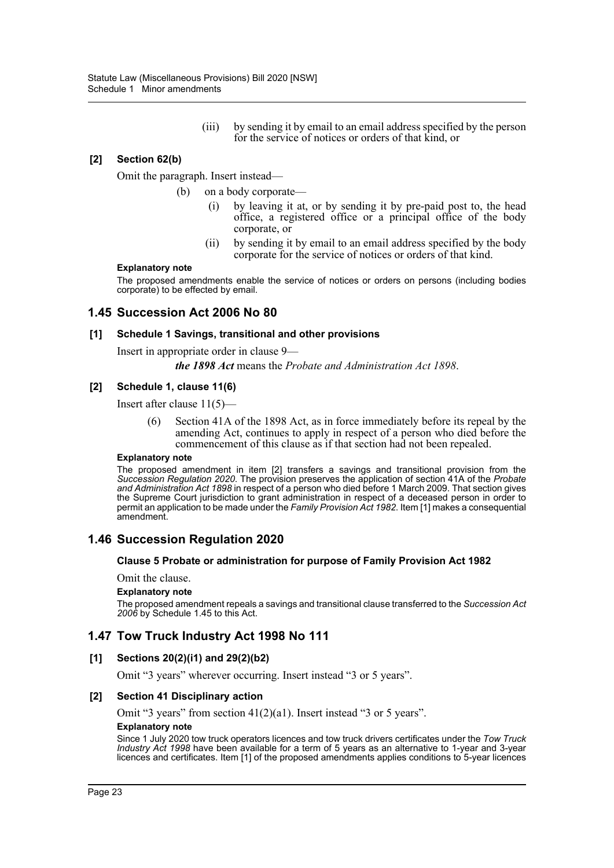(iii) by sending it by email to an email address specified by the person for the service of notices or orders of that kind, or

### **[2] Section 62(b)**

Omit the paragraph. Insert instead—

- (b) on a body corporate—
	- (i) by leaving it at, or by sending it by pre-paid post to, the head office, a registered office or a principal office of the body corporate, or
	- (ii) by sending it by email to an email address specified by the body corporate for the service of notices or orders of that kind.

#### **Explanatory note**

The proposed amendments enable the service of notices or orders on persons (including bodies corporate) to be effected by email.

### **1.45 Succession Act 2006 No 80**

#### **[1] Schedule 1 Savings, transitional and other provisions**

Insert in appropriate order in clause 9—

*the 1898 Act* means the *Probate and Administration Act 1898*.

### **[2] Schedule 1, clause 11(6)**

Insert after clause 11(5)—

Section 41A of the 1898 Act, as in force immediately before its repeal by the amending Act, continues to apply in respect of a person who died before the commencement of this clause as if that section had not been repealed.

#### **Explanatory note**

The proposed amendment in item [2] transfers a savings and transitional provision from the *Succession Regulation 2020*. The provision preserves the application of section 41A of the *Probate and Administration Act 1898* in respect of a person who died before 1 March 2009. That section gives the Supreme Court jurisdiction to grant administration in respect of a deceased person in order to permit an application to be made under the *Family Provision Act 1982*. Item [1] makes a consequential amendment.

### **1.46 Succession Regulation 2020**

#### **Clause 5 Probate or administration for purpose of Family Provision Act 1982**

### Omit the clause.

#### **Explanatory note**

The proposed amendment repeals a savings and transitional clause transferred to the *Succession Act 2006* by Schedule 1.45 to this Act.

### **1.47 Tow Truck Industry Act 1998 No 111**

### **[1] Sections 20(2)(i1) and 29(2)(b2)**

Omit "3 years" wherever occurring. Insert instead "3 or 5 years".

#### **[2] Section 41 Disciplinary action**

Omit "3 years" from section 41(2)(a1). Insert instead "3 or 5 years".

#### **Explanatory note**

Since 1 July 2020 tow truck operators licences and tow truck drivers certificates under the *Tow Truck Industry Act 1998* have been available for a term of 5 years as an alternative to 1-year and 3-year licences and certificates. Item [1] of the proposed amendments applies conditions to 5-year licences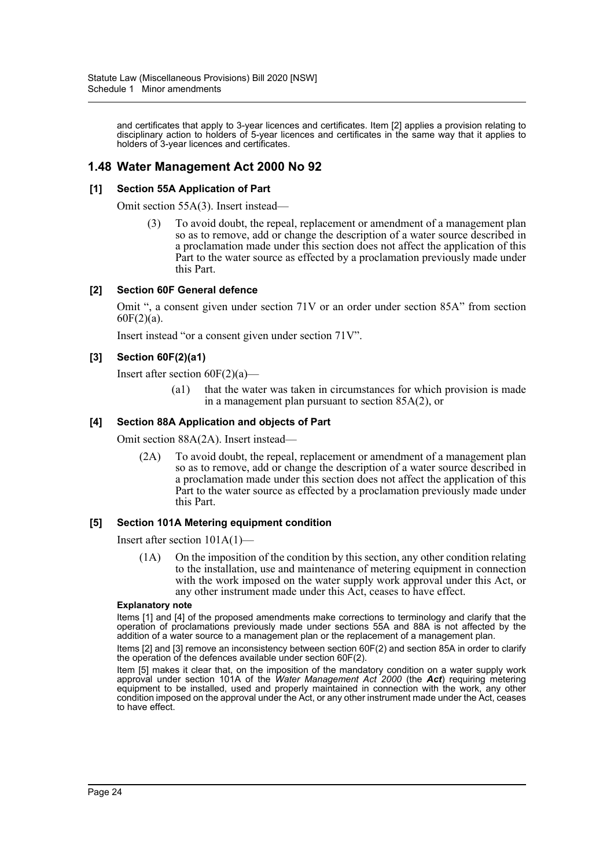and certificates that apply to 3-year licences and certificates. Item [2] applies a provision relating to disciplinary action to holders of 5-year licences and certificates in the same way that it applies to holders of 3-year licences and certificates.

# **1.48 Water Management Act 2000 No 92**

### **[1] Section 55A Application of Part**

Omit section 55A(3). Insert instead—

(3) To avoid doubt, the repeal, replacement or amendment of a management plan so as to remove, add or change the description of a water source described in a proclamation made under this section does not affect the application of this Part to the water source as effected by a proclamation previously made under this Part.

### **[2] Section 60F General defence**

Omit ", a consent given under section 71V or an order under section 85A" from section  $60F(2)(a)$ .

Insert instead "or a consent given under section 71V".

### **[3] Section 60F(2)(a1)**

Insert after section  $60F(2)(a)$ —

(a1) that the water was taken in circumstances for which provision is made in a management plan pursuant to section 85A(2), or

### **[4] Section 88A Application and objects of Part**

Omit section 88A(2A). Insert instead—

(2A) To avoid doubt, the repeal, replacement or amendment of a management plan so as to remove, add or change the description of a water source described in a proclamation made under this section does not affect the application of this Part to the water source as effected by a proclamation previously made under this Part.

#### **[5] Section 101A Metering equipment condition**

Insert after section 101A(1)—

(1A) On the imposition of the condition by this section, any other condition relating to the installation, use and maintenance of metering equipment in connection with the work imposed on the water supply work approval under this Act, or any other instrument made under this Act, ceases to have effect.

#### **Explanatory note**

Items [1] and [4] of the proposed amendments make corrections to terminology and clarify that the operation of proclamations previously made under sections 55A and 88A is not affected by the addition of a water source to a management plan or the replacement of a management plan.

Items [2] and [3] remove an inconsistency between section 60F(2) and section 85A in order to clarify the operation of the defences available under section 60F(2).

Item [5] makes it clear that, on the imposition of the mandatory condition on a water supply work approval under section 101A of the *Water Management Act 2000* (the *Act*) requiring metering equipment to be installed, used and properly maintained in connection with the work, any other condition imposed on the approval under the Act, or any other instrument made under the Act, ceases to have effect.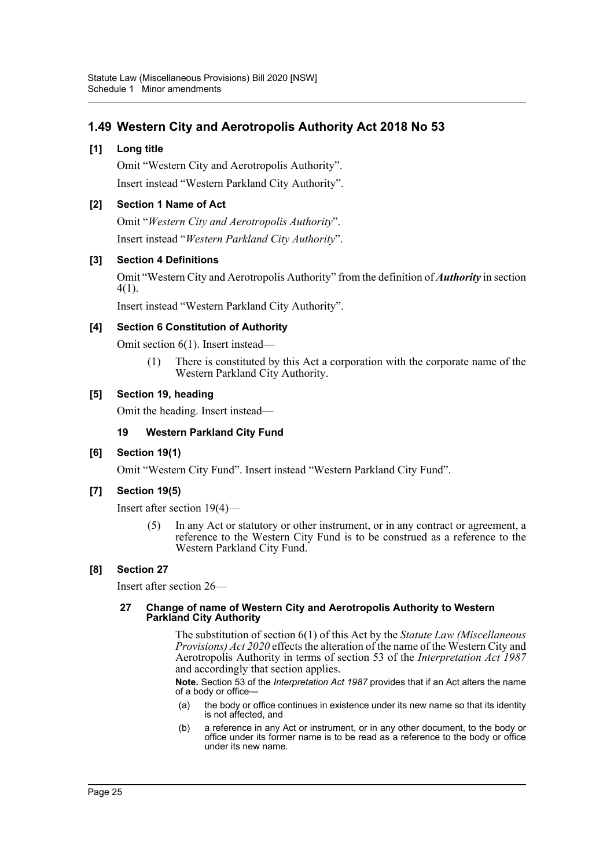# **1.49 Western City and Aerotropolis Authority Act 2018 No 53**

### **[1] Long title**

Omit "Western City and Aerotropolis Authority". Insert instead "Western Parkland City Authority".

### **[2] Section 1 Name of Act**

Omit "*Western City and Aerotropolis Authority*". Insert instead "*Western Parkland City Authority*".

### **[3] Section 4 Definitions**

Omit "Western City and Aerotropolis Authority" from the definition of *Authority* in section 4(1).

Insert instead "Western Parkland City Authority".

### **[4] Section 6 Constitution of Authority**

Omit section 6(1). Insert instead—

(1) There is constituted by this Act a corporation with the corporate name of the Western Parkland City Authority.

### **[5] Section 19, heading**

Omit the heading. Insert instead—

### **19 Western Parkland City Fund**

### **[6] Section 19(1)**

Omit "Western City Fund". Insert instead "Western Parkland City Fund".

### **[7] Section 19(5)**

Insert after section 19(4)—

(5) In any Act or statutory or other instrument, or in any contract or agreement, a reference to the Western City Fund is to be construed as a reference to the Western Parkland City Fund.

### **[8] Section 27**

Insert after section 26—

### **27 Change of name of Western City and Aerotropolis Authority to Western Parkland City Authority**

The substitution of section 6(1) of this Act by the *Statute Law (Miscellaneous Provisions) Act 2020* effects the alteration of the name of the Western City and Aerotropolis Authority in terms of section 53 of the *Interpretation Act 1987* and accordingly that section applies.

**Note.** Section 53 of the *Interpretation Act 1987* provides that if an Act alters the name of a body or office-

- (a) the body or office continues in existence under its new name so that its identity is not affected, and
- (b) a reference in any Act or instrument, or in any other document, to the body or office under its former name is to be read as a reference to the body or office under its new name.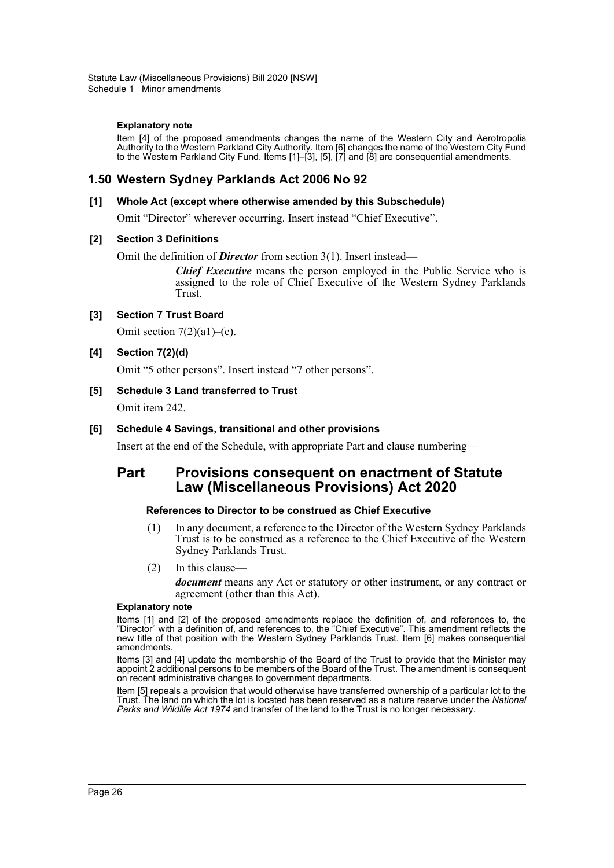#### **Explanatory note**

Item [4] of the proposed amendments changes the name of the Western City and Aerotropolis Authority to the Western Parkland City Authority. Item [6] changes the name of the Western City Fund to the Western Parkland City Fund. Items [1]–[3], [5], [7] and [8] are consequential amendments.

# **1.50 Western Sydney Parklands Act 2006 No 92**

### **[1] Whole Act (except where otherwise amended by this Subschedule)**

Omit "Director" wherever occurring. Insert instead "Chief Executive".

### **[2] Section 3 Definitions**

Omit the definition of *Director* from section 3(1). Insert instead—

*Chief Executive* means the person employed in the Public Service who is assigned to the role of Chief Executive of the Western Sydney Parklands Trust.

### **[3] Section 7 Trust Board**

Omit section  $7(2)(a1)$ –(c).

### **[4] Section 7(2)(d)**

Omit "5 other persons". Insert instead "7 other persons".

### **[5] Schedule 3 Land transferred to Trust**

Omit item 242.

### **[6] Schedule 4 Savings, transitional and other provisions**

Insert at the end of the Schedule, with appropriate Part and clause numbering—

# **Part Provisions consequent on enactment of Statute Law (Miscellaneous Provisions) Act 2020**

#### **References to Director to be construed as Chief Executive**

- (1) In any document, a reference to the Director of the Western Sydney Parklands Trust is to be construed as a reference to the Chief Executive of the Western Sydney Parklands Trust.
- (2) In this clause—

*document* means any Act or statutory or other instrument, or any contract or agreement (other than this Act).

#### **Explanatory note**

Items [1] and [2] of the proposed amendments replace the definition of, and references to, the "Director" with a definition of, and references to, the "Chief Executive". This amendment reflects the new title of that position with the Western Sydney Parklands Trust. Item [6] makes consequential amendments.

Items [3] and [4] update the membership of the Board of the Trust to provide that the Minister may appoint 2 additional persons to be members of the Board of the Trust. The amendment is consequent on recent administrative changes to government departments.

Item [5] repeals a provision that would otherwise have transferred ownership of a particular lot to the Trust. The land on which the lot is located has been reserved as a nature reserve under the *National Parks and Wildlife Act 1974* and transfer of the land to the Trust is no longer necessary.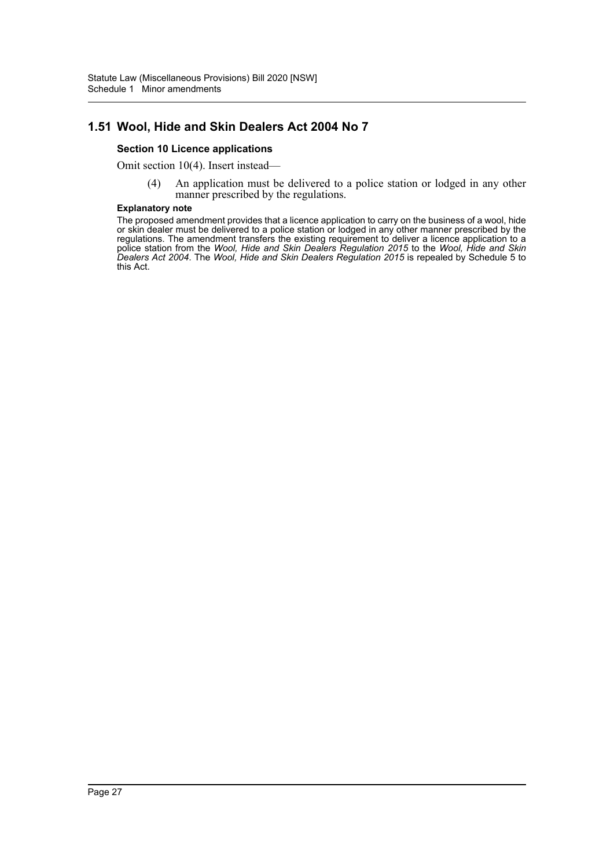# **1.51 Wool, Hide and Skin Dealers Act 2004 No 7**

### **Section 10 Licence applications**

Omit section 10(4). Insert instead—

(4) An application must be delivered to a police station or lodged in any other manner prescribed by the regulations.

#### **Explanatory note**

The proposed amendment provides that a licence application to carry on the business of a wool, hide or skin dealer must be delivered to a police station or lodged in any other manner prescribed by the regulations. The amendment transfers the existing requirement to deliver a licence application to a police station from the *Wool, Hide and Skin Dealers Regulation 2015* to the *Wool, Hide and Skin Dealers Act 2004*. The *Wool, Hide and Skin Dealers Regulation 2015* is repealed by Schedule 5 to this Act.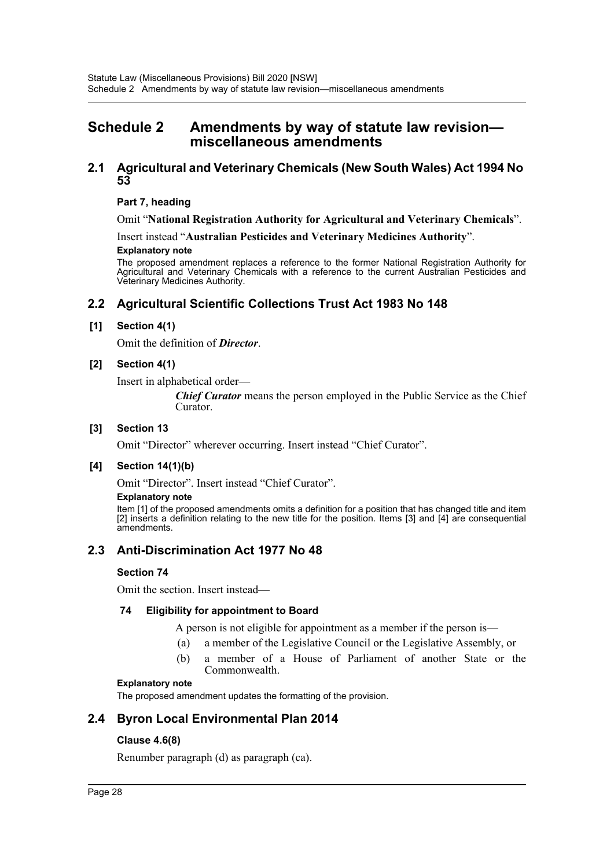# <span id="page-28-0"></span>**Schedule 2 Amendments by way of statute law revision miscellaneous amendments**

## **2.1 Agricultural and Veterinary Chemicals (New South Wales) Act 1994 No 53**

### **Part 7, heading**

Omit "**National Registration Authority for Agricultural and Veterinary Chemicals**".

Insert instead "**Australian Pesticides and Veterinary Medicines Authority**". **Explanatory note**

The proposed amendment replaces a reference to the former National Registration Authority for Agricultural and Veterinary Chemicals with a reference to the current Australian Pesticides and Veterinary Medicines Authority.

# **2.2 Agricultural Scientific Collections Trust Act 1983 No 148**

### **[1] Section 4(1)**

Omit the definition of *Director*.

### **[2] Section 4(1)**

Insert in alphabetical order—

*Chief Curator* means the person employed in the Public Service as the Chief Curator.

### **[3] Section 13**

Omit "Director" wherever occurring. Insert instead "Chief Curator".

### **[4] Section 14(1)(b)**

Omit "Director". Insert instead "Chief Curator".

#### **Explanatory note**

Item [1] of the proposed amendments omits a definition for a position that has changed title and item [2] inserts a definition relating to the new title for the position. Items [3] and [4] are consequential amendments.

# **2.3 Anti-Discrimination Act 1977 No 48**

### **Section 74**

Omit the section. Insert instead—

### **74 Eligibility for appointment to Board**

A person is not eligible for appointment as a member if the person is—

- (a) a member of the Legislative Council or the Legislative Assembly, or
- (b) a member of a House of Parliament of another State or the Commonwealth.

#### **Explanatory note**

The proposed amendment updates the formatting of the provision.

# **2.4 Byron Local Environmental Plan 2014**

### **Clause 4.6(8)**

Renumber paragraph (d) as paragraph (ca).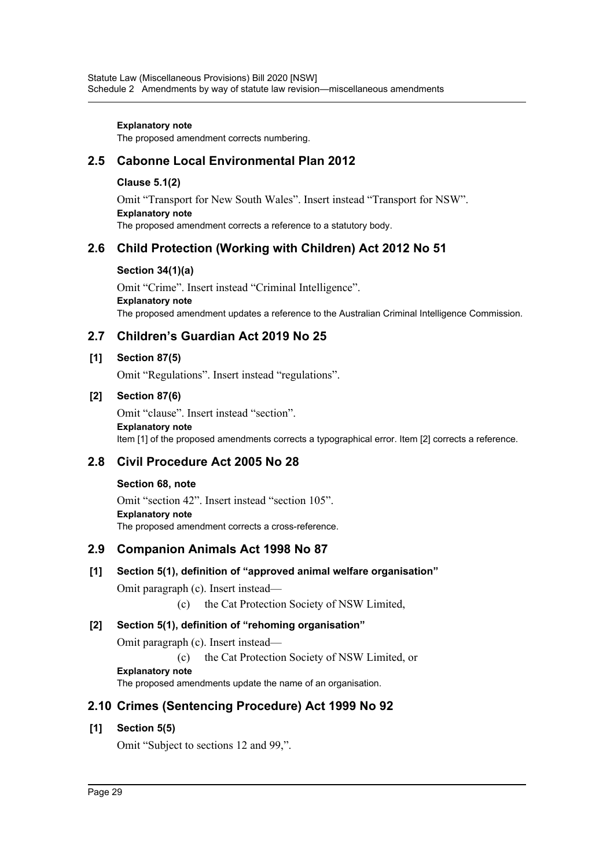### **Explanatory note**

The proposed amendment corrects numbering.

# **2.5 Cabonne Local Environmental Plan 2012**

### **Clause 5.1(2)**

Omit "Transport for New South Wales". Insert instead "Transport for NSW". **Explanatory note** The proposed amendment corrects a reference to a statutory body.

# **2.6 Child Protection (Working with Children) Act 2012 No 51**

### **Section 34(1)(a)**

Omit "Crime". Insert instead "Criminal Intelligence". **Explanatory note** The proposed amendment updates a reference to the Australian Criminal Intelligence Commission.

# **2.7 Children's Guardian Act 2019 No 25**

### **[1] Section 87(5)**

Omit "Regulations". Insert instead "regulations".

### **[2] Section 87(6)**

Omit "clause". Insert instead "section". **Explanatory note** Item [1] of the proposed amendments corrects a typographical error. Item [2] corrects a reference.

# **2.8 Civil Procedure Act 2005 No 28**

### **Section 68, note**

Omit "section 42". Insert instead "section 105". **Explanatory note** The proposed amendment corrects a cross-reference.

# **2.9 Companion Animals Act 1998 No 87**

### **[1] Section 5(1), definition of "approved animal welfare organisation"**

Omit paragraph (c). Insert instead—

(c) the Cat Protection Society of NSW Limited,

### **[2] Section 5(1), definition of "rehoming organisation"**

Omit paragraph (c). Insert instead—

(c) the Cat Protection Society of NSW Limited, or

**Explanatory note**

The proposed amendments update the name of an organisation.

# **2.10 Crimes (Sentencing Procedure) Act 1999 No 92**

### **[1] Section 5(5)**

Omit "Subject to sections 12 and 99,".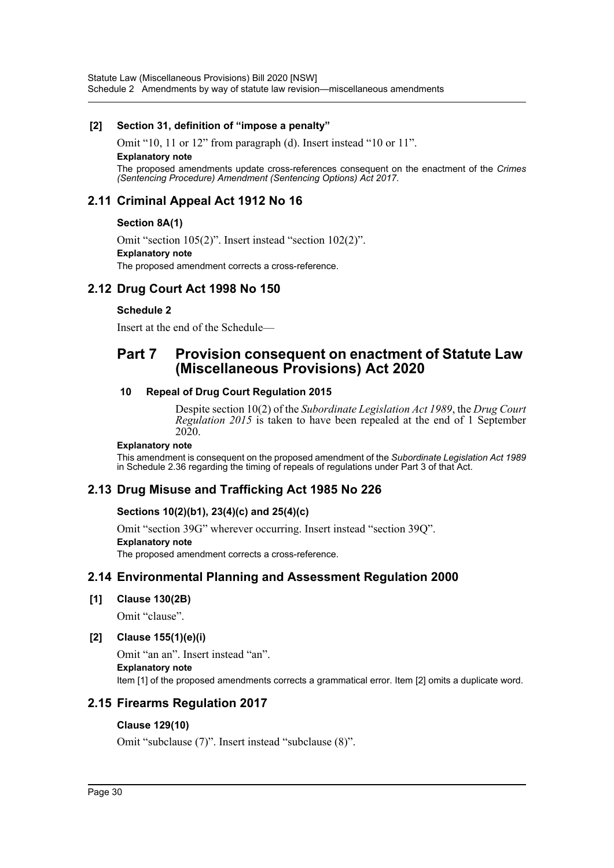Statute Law (Miscellaneous Provisions) Bill 2020 [NSW] Schedule 2 Amendments by way of statute law revision—miscellaneous amendments

### **[2] Section 31, definition of "impose a penalty"**

Omit "10, 11 or 12" from paragraph (d). Insert instead "10 or 11". **Explanatory note** The proposed amendments update cross-references consequent on the enactment of the *Crimes (Sentencing Procedure) Amendment (Sentencing Options) Act 2017*.

# **2.11 Criminal Appeal Act 1912 No 16**

### **Section 8A(1)**

Omit "section 105(2)". Insert instead "section 102(2)". **Explanatory note** The proposed amendment corrects a cross-reference.

# **2.12 Drug Court Act 1998 No 150**

### **Schedule 2**

Insert at the end of the Schedule—

# **Part 7 Provision consequent on enactment of Statute Law (Miscellaneous Provisions) Act 2020**

### **10 Repeal of Drug Court Regulation 2015**

Despite section 10(2) of the *Subordinate Legislation Act 1989*, the *Drug Court Regulation 2015* is taken to have been repealed at the end of 1 September 2020.

### **Explanatory note**

This amendment is consequent on the proposed amendment of the *Subordinate Legislation Act 1989* in Schedule 2.36 regarding the timing of repeals of regulations under Part 3 of that Act.

# **2.13 Drug Misuse and Trafficking Act 1985 No 226**

### **Sections 10(2)(b1), 23(4)(c) and 25(4)(c)**

Omit "section 39G" wherever occurring. Insert instead "section 39Q".

### **Explanatory note**

The proposed amendment corrects a cross-reference.

# **2.14 Environmental Planning and Assessment Regulation 2000**

### **[1] Clause 130(2B)**

Omit "clause".

### **[2] Clause 155(1)(e)(i)**

Omit "an an". Insert instead "an". **Explanatory note** Item [1] of the proposed amendments corrects a grammatical error. Item [2] omits a duplicate word.

# **2.15 Firearms Regulation 2017**

### **Clause 129(10)**

Omit "subclause (7)". Insert instead "subclause (8)".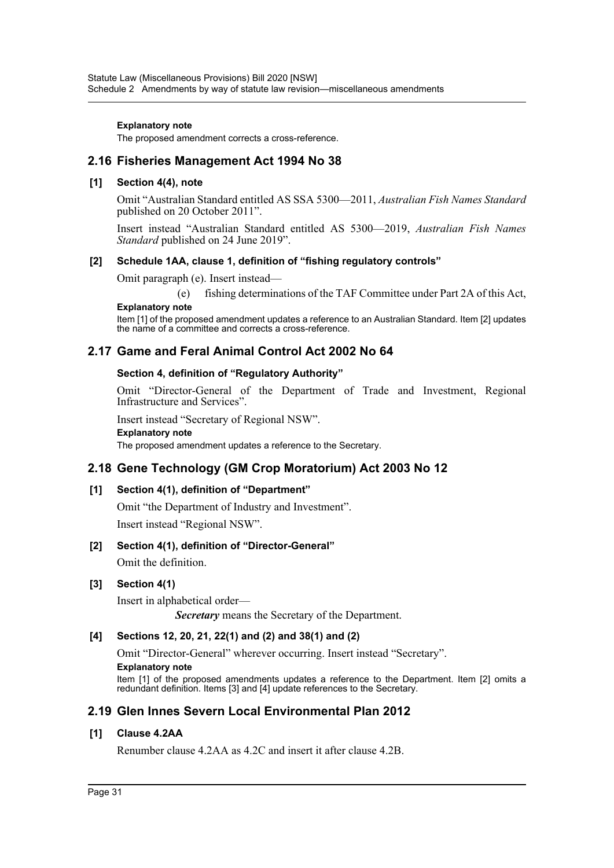#### **Explanatory note**

The proposed amendment corrects a cross-reference.

# **2.16 Fisheries Management Act 1994 No 38**

### **[1] Section 4(4), note**

Omit "Australian Standard entitled AS SSA 5300—2011, *Australian Fish Names Standard* published on 20 October 2011".

Insert instead "Australian Standard entitled AS 5300—2019, *Australian Fish Names Standard* published on 24 June 2019".

### **[2] Schedule 1AA, clause 1, definition of "fishing regulatory controls"**

Omit paragraph (e). Insert instead—

(e) fishing determinations of the TAF Committee under Part 2A of this Act,

### **Explanatory note**

Item [1] of the proposed amendment updates a reference to an Australian Standard. Item [2] updates the name of a committee and corrects a cross-reference.

# **2.17 Game and Feral Animal Control Act 2002 No 64**

### **Section 4, definition of "Regulatory Authority"**

Omit "Director-General of the Department of Trade and Investment, Regional Infrastructure and Services".

Insert instead "Secretary of Regional NSW".

```
Explanatory note
```
The proposed amendment updates a reference to the Secretary.

# **2.18 Gene Technology (GM Crop Moratorium) Act 2003 No 12**

### **[1] Section 4(1), definition of "Department"**

Omit "the Department of Industry and Investment". Insert instead "Regional NSW".

### **[2] Section 4(1), definition of "Director-General"**

Omit the definition.

### **[3] Section 4(1)**

Insert in alphabetical order—

*Secretary* means the Secretary of the Department.

### **[4] Sections 12, 20, 21, 22(1) and (2) and 38(1) and (2)**

Omit "Director-General" wherever occurring. Insert instead "Secretary".

#### **Explanatory note**

Item [1] of the proposed amendments updates a reference to the Department. Item [2] omits a redundant definition. Items [3] and [4] update references to the Secretary.

# **2.19 Glen Innes Severn Local Environmental Plan 2012**

### **[1] Clause 4.2AA**

Renumber clause 4.2AA as 4.2C and insert it after clause 4.2B.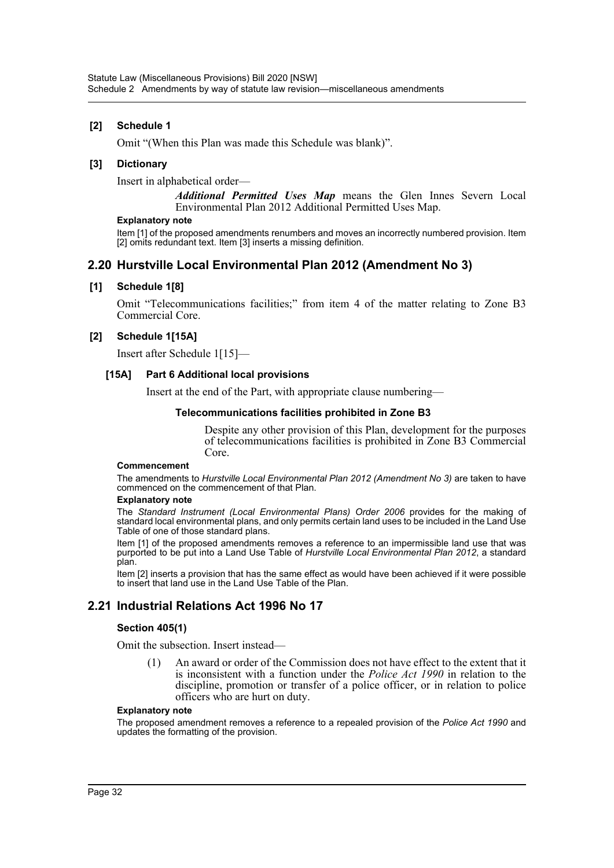### **[2] Schedule 1**

Omit "(When this Plan was made this Schedule was blank)".

### **[3] Dictionary**

Insert in alphabetical order—

*Additional Permitted Uses Map* means the Glen Innes Severn Local Environmental Plan 2012 Additional Permitted Uses Map.

#### **Explanatory note**

Item [1] of the proposed amendments renumbers and moves an incorrectly numbered provision. Item [2] omits redundant text. Item [3] inserts a missing definition.

# **2.20 Hurstville Local Environmental Plan 2012 (Amendment No 3)**

### **[1] Schedule 1[8]**

Omit "Telecommunications facilities;" from item 4 of the matter relating to Zone B3 Commercial Core.

### **[2] Schedule 1[15A]**

Insert after Schedule 1[15]—

#### **[15A] Part 6 Additional local provisions**

Insert at the end of the Part, with appropriate clause numbering—

#### **Telecommunications facilities prohibited in Zone B3**

Despite any other provision of this Plan, development for the purposes of telecommunications facilities is prohibited in Zone B3 Commercial Core.

#### **Commencement**

The amendments to *Hurstville Local Environmental Plan 2012 (Amendment No 3)* are taken to have commenced on the commencement of that Plan.

#### **Explanatory note**

The *Standard Instrument (Local Environmental Plans) Order 2006* provides for the making of standard local environmental plans, and only permits certain land uses to be included in the Land Use Table of one of those standard plans.

Item [1] of the proposed amendments removes a reference to an impermissible land use that was purported to be put into a Land Use Table of *Hurstville Local Environmental Plan 2012*, a standard plan.

Item [2] inserts a provision that has the same effect as would have been achieved if it were possible to insert that land use in the Land Use Table of the Plan.

# **2.21 Industrial Relations Act 1996 No 17**

#### **Section 405(1)**

Omit the subsection. Insert instead—

(1) An award or order of the Commission does not have effect to the extent that it is inconsistent with a function under the *Police Act 1990* in relation to the discipline, promotion or transfer of a police officer, or in relation to police officers who are hurt on duty.

#### **Explanatory note**

The proposed amendment removes a reference to a repealed provision of the *Police Act 1990* and updates the formatting of the provision.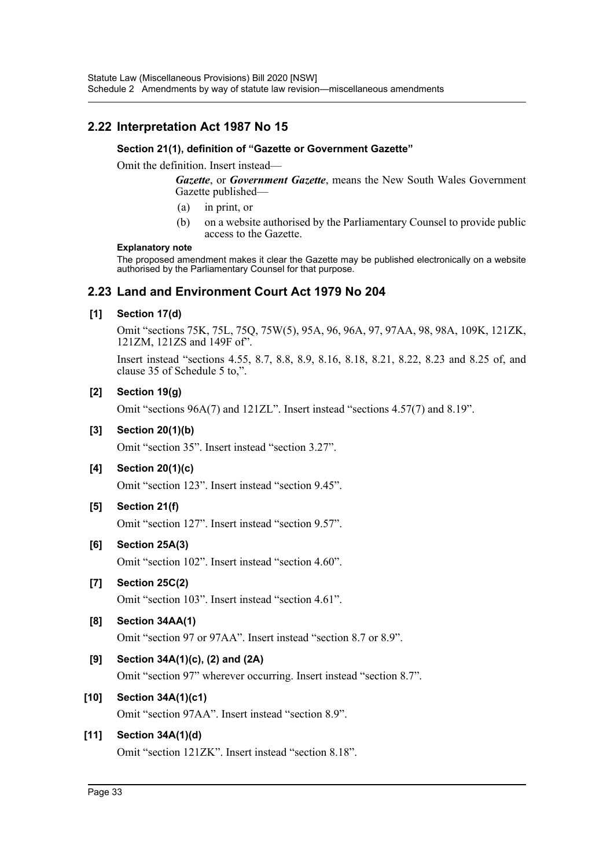# **2.22 Interpretation Act 1987 No 15**

### **Section 21(1), definition of "Gazette or Government Gazette"**

Omit the definition. Insert instead—

*Gazette*, or *Government Gazette*, means the New South Wales Government Gazette published—

- (a) in print, or
- (b) on a website authorised by the Parliamentary Counsel to provide public access to the Gazette.

#### **Explanatory note**

The proposed amendment makes it clear the Gazette may be published electronically on a website authorised by the Parliamentary Counsel for that purpose.

# **2.23 Land and Environment Court Act 1979 No 204**

### **[1] Section 17(d)**

Omit "sections 75K, 75L, 75Q, 75W(5), 95A, 96, 96A, 97, 97AA, 98, 98A, 109K, 121ZK, 121ZM, 121ZS and 149F of".

Insert instead "sections 4.55, 8.7, 8.8, 8.9, 8.16, 8.18, 8.21, 8.22, 8.23 and 8.25 of, and clause 35 of Schedule 5 to,".

### **[2] Section 19(g)**

Omit "sections 96A(7) and 121ZL". Insert instead "sections 4.57(7) and 8.19".

### **[3] Section 20(1)(b)**

Omit "section 35". Insert instead "section 3.27".

**[4] Section 20(1)(c)**

Omit "section 123". Insert instead "section 9.45".

### **[5] Section 21(f)**

Omit "section 127". Insert instead "section 9.57".

### **[6] Section 25A(3)**

Omit "section 102". Insert instead "section 4.60".

### **[7] Section 25C(2)**

Omit "section 103". Insert instead "section 4.61".

### **[8] Section 34AA(1)**

Omit "section 97 or 97AA". Insert instead "section 8.7 or 8.9".

### **[9] Section 34A(1)(c), (2) and (2A)**

Omit "section 97" wherever occurring. Insert instead "section 8.7".

### **[10] Section 34A(1)(c1)**

Omit "section 97AA". Insert instead "section 8.9".

### **[11] Section 34A(1)(d)**

Omit "section 121ZK". Insert instead "section 8.18".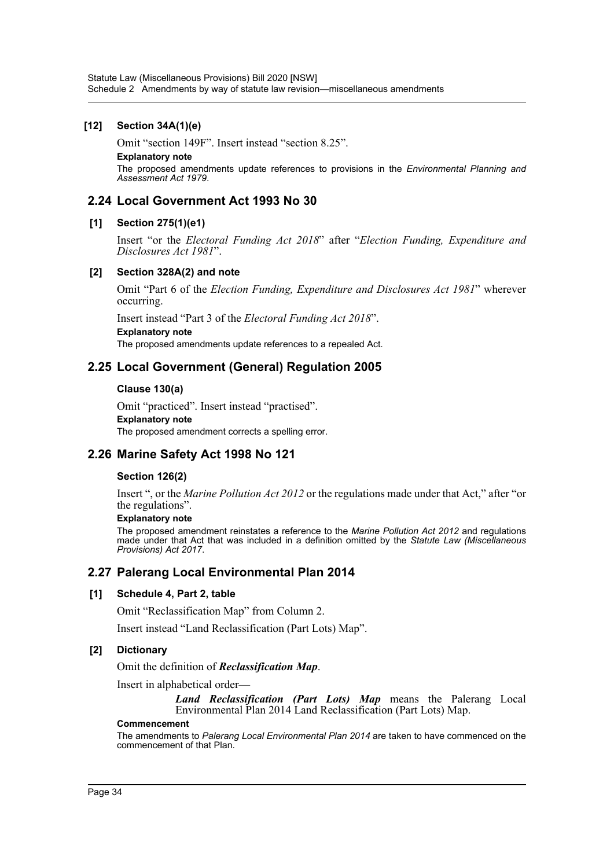### **[12] Section 34A(1)(e)**

Omit "section 149F". Insert instead "section 8.25".

**Explanatory note**

The proposed amendments update references to provisions in the *Environmental Planning and Assessment Act 1979*.

# **2.24 Local Government Act 1993 No 30**

### **[1] Section 275(1)(e1)**

Insert "or the *Electoral Funding Act 2018*" after "*Election Funding, Expenditure and Disclosures Act 1981*".

### **[2] Section 328A(2) and note**

Omit "Part 6 of the *Election Funding, Expenditure and Disclosures Act 1981*" wherever occurring.

Insert instead "Part 3 of the *Electoral Funding Act 2018*".

#### **Explanatory note**

The proposed amendments update references to a repealed Act.

# **2.25 Local Government (General) Regulation 2005**

### **Clause 130(a)**

Omit "practiced". Insert instead "practised". **Explanatory note** The proposed amendment corrects a spelling error.

# **2.26 Marine Safety Act 1998 No 121**

### **Section 126(2)**

Insert ", or the *Marine Pollution Act 2012* or the regulations made under that Act," after "or the regulations".

### **Explanatory note**

The proposed amendment reinstates a reference to the *Marine Pollution Act 2012* and regulations made under that Act that was included in a definition omitted by the *Statute Law (Miscellaneous Provisions) Act 2017*.

### **2.27 Palerang Local Environmental Plan 2014**

### **[1] Schedule 4, Part 2, table**

Omit "Reclassification Map" from Column 2.

Insert instead "Land Reclassification (Part Lots) Map".

### **[2] Dictionary**

Omit the definition of *Reclassification Map*.

Insert in alphabetical order—

*Land Reclassification (Part Lots) Map* means the Palerang Local Environmental Plan 2014 Land Reclassification (Part Lots) Map.

#### **Commencement**

The amendments to *Palerang Local Environmental Plan 2014* are taken to have commenced on the commencement of that Plan.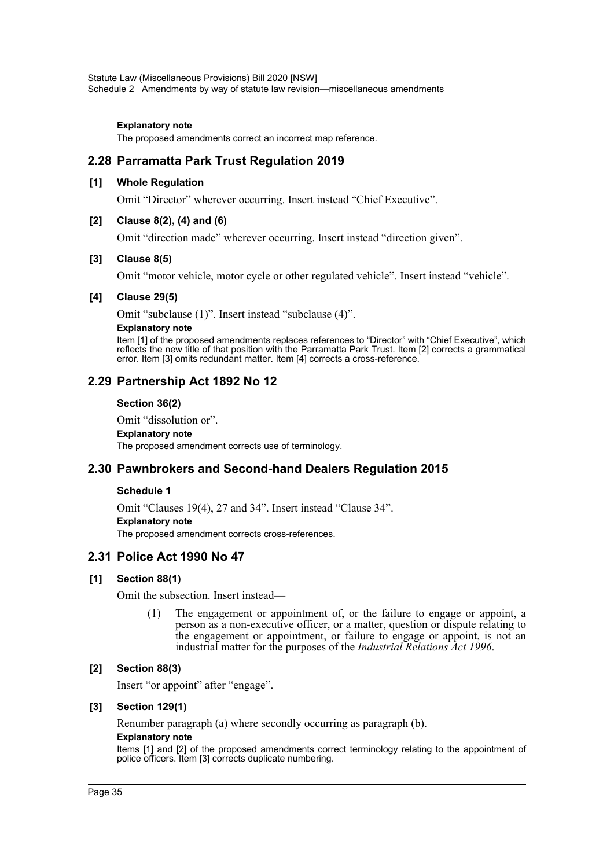#### **Explanatory note**

The proposed amendments correct an incorrect map reference.

# **2.28 Parramatta Park Trust Regulation 2019**

### **[1] Whole Regulation**

Omit "Director" wherever occurring. Insert instead "Chief Executive".

### **[2] Clause 8(2), (4) and (6)**

Omit "direction made" wherever occurring. Insert instead "direction given".

### **[3] Clause 8(5)**

Omit "motor vehicle, motor cycle or other regulated vehicle". Insert instead "vehicle".

#### **[4] Clause 29(5)**

Omit "subclause (1)". Insert instead "subclause (4)".

#### **Explanatory note**

Item [1] of the proposed amendments replaces references to "Director" with "Chief Executive", which reflects the new title of that position with the Parramatta Park Trust. Item [2] corrects a grammatical error. Item [3] omits redundant matter. Item [4] corrects a cross-reference.

### **2.29 Partnership Act 1892 No 12**

### **Section 36(2)**

Omit "dissolution or".

#### **Explanatory note**

The proposed amendment corrects use of terminology.

### **2.30 Pawnbrokers and Second-hand Dealers Regulation 2015**

### **Schedule 1**

Omit "Clauses 19(4), 27 and 34". Insert instead "Clause 34". **Explanatory note** The proposed amendment corrects cross-references.

# **2.31 Police Act 1990 No 47**

### **[1] Section 88(1)**

Omit the subsection. Insert instead—

(1) The engagement or appointment of, or the failure to engage or appoint, a person as a non-executive officer, or a matter, question or dispute relating to the engagement or appointment, or failure to engage or appoint, is not an industrial matter for the purposes of the *Industrial Relations Act 1996*.

### **[2] Section 88(3)**

Insert "or appoint" after "engage".

### **[3] Section 129(1)**

Renumber paragraph (a) where secondly occurring as paragraph (b).

### **Explanatory note**

Items [1] and [2] of the proposed amendments correct terminology relating to the appointment of police officers. Item [3] corrects duplicate numbering.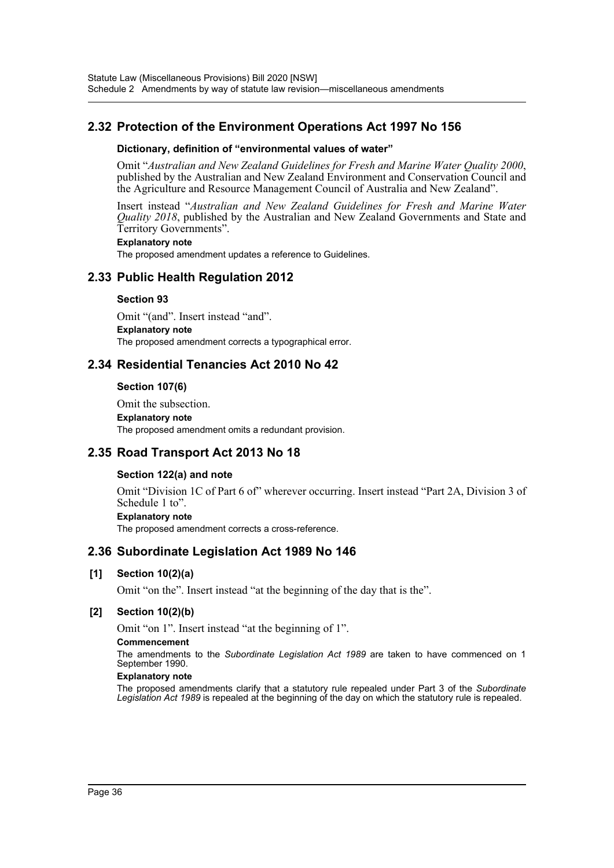# **2.32 Protection of the Environment Operations Act 1997 No 156**

#### **Dictionary, definition of "environmental values of water"**

Omit "*Australian and New Zealand Guidelines for Fresh and Marine Water Quality 2000*, published by the Australian and New Zealand Environment and Conservation Council and the Agriculture and Resource Management Council of Australia and New Zealand".

Insert instead "*Australian and New Zealand Guidelines for Fresh and Marine Water Quality 2018*, published by the Australian and New Zealand Governments and State and Territory Governments".

#### **Explanatory note**

The proposed amendment updates a reference to Guidelines.

## **2.33 Public Health Regulation 2012**

#### **Section 93**

Omit "(and". Insert instead "and". **Explanatory note** The proposed amendment corrects a typographical error.

## **2.34 Residential Tenancies Act 2010 No 42**

#### **Section 107(6)**

Omit the subsection. **Explanatory note** The proposed amendment omits a redundant provision.

## **2.35 Road Transport Act 2013 No 18**

#### **Section 122(a) and note**

Omit "Division 1C of Part 6 of" wherever occurring. Insert instead "Part 2A, Division 3 of Schedule 1 to".

#### **Explanatory note**

The proposed amendment corrects a cross-reference.

## **2.36 Subordinate Legislation Act 1989 No 146**

### **[1] Section 10(2)(a)**

Omit "on the". Insert instead "at the beginning of the day that is the".

#### **[2] Section 10(2)(b)**

Omit "on 1". Insert instead "at the beginning of 1".

#### **Commencement**

The amendments to the *Subordinate Legislation Act 1989* are taken to have commenced on 1 September 1990.

#### **Explanatory note**

The proposed amendments clarify that a statutory rule repealed under Part 3 of the *Subordinate Legislation Act 1989* is repealed at the beginning of the day on which the statutory rule is repealed.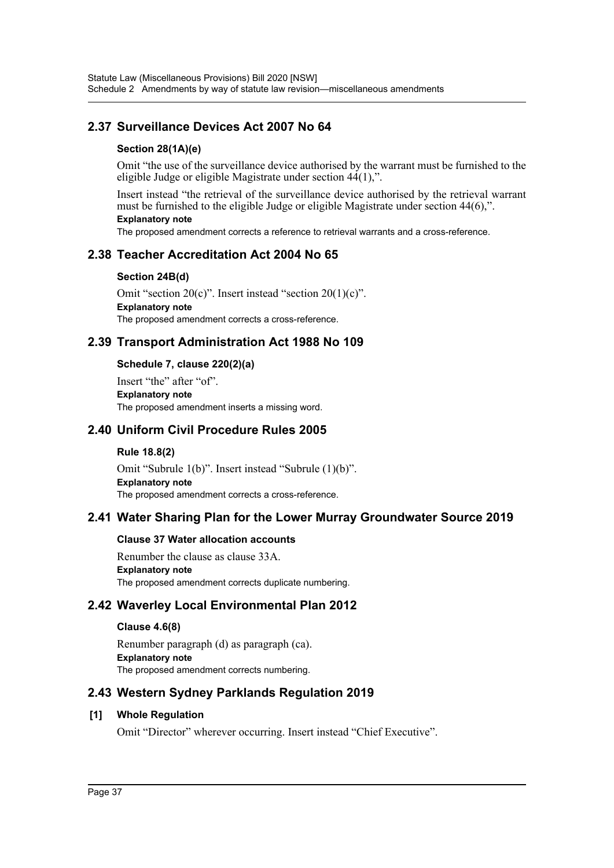# **2.37 Surveillance Devices Act 2007 No 64**

### **Section 28(1A)(e)**

Omit "the use of the surveillance device authorised by the warrant must be furnished to the eligible Judge or eligible Magistrate under section  $44(1)$ ,".

Insert instead "the retrieval of the surveillance device authorised by the retrieval warrant must be furnished to the eligible Judge or eligible Magistrate under section 44(6),".

#### **Explanatory note**

The proposed amendment corrects a reference to retrieval warrants and a cross-reference.

## **2.38 Teacher Accreditation Act 2004 No 65**

#### **Section 24B(d)**

Omit "section 20(c)". Insert instead "section 20(1)(c)". **Explanatory note** The proposed amendment corrects a cross-reference.

## **2.39 Transport Administration Act 1988 No 109**

### **Schedule 7, clause 220(2)(a)**

Insert "the" after "of". **Explanatory note** The proposed amendment inserts a missing word.

### **2.40 Uniform Civil Procedure Rules 2005**

#### **Rule 18.8(2)**

Omit "Subrule 1(b)". Insert instead "Subrule (1)(b)". **Explanatory note** The proposed amendment corrects a cross-reference.

## **2.41 Water Sharing Plan for the Lower Murray Groundwater Source 2019**

#### **Clause 37 Water allocation accounts**

Renumber the clause as clause 33A. **Explanatory note** The proposed amendment corrects duplicate numbering.

## **2.42 Waverley Local Environmental Plan 2012**

#### **Clause 4.6(8)**

Renumber paragraph (d) as paragraph (ca). **Explanatory note** The proposed amendment corrects numbering.

## **2.43 Western Sydney Parklands Regulation 2019**

#### **[1] Whole Regulation**

Omit "Director" wherever occurring. Insert instead "Chief Executive".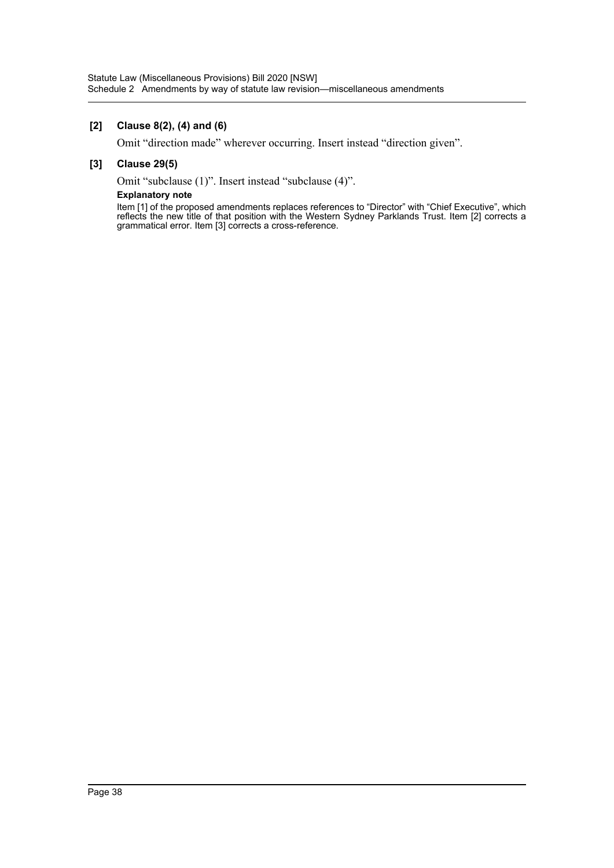#### **[2] Clause 8(2), (4) and (6)**

Omit "direction made" wherever occurring. Insert instead "direction given".

#### **[3] Clause 29(5)**

Omit "subclause (1)". Insert instead "subclause (4)".

#### **Explanatory note**

Item [1] of the proposed amendments replaces references to "Director" with "Chief Executive", which reflects the new title of that position with the Western Sydney Parklands Trust. Item [2] corrects a grammatical error. Item [3] corrects a cross-reference.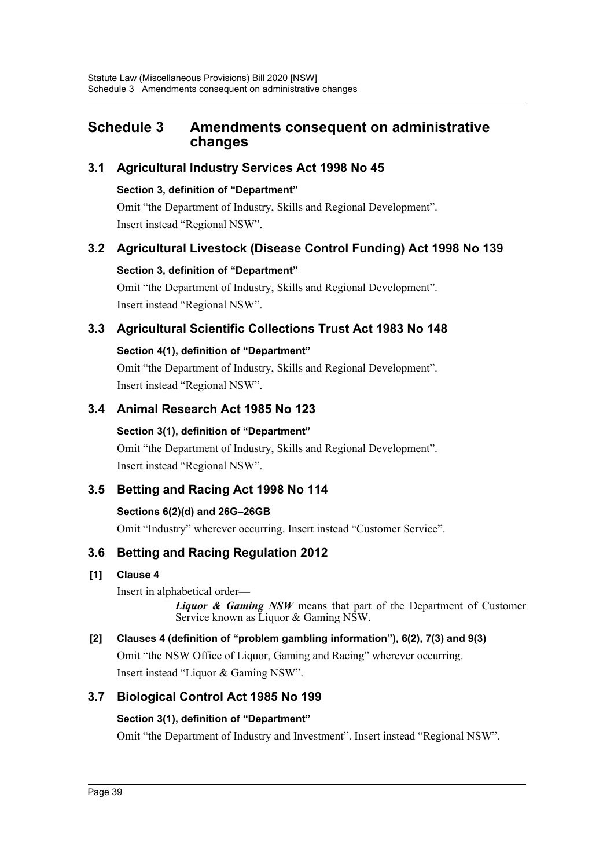# **Schedule 3 Amendments consequent on administrative changes**

# **3.1 Agricultural Industry Services Act 1998 No 45**

## **Section 3, definition of "Department"**

Omit "the Department of Industry, Skills and Regional Development". Insert instead "Regional NSW".

# **3.2 Agricultural Livestock (Disease Control Funding) Act 1998 No 139**

## **Section 3, definition of "Department"**

Omit "the Department of Industry, Skills and Regional Development". Insert instead "Regional NSW".

# **3.3 Agricultural Scientific Collections Trust Act 1983 No 148**

## **Section 4(1), definition of "Department"**

Omit "the Department of Industry, Skills and Regional Development". Insert instead "Regional NSW".

# **3.4 Animal Research Act 1985 No 123**

## **Section 3(1), definition of "Department"**

Omit "the Department of Industry, Skills and Regional Development". Insert instead "Regional NSW".

# **3.5 Betting and Racing Act 1998 No 114**

## **Sections 6(2)(d) and 26G–26GB**

Omit "Industry" wherever occurring. Insert instead "Customer Service".

# **3.6 Betting and Racing Regulation 2012**

## **[1] Clause 4**

Insert in alphabetical order—

*Liquor & Gaming NSW* means that part of the Department of Customer Service known as Liquor & Gaming NSW.

# **[2] Clauses 4 (definition of "problem gambling information"), 6(2), 7(3) and 9(3)**

Omit "the NSW Office of Liquor, Gaming and Racing" wherever occurring. Insert instead "Liquor & Gaming NSW".

# **3.7 Biological Control Act 1985 No 199**

## **Section 3(1), definition of "Department"**

Omit "the Department of Industry and Investment". Insert instead "Regional NSW".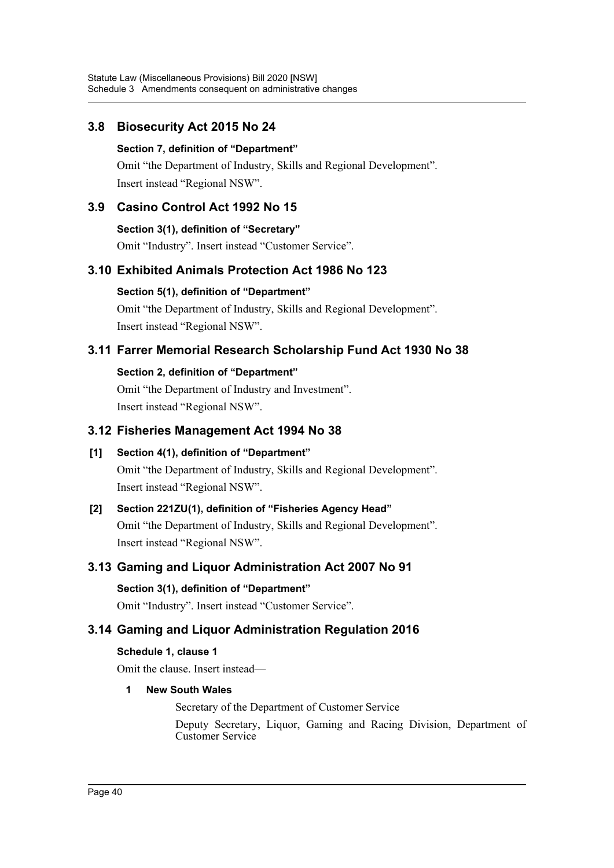# **3.8 Biosecurity Act 2015 No 24**

### **Section 7, definition of "Department"**

Omit "the Department of Industry, Skills and Regional Development". Insert instead "Regional NSW".

# **3.9 Casino Control Act 1992 No 15**

**Section 3(1), definition of "Secretary"**

Omit "Industry". Insert instead "Customer Service".

# **3.10 Exhibited Animals Protection Act 1986 No 123**

### **Section 5(1), definition of "Department"**

Omit "the Department of Industry, Skills and Regional Development". Insert instead "Regional NSW".

# **3.11 Farrer Memorial Research Scholarship Fund Act 1930 No 38**

## **Section 2, definition of "Department"**

Omit "the Department of Industry and Investment". Insert instead "Regional NSW".

## **3.12 Fisheries Management Act 1994 No 38**

# **[1] Section 4(1), definition of "Department"**

Omit "the Department of Industry, Skills and Regional Development". Insert instead "Regional NSW".

# **[2] Section 221ZU(1), definition of "Fisheries Agency Head"**

Omit "the Department of Industry, Skills and Regional Development". Insert instead "Regional NSW".

# **3.13 Gaming and Liquor Administration Act 2007 No 91**

### **Section 3(1), definition of "Department"**

Omit "Industry". Insert instead "Customer Service".

# **3.14 Gaming and Liquor Administration Regulation 2016**

## **Schedule 1, clause 1**

Omit the clause. Insert instead—

## **1 New South Wales**

Secretary of the Department of Customer Service

Deputy Secretary, Liquor, Gaming and Racing Division, Department of Customer Service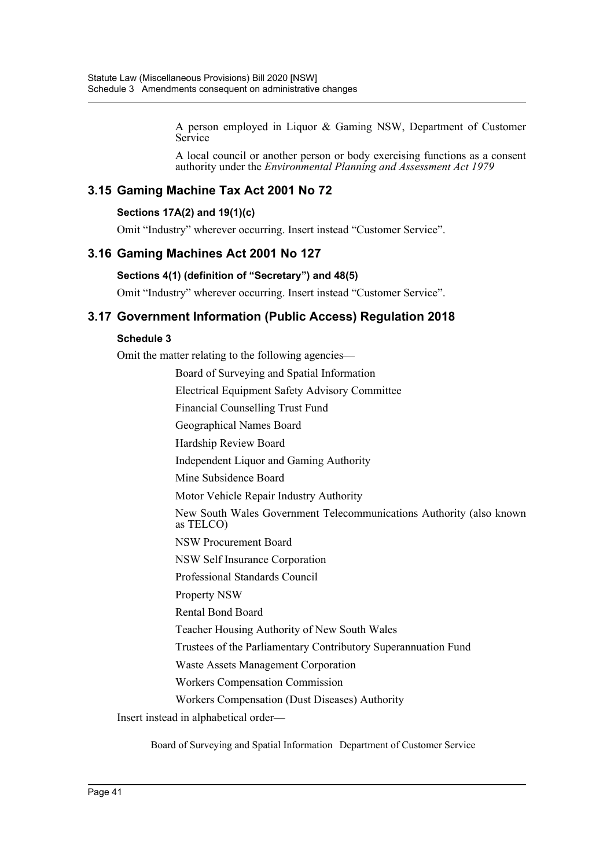A person employed in Liquor & Gaming NSW, Department of Customer Service

A local council or another person or body exercising functions as a consent authority under the *Environmental Planning and Assessment Act 1979*

# **3.15 Gaming Machine Tax Act 2001 No 72**

#### **Sections 17A(2) and 19(1)(c)**

Omit "Industry" wherever occurring. Insert instead "Customer Service".

### **3.16 Gaming Machines Act 2001 No 127**

#### **Sections 4(1) (definition of "Secretary") and 48(5)**

Omit "Industry" wherever occurring. Insert instead "Customer Service".

## **3.17 Government Information (Public Access) Regulation 2018**

#### **Schedule 3**

Omit the matter relating to the following agencies—

Board of Surveying and Spatial Information

Electrical Equipment Safety Advisory Committee

Financial Counselling Trust Fund

- Geographical Names Board
- Hardship Review Board

Independent Liquor and Gaming Authority

Mine Subsidence Board

Motor Vehicle Repair Industry Authority

New South Wales Government Telecommunications Authority (also known as TELCO)

NSW Procurement Board

NSW Self Insurance Corporation

Professional Standards Council

Property NSW

Rental Bond Board

Teacher Housing Authority of New South Wales

Trustees of the Parliamentary Contributory Superannuation Fund

Waste Assets Management Corporation

Workers Compensation Commission

Workers Compensation (Dust Diseases) Authority

Insert instead in alphabetical order—

Board of Surveying and Spatial Information Department of Customer Service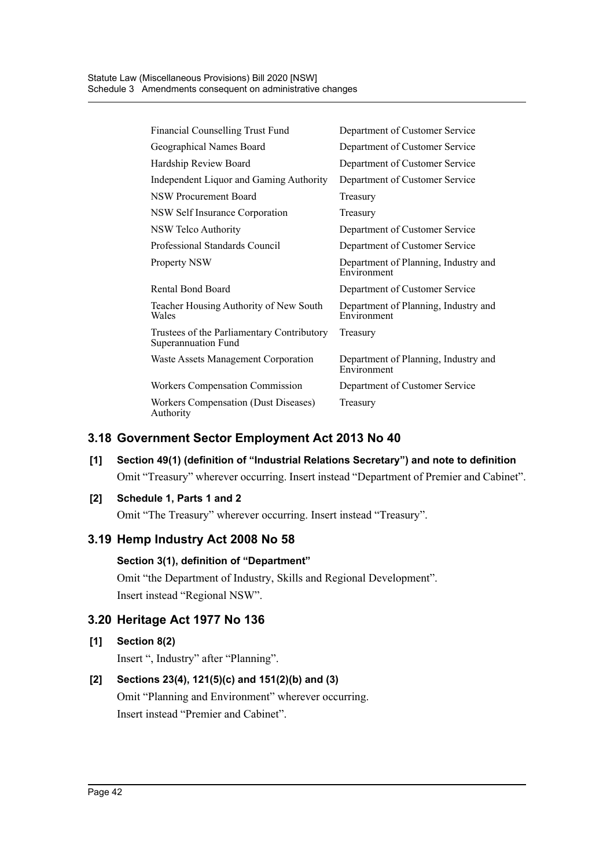| Financial Counselling Trust Fund                                  | Department of Customer Service                      |
|-------------------------------------------------------------------|-----------------------------------------------------|
| Geographical Names Board                                          | Department of Customer Service                      |
| Hardship Review Board                                             | Department of Customer Service                      |
| Independent Liquor and Gaming Authority                           | Department of Customer Service                      |
| <b>NSW Procurement Board</b>                                      | Treasury                                            |
| NSW Self Insurance Corporation                                    | Treasury                                            |
| NSW Telco Authority                                               | Department of Customer Service                      |
| Professional Standards Council                                    | Department of Customer Service                      |
| <b>Property NSW</b>                                               | Department of Planning, Industry and<br>Environment |
| Rental Bond Board                                                 | Department of Customer Service                      |
| Teacher Housing Authority of New South<br>Wales                   | Department of Planning, Industry and<br>Environment |
| Trustees of the Parliamentary Contributory<br>Superannuation Fund | Treasury                                            |
| Waste Assets Management Corporation                               | Department of Planning, Industry and<br>Environment |
| Workers Compensation Commission                                   | Department of Customer Service                      |
| Workers Compensation (Dust Diseases)<br>Authority                 | Treasury                                            |

# **3.18 Government Sector Employment Act 2013 No 40**

# **[1] Section 49(1) (definition of "Industrial Relations Secretary") and note to definition** Omit "Treasury" wherever occurring. Insert instead "Department of Premier and Cabinet".

### **[2] Schedule 1, Parts 1 and 2**

Omit "The Treasury" wherever occurring. Insert instead "Treasury".

## **3.19 Hemp Industry Act 2008 No 58**

# **Section 3(1), definition of "Department"**

Omit "the Department of Industry, Skills and Regional Development". Insert instead "Regional NSW".

# **3.20 Heritage Act 1977 No 136**

#### **[1] Section 8(2)**

Insert ", Industry" after "Planning".

## **[2] Sections 23(4), 121(5)(c) and 151(2)(b) and (3)**

Omit "Planning and Environment" wherever occurring. Insert instead "Premier and Cabinet".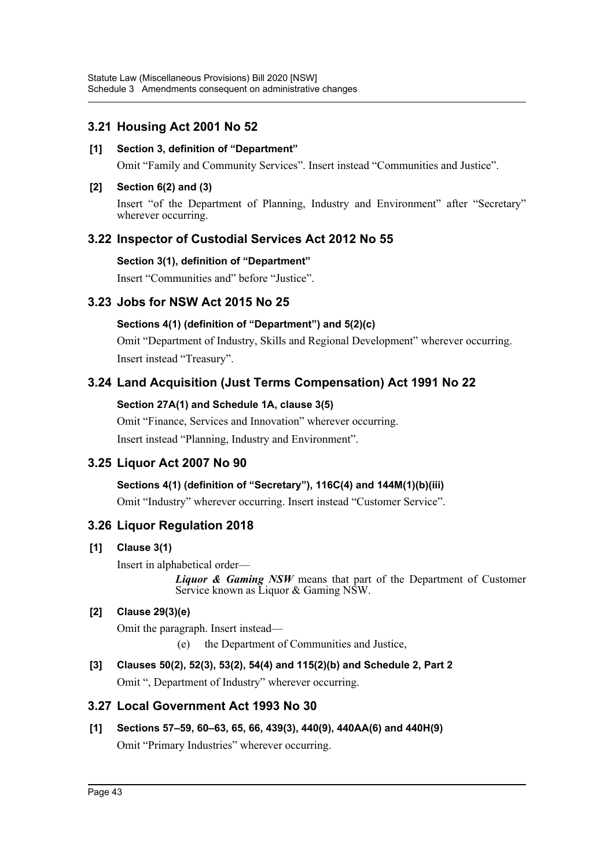# **3.21 Housing Act 2001 No 52**

### **[1] Section 3, definition of "Department"**

Omit "Family and Community Services". Insert instead "Communities and Justice".

### **[2] Section 6(2) and (3)**

Insert "of the Department of Planning, Industry and Environment" after "Secretary" wherever occurring.

## **3.22 Inspector of Custodial Services Act 2012 No 55**

### **Section 3(1), definition of "Department"**

Insert "Communities and" before "Justice".

## **3.23 Jobs for NSW Act 2015 No 25**

## **Sections 4(1) (definition of "Department") and 5(2)(c)**

Omit "Department of Industry, Skills and Regional Development" wherever occurring. Insert instead "Treasury".

# **3.24 Land Acquisition (Just Terms Compensation) Act 1991 No 22**

### **Section 27A(1) and Schedule 1A, clause 3(5)**

Omit "Finance, Services and Innovation" wherever occurring. Insert instead "Planning, Industry and Environment".

# **3.25 Liquor Act 2007 No 90**

## **Sections 4(1) (definition of "Secretary"), 116C(4) and 144M(1)(b)(iii)**

Omit "Industry" wherever occurring. Insert instead "Customer Service".

# **3.26 Liquor Regulation 2018**

**[1] Clause 3(1)**

Insert in alphabetical order—

*Liquor & Gaming NSW* means that part of the Department of Customer Service known as Liquor & Gaming NSW.

## **[2] Clause 29(3)(e)**

Omit the paragraph. Insert instead—

(e) the Department of Communities and Justice,

# **[3] Clauses 50(2), 52(3), 53(2), 54(4) and 115(2)(b) and Schedule 2, Part 2**

Omit ", Department of Industry" wherever occurring.

## **3.27 Local Government Act 1993 No 30**

**[1] Sections 57–59, 60–63, 65, 66, 439(3), 440(9), 440AA(6) and 440H(9)**  Omit "Primary Industries" wherever occurring.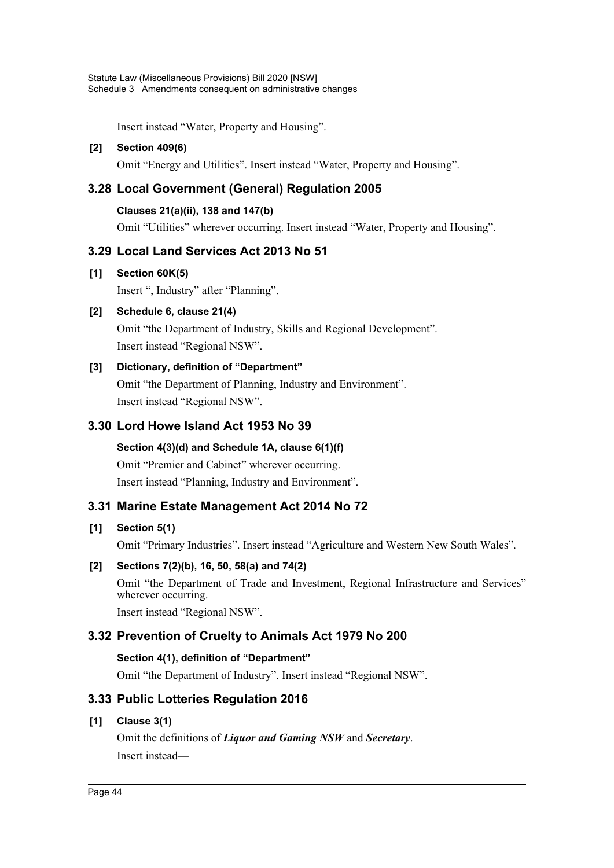Insert instead "Water, Property and Housing".

### **[2] Section 409(6)**

Omit "Energy and Utilities". Insert instead "Water, Property and Housing".

# **3.28 Local Government (General) Regulation 2005**

### **Clauses 21(a)(ii), 138 and 147(b)**

Omit "Utilities" wherever occurring. Insert instead "Water, Property and Housing".

## **3.29 Local Land Services Act 2013 No 51**

### **[1] Section 60K(5)**

Insert ", Industry" after "Planning".

### **[2] Schedule 6, clause 21(4)**

Omit "the Department of Industry, Skills and Regional Development". Insert instead "Regional NSW".

### **[3] Dictionary, definition of "Department"**

Omit "the Department of Planning, Industry and Environment". Insert instead "Regional NSW".

## **3.30 Lord Howe Island Act 1953 No 39**

**Section 4(3)(d) and Schedule 1A, clause 6(1)(f)** Omit "Premier and Cabinet" wherever occurring. Insert instead "Planning, Industry and Environment".

## **3.31 Marine Estate Management Act 2014 No 72**

## **[1] Section 5(1)**

Omit "Primary Industries". Insert instead "Agriculture and Western New South Wales".

## **[2] Sections 7(2)(b), 16, 50, 58(a) and 74(2)**

Omit "the Department of Trade and Investment, Regional Infrastructure and Services" wherever occurring.

Insert instead "Regional NSW".

## **3.32 Prevention of Cruelty to Animals Act 1979 No 200**

## **Section 4(1), definition of "Department"**

Omit "the Department of Industry". Insert instead "Regional NSW".

# **3.33 Public Lotteries Regulation 2016**

### **[1] Clause 3(1)**

Omit the definitions of *Liquor and Gaming NSW* and *Secretary*. Insert instead—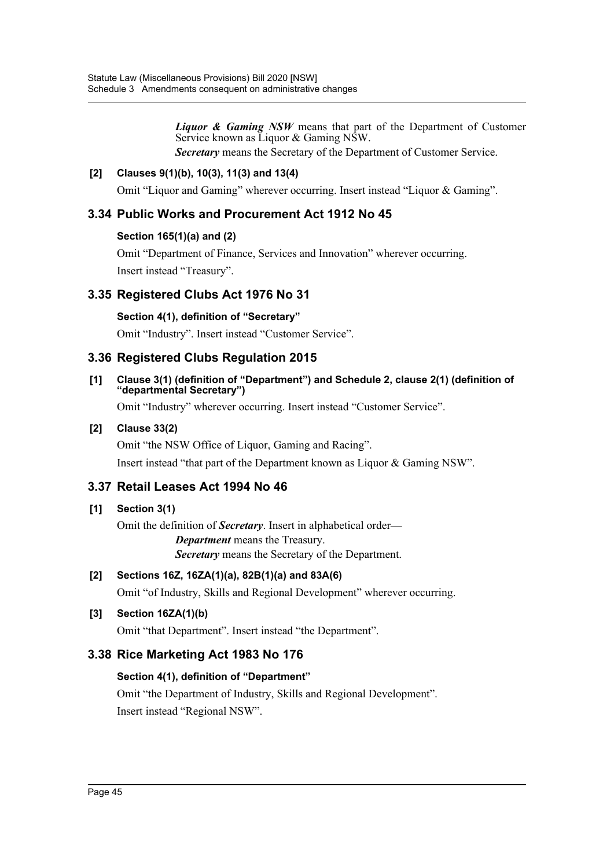*Liquor & Gaming NSW* means that part of the Department of Customer Service known as Liquor & Gaming NSW.

*Secretary* means the Secretary of the Department of Customer Service.

### **[2] Clauses 9(1)(b), 10(3), 11(3) and 13(4)**

Omit "Liquor and Gaming" wherever occurring. Insert instead "Liquor & Gaming".

## **3.34 Public Works and Procurement Act 1912 No 45**

### **Section 165(1)(a) and (2)**

Omit "Department of Finance, Services and Innovation" wherever occurring. Insert instead "Treasury".

# **3.35 Registered Clubs Act 1976 No 31**

### **Section 4(1), definition of "Secretary"**

Omit "Industry". Insert instead "Customer Service".

## **3.36 Registered Clubs Regulation 2015**

#### **[1] Clause 3(1) (definition of "Department") and Schedule 2, clause 2(1) (definition of "departmental Secretary")**

Omit "Industry" wherever occurring. Insert instead "Customer Service".

### **[2] Clause 33(2)**

Omit "the NSW Office of Liquor, Gaming and Racing".

Insert instead "that part of the Department known as Liquor & Gaming NSW".

# **3.37 Retail Leases Act 1994 No 46**

## **[1] Section 3(1)**

Omit the definition of *Secretary*. Insert in alphabetical order— *Department* means the Treasury. *Secretary* means the Secretary of the Department.

## **[2] Sections 16Z, 16ZA(1)(a), 82B(1)(a) and 83A(6)**

Omit "of Industry, Skills and Regional Development" wherever occurring.

## **[3] Section 16ZA(1)(b)**

Omit "that Department". Insert instead "the Department".

## **3.38 Rice Marketing Act 1983 No 176**

### **Section 4(1), definition of "Department"**

Omit "the Department of Industry, Skills and Regional Development". Insert instead "Regional NSW".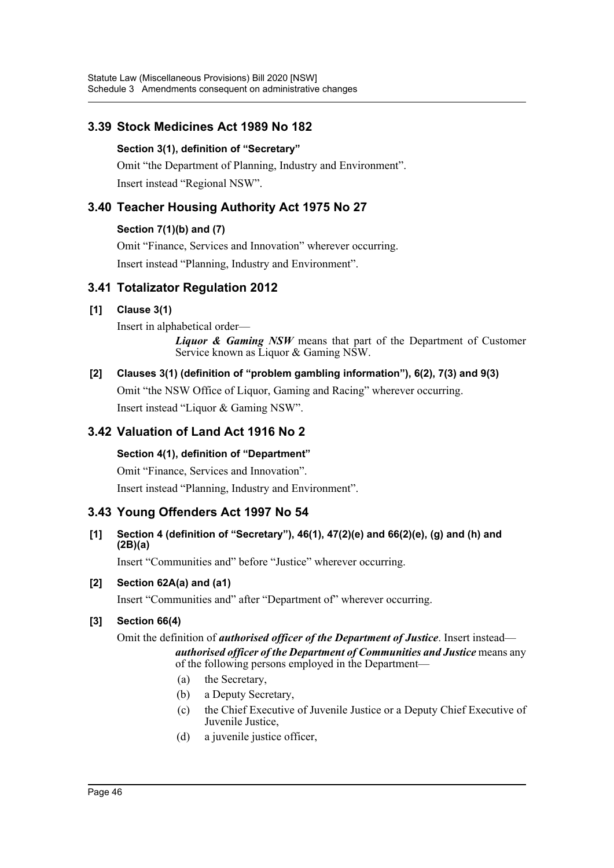# **3.39 Stock Medicines Act 1989 No 182**

### **Section 3(1), definition of "Secretary"**

Omit "the Department of Planning, Industry and Environment". Insert instead "Regional NSW".

# **3.40 Teacher Housing Authority Act 1975 No 27**

### **Section 7(1)(b) and (7)**

Omit "Finance, Services and Innovation" wherever occurring.

Insert instead "Planning, Industry and Environment".

# **3.41 Totalizator Regulation 2012**

## **[1] Clause 3(1)**

Insert in alphabetical order—

*Liquor & Gaming NSW* means that part of the Department of Customer Service known as Liquor & Gaming NSW.

# **[2] Clauses 3(1) (definition of "problem gambling information"), 6(2), 7(3) and 9(3)** Omit "the NSW Office of Liquor, Gaming and Racing" wherever occurring.

Insert instead "Liquor & Gaming NSW".

# **3.42 Valuation of Land Act 1916 No 2**

## **Section 4(1), definition of "Department"**

Omit "Finance, Services and Innovation".

Insert instead "Planning, Industry and Environment".

# **3.43 Young Offenders Act 1997 No 54**

### **[1] Section 4 (definition of "Secretary"), 46(1), 47(2)(e) and 66(2)(e), (g) and (h) and (2B)(a)**

Insert "Communities and" before "Justice" wherever occurring.

## **[2] Section 62A(a) and (a1)**

Insert "Communities and" after "Department of" wherever occurring.

## **[3] Section 66(4)**

Omit the definition of *authorised officer of the Department of Justice*. Insert instead *authorised officer of the Department of Communities and Justice* means any of the following persons employed in the Department—

- (a) the Secretary,
- (b) a Deputy Secretary,
- (c) the Chief Executive of Juvenile Justice or a Deputy Chief Executive of Juvenile Justice,
- (d) a juvenile justice officer,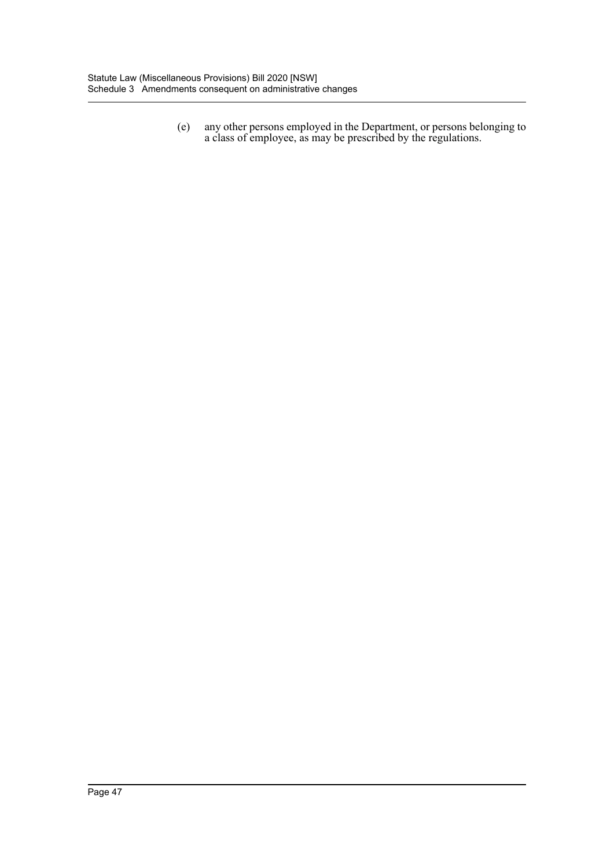(e) any other persons employed in the Department, or persons belonging to a class of employee, as may be prescribed by the regulations.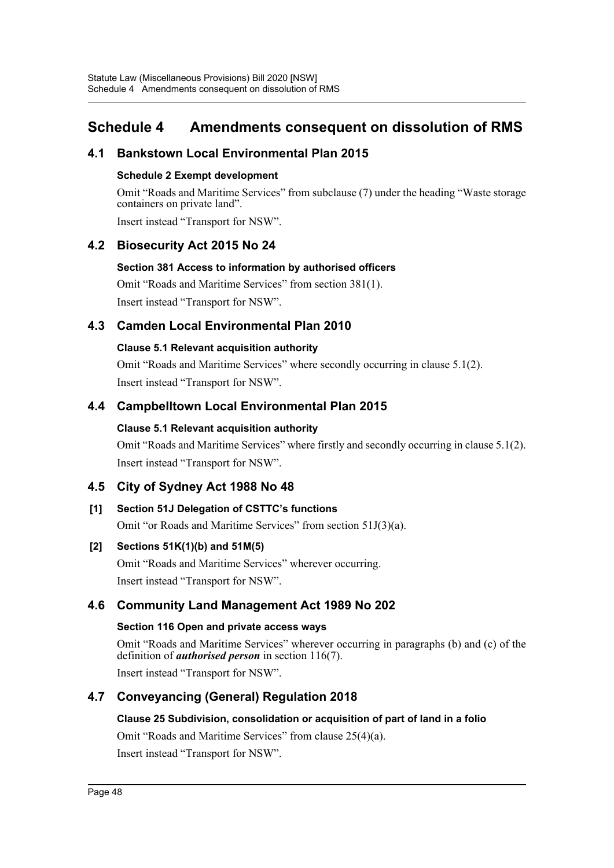# **Schedule 4 Amendments consequent on dissolution of RMS**

## **4.1 Bankstown Local Environmental Plan 2015**

### **Schedule 2 Exempt development**

Omit "Roads and Maritime Services" from subclause (7) under the heading "Waste storage containers on private land".

Insert instead "Transport for NSW".

## **4.2 Biosecurity Act 2015 No 24**

### **Section 381 Access to information by authorised officers**

Omit "Roads and Maritime Services" from section 381(1). Insert instead "Transport for NSW".

## **4.3 Camden Local Environmental Plan 2010**

### **Clause 5.1 Relevant acquisition authority**

Omit "Roads and Maritime Services" where secondly occurring in clause 5.1(2). Insert instead "Transport for NSW".

# **4.4 Campbelltown Local Environmental Plan 2015**

## **Clause 5.1 Relevant acquisition authority**

Omit "Roads and Maritime Services" where firstly and secondly occurring in clause 5.1(2). Insert instead "Transport for NSW".

# **4.5 City of Sydney Act 1988 No 48**

## **[1] Section 51J Delegation of CSTTC's functions**

Omit "or Roads and Maritime Services" from section 51J(3)(a).

## **[2] Sections 51K(1)(b) and 51M(5)**

Omit "Roads and Maritime Services" wherever occurring. Insert instead "Transport for NSW".

# **4.6 Community Land Management Act 1989 No 202**

## **Section 116 Open and private access ways**

Omit "Roads and Maritime Services" wherever occurring in paragraphs (b) and (c) of the definition of *authorised person* in section 116(7).

Insert instead "Transport for NSW".

# **4.7 Conveyancing (General) Regulation 2018**

### **Clause 25 Subdivision, consolidation or acquisition of part of land in a folio**

Omit "Roads and Maritime Services" from clause 25(4)(a). Insert instead "Transport for NSW".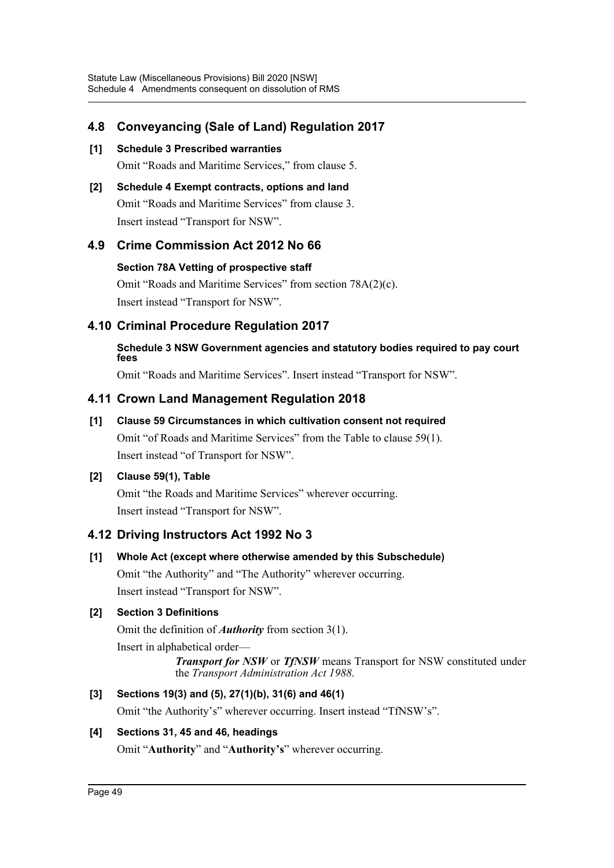# **4.8 Conveyancing (Sale of Land) Regulation 2017**

- **[1] Schedule 3 Prescribed warranties** Omit "Roads and Maritime Services," from clause 5.
- **[2] Schedule 4 Exempt contracts, options and land** Omit "Roads and Maritime Services" from clause 3. Insert instead "Transport for NSW".

## **4.9 Crime Commission Act 2012 No 66**

**Section 78A Vetting of prospective staff**

Omit "Roads and Maritime Services" from section 78A(2)(c). Insert instead "Transport for NSW".

## **4.10 Criminal Procedure Regulation 2017**

## **Schedule 3 NSW Government agencies and statutory bodies required to pay court fees**

Omit "Roads and Maritime Services". Insert instead "Transport for NSW".

## **4.11 Crown Land Management Regulation 2018**

**[1] Clause 59 Circumstances in which cultivation consent not required**

Omit "of Roads and Maritime Services" from the Table to clause 59(1). Insert instead "of Transport for NSW".

### **[2] Clause 59(1), Table**

Omit "the Roads and Maritime Services" wherever occurring. Insert instead "Transport for NSW".

# **4.12 Driving Instructors Act 1992 No 3**

**[1] Whole Act (except where otherwise amended by this Subschedule)**

Omit "the Authority" and "The Authority" wherever occurring. Insert instead "Transport for NSW".

## **[2] Section 3 Definitions**

Omit the definition of *Authority* from section 3(1).

Insert in alphabetical order—

*Transport for NSW* or *TfNSW* means Transport for NSW constituted under the *Transport Administration Act 1988*.

## **[3] Sections 19(3) and (5), 27(1)(b), 31(6) and 46(1)**

Omit "the Authority's" wherever occurring. Insert instead "TfNSW's".

### **[4] Sections 31, 45 and 46, headings**

Omit "**Authority**" and "**Authority's**" wherever occurring.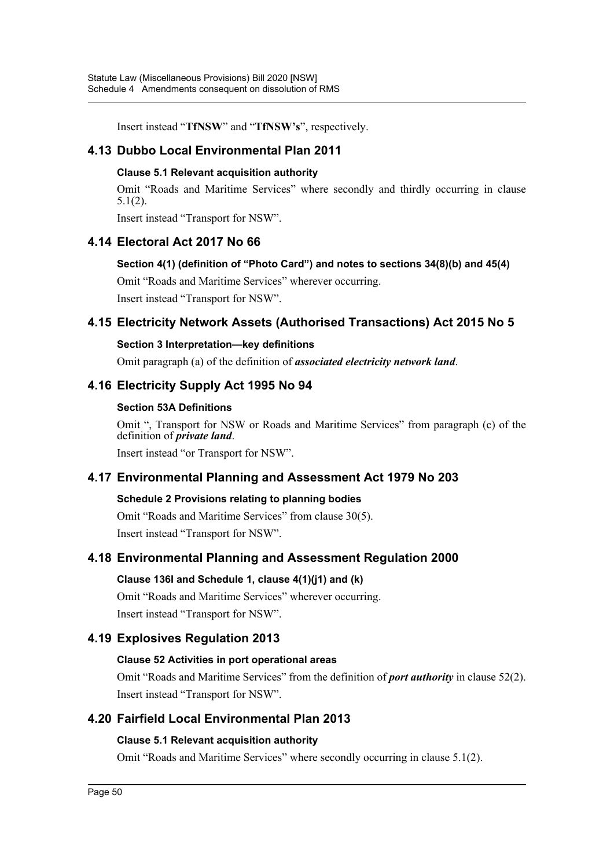Insert instead "**TfNSW**" and "**TfNSW's**", respectively.

## **4.13 Dubbo Local Environmental Plan 2011**

#### **Clause 5.1 Relevant acquisition authority**

Omit "Roads and Maritime Services" where secondly and thirdly occurring in clause 5.1(2).

Insert instead "Transport for NSW".

## **4.14 Electoral Act 2017 No 66**

#### **Section 4(1) (definition of "Photo Card") and notes to sections 34(8)(b) and 45(4)**

Omit "Roads and Maritime Services" wherever occurring. Insert instead "Transport for NSW".

## **4.15 Electricity Network Assets (Authorised Transactions) Act 2015 No 5**

#### **Section 3 Interpretation—key definitions**

Omit paragraph (a) of the definition of *associated electricity network land*.

## **4.16 Electricity Supply Act 1995 No 94**

#### **Section 53A Definitions**

Omit ", Transport for NSW or Roads and Maritime Services" from paragraph (c) of the definition of *private land*.

Insert instead "or Transport for NSW".

## **4.17 Environmental Planning and Assessment Act 1979 No 203**

### **Schedule 2 Provisions relating to planning bodies**

Omit "Roads and Maritime Services" from clause 30(5). Insert instead "Transport for NSW".

## **4.18 Environmental Planning and Assessment Regulation 2000**

## **Clause 136I and Schedule 1, clause 4(1)(j1) and (k)**

Omit "Roads and Maritime Services" wherever occurring. Insert instead "Transport for NSW".

## **4.19 Explosives Regulation 2013**

### **Clause 52 Activities in port operational areas**

Omit "Roads and Maritime Services" from the definition of *port authority* in clause 52(2). Insert instead "Transport for NSW".

## **4.20 Fairfield Local Environmental Plan 2013**

### **Clause 5.1 Relevant acquisition authority**

Omit "Roads and Maritime Services" where secondly occurring in clause 5.1(2).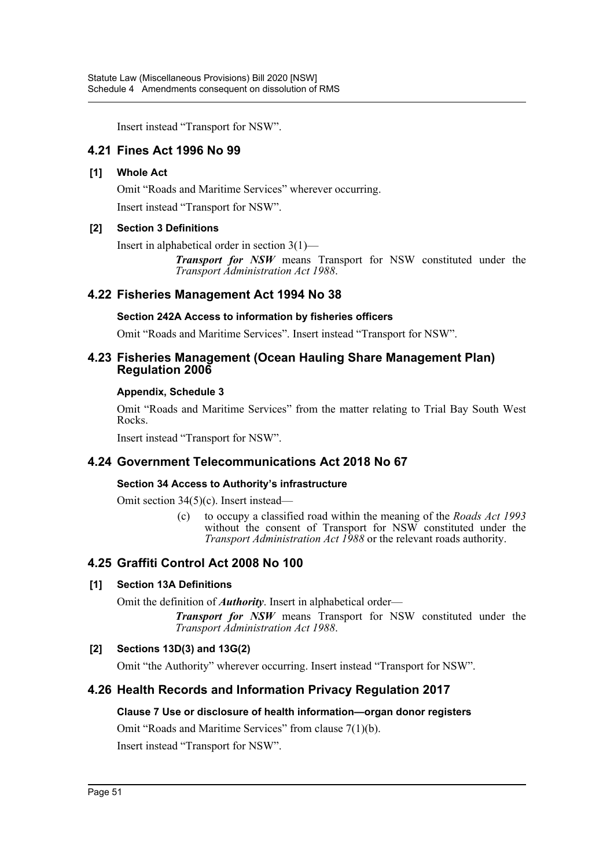Insert instead "Transport for NSW".

## **4.21 Fines Act 1996 No 99**

#### **[1] Whole Act**

Omit "Roads and Maritime Services" wherever occurring.

Insert instead "Transport for NSW".

#### **[2] Section 3 Definitions**

Insert in alphabetical order in section 3(1)—

*Transport for NSW* means Transport for NSW constituted under the *Transport Administration Act 1988*.

### **4.22 Fisheries Management Act 1994 No 38**

#### **Section 242A Access to information by fisheries officers**

Omit "Roads and Maritime Services". Insert instead "Transport for NSW".

### **4.23 Fisheries Management (Ocean Hauling Share Management Plan) Regulation 2006**

#### **Appendix, Schedule 3**

Omit "Roads and Maritime Services" from the matter relating to Trial Bay South West Rocks.

Insert instead "Transport for NSW".

## **4.24 Government Telecommunications Act 2018 No 67**

### **Section 34 Access to Authority's infrastructure**

Omit section 34(5)(c). Insert instead—

(c) to occupy a classified road within the meaning of the *Roads Act 1993* without the consent of Transport for NSW constituted under the *Transport Administration Act 1988* or the relevant roads authority.

## **4.25 Graffiti Control Act 2008 No 100**

### **[1] Section 13A Definitions**

Omit the definition of *Authority*. Insert in alphabetical order—

*Transport for NSW* means Transport for NSW constituted under the *Transport Administration Act 1988*.

### **[2] Sections 13D(3) and 13G(2)**

Omit "the Authority" wherever occurring. Insert instead "Transport for NSW".

## **4.26 Health Records and Information Privacy Regulation 2017**

### **Clause 7 Use or disclosure of health information—organ donor registers**

Omit "Roads and Maritime Services" from clause 7(1)(b).

Insert instead "Transport for NSW".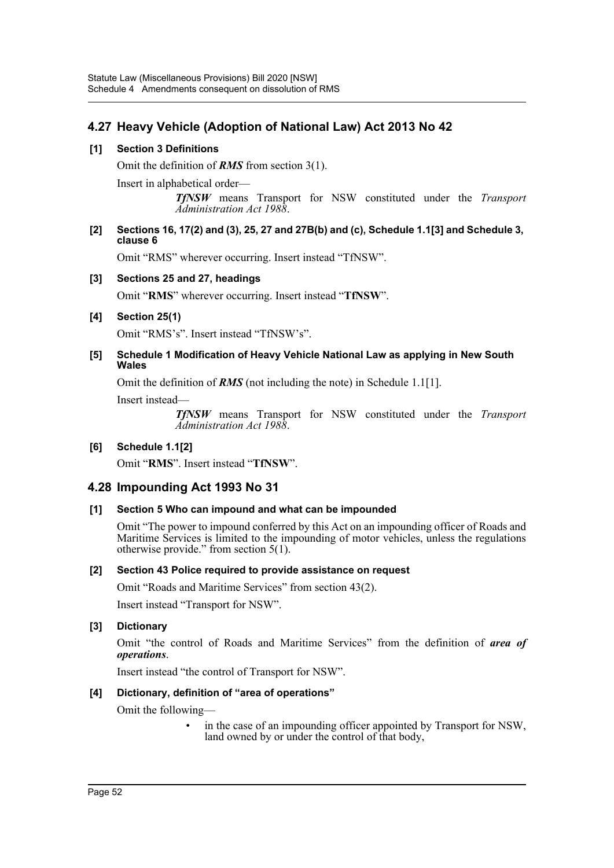# **4.27 Heavy Vehicle (Adoption of National Law) Act 2013 No 42**

### **[1] Section 3 Definitions**

Omit the definition of *RMS* from section 3(1).

Insert in alphabetical order—

*TfNSW* means Transport for NSW constituted under the *Transport Administration Act 1988*.

#### **[2] Sections 16, 17(2) and (3), 25, 27 and 27B(b) and (c), Schedule 1.1[3] and Schedule 3, clause 6**

Omit "RMS" wherever occurring. Insert instead "TfNSW".

### **[3] Sections 25 and 27, headings**

Omit "**RMS**" wherever occurring. Insert instead "**TfNSW**".

### **[4] Section 25(1)**

Omit "RMS's". Insert instead "TfNSW's".

#### **[5] Schedule 1 Modification of Heavy Vehicle National Law as applying in New South Wales**

Omit the definition of *RMS* (not including the note) in Schedule 1.1[1].

Insert instead—

*TfNSW* means Transport for NSW constituted under the *Transport Administration Act 1988*.

### **[6] Schedule 1.1[2]**

Omit "**RMS**". Insert instead "**TfNSW**".

## **4.28 Impounding Act 1993 No 31**

### **[1] Section 5 Who can impound and what can be impounded**

Omit "The power to impound conferred by this Act on an impounding officer of Roads and Maritime Services is limited to the impounding of motor vehicles, unless the regulations otherwise provide." from section 5(1).

### **[2] Section 43 Police required to provide assistance on request**

Omit "Roads and Maritime Services" from section 43(2).

Insert instead "Transport for NSW".

### **[3] Dictionary**

Omit "the control of Roads and Maritime Services" from the definition of *area of operations*.

Insert instead "the control of Transport for NSW".

### **[4] Dictionary, definition of "area of operations"**

Omit the following—

in the case of an impounding officer appointed by Transport for NSW, land owned by or under the control of that body,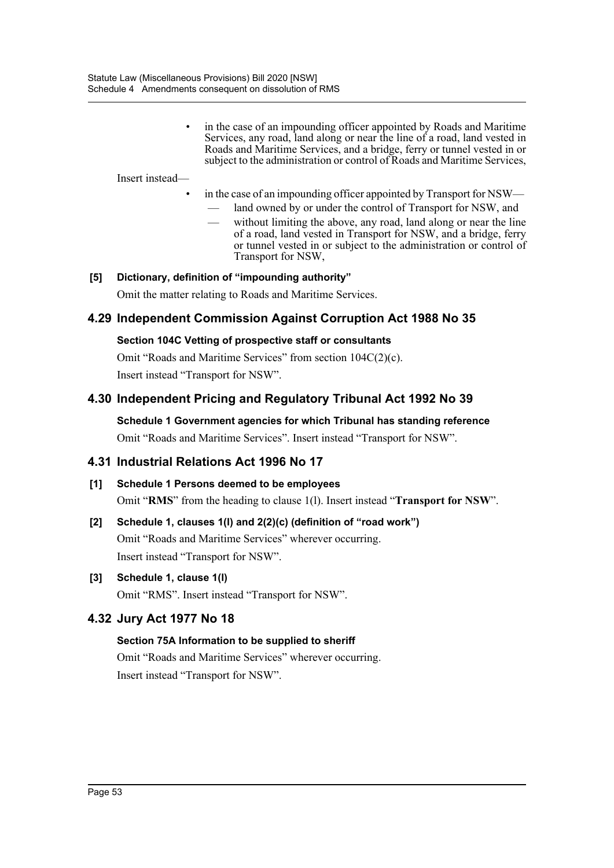in the case of an impounding officer appointed by Roads and Maritime Services, any road, land along or near the line of a road, land vested in Roads and Maritime Services, and a bridge, ferry or tunnel vested in or subject to the administration or control of Roads and Maritime Services,

Insert instead—

- in the case of an impounding officer appointed by Transport for NSW
	- land owned by or under the control of Transport for NSW, and
	- without limiting the above, any road, land along or near the line of a road, land vested in Transport for NSW, and a bridge, ferry or tunnel vested in or subject to the administration or control of Transport for NSW,

## **[5] Dictionary, definition of "impounding authority"**

Omit the matter relating to Roads and Maritime Services.

### **4.29 Independent Commission Against Corruption Act 1988 No 35**

#### **Section 104C Vetting of prospective staff or consultants**

Omit "Roads and Maritime Services" from section 104C(2)(c). Insert instead "Transport for NSW".

### **4.30 Independent Pricing and Regulatory Tribunal Act 1992 No 39**

**Schedule 1 Government agencies for which Tribunal has standing reference** Omit "Roads and Maritime Services". Insert instead "Transport for NSW".

## **4.31 Industrial Relations Act 1996 No 17**

#### **[1] Schedule 1 Persons deemed to be employees**

Omit "**RMS**" from the heading to clause 1(l). Insert instead "**Transport for NSW**".

# **[2] Schedule 1, clauses 1(l) and 2(2)(c) (definition of "road work")** Omit "Roads and Maritime Services" wherever occurring. Insert instead "Transport for NSW".

#### **[3] Schedule 1, clause 1(l)**

Omit "RMS". Insert instead "Transport for NSW".

## **4.32 Jury Act 1977 No 18**

### **Section 75A Information to be supplied to sheriff**

Omit "Roads and Maritime Services" wherever occurring. Insert instead "Transport for NSW".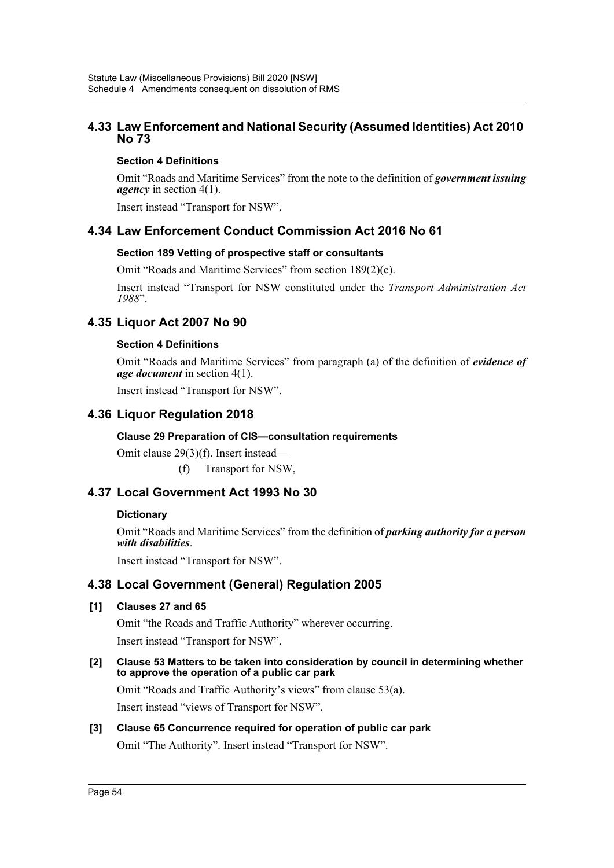## **4.33 Law Enforcement and National Security (Assumed Identities) Act 2010 No 73**

### **Section 4 Definitions**

Omit "Roads and Maritime Services" from the note to the definition of *government issuing agency* in section 4(1).

Insert instead "Transport for NSW".

## **4.34 Law Enforcement Conduct Commission Act 2016 No 61**

### **Section 189 Vetting of prospective staff or consultants**

Omit "Roads and Maritime Services" from section 189(2)(c).

Insert instead "Transport for NSW constituted under the *Transport Administration Act 1988*".

## **4.35 Liquor Act 2007 No 90**

### **Section 4 Definitions**

Omit "Roads and Maritime Services" from paragraph (a) of the definition of *evidence of age document* in section 4(1).

Insert instead "Transport for NSW".

## **4.36 Liquor Regulation 2018**

### **Clause 29 Preparation of CIS—consultation requirements**

Omit clause 29(3)(f). Insert instead—

(f) Transport for NSW,

# **4.37 Local Government Act 1993 No 30**

### **Dictionary**

Omit "Roads and Maritime Services" from the definition of *parking authority for a person with disabilities*.

Insert instead "Transport for NSW".

## **4.38 Local Government (General) Regulation 2005**

### **[1] Clauses 27 and 65**

Omit "the Roads and Traffic Authority" wherever occurring. Insert instead "Transport for NSW".

**[2] Clause 53 Matters to be taken into consideration by council in determining whether to approve the operation of a public car park**

Omit "Roads and Traffic Authority's views" from clause 53(a). Insert instead "views of Transport for NSW".

### **[3] Clause 65 Concurrence required for operation of public car park** Omit "The Authority". Insert instead "Transport for NSW".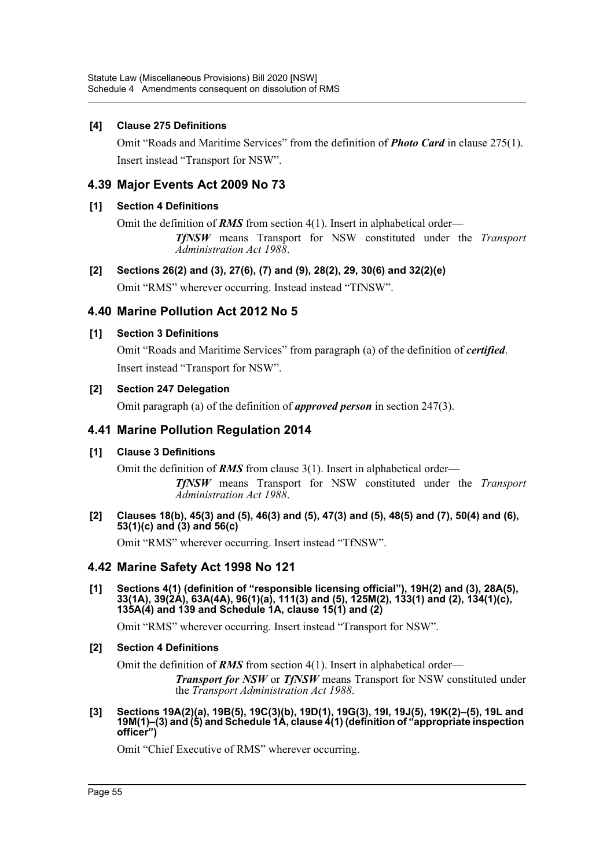#### **[4] Clause 275 Definitions**

Omit "Roads and Maritime Services" from the definition of *Photo Card* in clause 275(1). Insert instead "Transport for NSW".

### **4.39 Major Events Act 2009 No 73**

#### **[1] Section 4 Definitions**

Omit the definition of *RMS* from section 4(1). Insert in alphabetical order— *TfNSW* means Transport for NSW constituted under the *Transport Administration Act 1988*.

#### **[2] Sections 26(2) and (3), 27(6), (7) and (9), 28(2), 29, 30(6) and 32(2)(e)**

Omit "RMS" wherever occurring. Instead instead "TfNSW".

### **4.40 Marine Pollution Act 2012 No 5**

#### **[1] Section 3 Definitions**

Omit "Roads and Maritime Services" from paragraph (a) of the definition of *certified*. Insert instead "Transport for NSW".

#### **[2] Section 247 Delegation**

Omit paragraph (a) of the definition of *approved person* in section 247(3).

### **4.41 Marine Pollution Regulation 2014**

### **[1] Clause 3 Definitions**

Omit the definition of **RMS** from clause 3(1). Insert in alphabetical order—

*TfNSW* means Transport for NSW constituted under the *Transport Administration Act 1988*.

#### **[2] Clauses 18(b), 45(3) and (5), 46(3) and (5), 47(3) and (5), 48(5) and (7), 50(4) and (6), 53(1)(c) and (3) and 56(c)**

Omit "RMS" wherever occurring. Insert instead "TfNSW".

### **4.42 Marine Safety Act 1998 No 121**

**[1] Sections 4(1) (definition of "responsible licensing official"), 19H(2) and (3), 28A(5), 33(1A), 39(2A), 63A(4A), 96(1)(a), 111(3) and (5), 125M(2), 133(1) and (2), 134(1)(c), 135A(4) and 139 and Schedule 1A, clause 15(1) and (2)**

Omit "RMS" wherever occurring. Insert instead "Transport for NSW".

#### **[2] Section 4 Definitions**

Omit the definition of *RMS* from section 4(1). Insert in alphabetical order—

*Transport for NSW* or *TfNSW* means Transport for NSW constituted under the *Transport Administration Act 1988*.

**[3] Sections 19A(2)(a), 19B(5), 19C(3)(b), 19D(1), 19G(3), 19I, 19J(5), 19K(2)–(5), 19L and 19M(1)–(3) and (5) and Schedule 1A, clause 4(1) (definition of "appropriate inspection officer")**

Omit "Chief Executive of RMS" wherever occurring.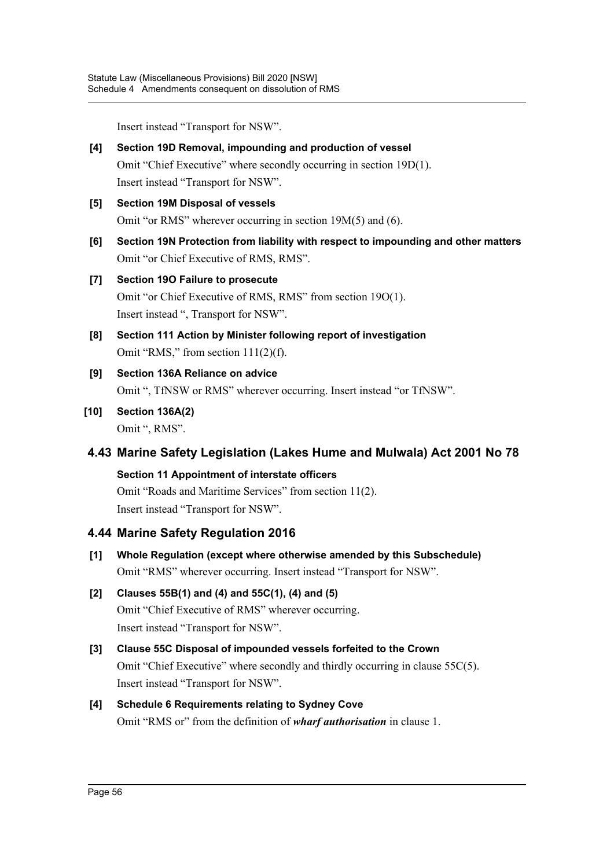Insert instead "Transport for NSW".

- **[4] Section 19D Removal, impounding and production of vessel** Omit "Chief Executive" where secondly occurring in section 19D(1). Insert instead "Transport for NSW".
- **[5] Section 19M Disposal of vessels** Omit "or RMS" wherever occurring in section 19M(5) and (6).
- **[6] Section 19N Protection from liability with respect to impounding and other matters** Omit "or Chief Executive of RMS, RMS".

# **[7] Section 19O Failure to prosecute**

Omit "or Chief Executive of RMS, RMS" from section 19O(1). Insert instead ", Transport for NSW".

- **[8] Section 111 Action by Minister following report of investigation** Omit "RMS," from section 111(2)(f).
- **[9] Section 136A Reliance on advice** Omit ", TfNSW or RMS" wherever occurring. Insert instead "or TfNSW".
- **[10] Section 136A(2)** Omit ", RMS".

# **4.43 Marine Safety Legislation (Lakes Hume and Mulwala) Act 2001 No 78**

**Section 11 Appointment of interstate officers** Omit "Roads and Maritime Services" from section 11(2). Insert instead "Transport for NSW".

# **4.44 Marine Safety Regulation 2016**

**[1] Whole Regulation (except where otherwise amended by this Subschedule)** Omit "RMS" wherever occurring. Insert instead "Transport for NSW".

# **[2] Clauses 55B(1) and (4) and 55C(1), (4) and (5)** Omit "Chief Executive of RMS" wherever occurring. Insert instead "Transport for NSW".

# **[3] Clause 55C Disposal of impounded vessels forfeited to the Crown** Omit "Chief Executive" where secondly and thirdly occurring in clause 55C(5). Insert instead "Transport for NSW".

# **[4] Schedule 6 Requirements relating to Sydney Cove** Omit "RMS or" from the definition of *wharf authorisation* in clause 1.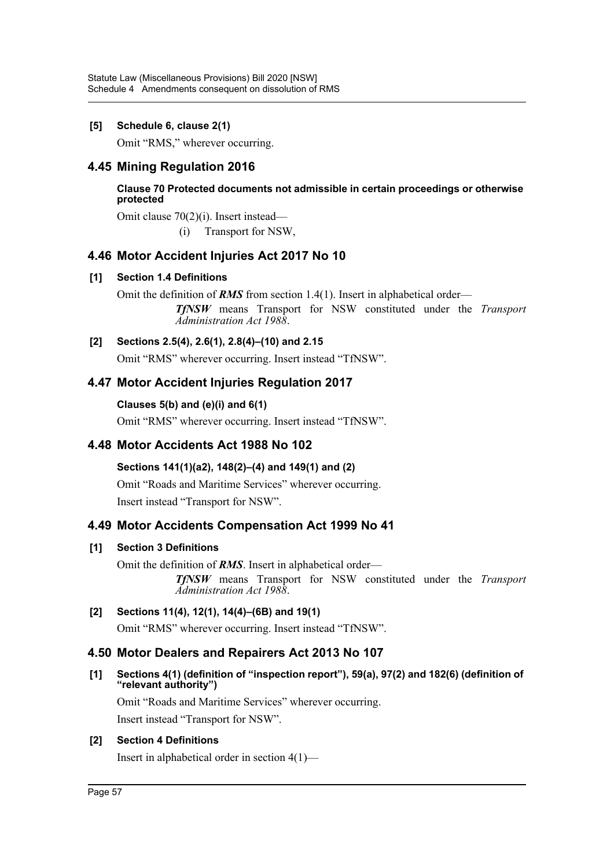### **[5] Schedule 6, clause 2(1)**

Omit "RMS," wherever occurring.

## **4.45 Mining Regulation 2016**

**Clause 70 Protected documents not admissible in certain proceedings or otherwise protected**

Omit clause 70(2)(i). Insert instead—

(i) Transport for NSW,

## **4.46 Motor Accident Injuries Act 2017 No 10**

### **[1] Section 1.4 Definitions**

Omit the definition of *RMS* from section 1.4(1). Insert in alphabetical order— *TfNSW* means Transport for NSW constituted under the *Transport Administration Act 1988*.

### **[2] Sections 2.5(4), 2.6(1), 2.8(4)–(10) and 2.15**

Omit "RMS" wherever occurring. Insert instead "TfNSW".

## **4.47 Motor Accident Injuries Regulation 2017**

**Clauses 5(b) and (e)(i) and 6(1)** Omit "RMS" wherever occurring. Insert instead "TfNSW".

# **4.48 Motor Accidents Act 1988 No 102**

### **Sections 141(1)(a2), 148(2)–(4) and 149(1) and (2)**

Omit "Roads and Maritime Services" wherever occurring. Insert instead "Transport for NSW".

## **4.49 Motor Accidents Compensation Act 1999 No 41**

### **[1] Section 3 Definitions**

Omit the definition of *RMS*. Insert in alphabetical order— *TfNSW* means Transport for NSW constituted under the *Transport Administration Act 1988*.

### **[2] Sections 11(4), 12(1), 14(4)–(6B) and 19(1)**

Omit "RMS" wherever occurring. Insert instead "TfNSW".

## **4.50 Motor Dealers and Repairers Act 2013 No 107**

### **[1] Sections 4(1) (definition of "inspection report"), 59(a), 97(2) and 182(6) (definition of "relevant authority")**

Omit "Roads and Maritime Services" wherever occurring.

Insert instead "Transport for NSW".

### **[2] Section 4 Definitions**

Insert in alphabetical order in section 4(1)—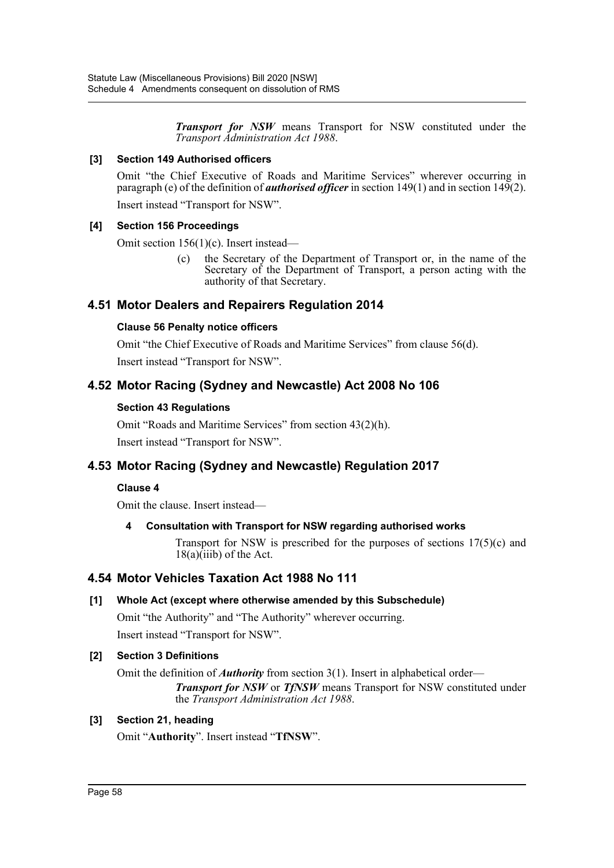*Transport for NSW* means Transport for NSW constituted under the *Transport Administration Act 1988*.

#### **[3] Section 149 Authorised officers**

Omit "the Chief Executive of Roads and Maritime Services" wherever occurring in paragraph (e) of the definition of *authorised officer* in section 149(1) and in section 149(2).

Insert instead "Transport for NSW".

#### **[4] Section 156 Proceedings**

Omit section 156(1)(c). Insert instead—

(c) the Secretary of the Department of Transport or, in the name of the Secretary of the Department of Transport, a person acting with the authority of that Secretary.

## **4.51 Motor Dealers and Repairers Regulation 2014**

### **Clause 56 Penalty notice officers**

Omit "the Chief Executive of Roads and Maritime Services" from clause 56(d). Insert instead "Transport for NSW".

## **4.52 Motor Racing (Sydney and Newcastle) Act 2008 No 106**

### **Section 43 Regulations**

Omit "Roads and Maritime Services" from section 43(2)(h). Insert instead "Transport for NSW".

# **4.53 Motor Racing (Sydney and Newcastle) Regulation 2017**

### **Clause 4**

Omit the clause. Insert instead—

### **4 Consultation with Transport for NSW regarding authorised works**

Transport for NSW is prescribed for the purposes of sections  $17(5)(c)$  and  $18(a)(iii)$  of the Act.

### **4.54 Motor Vehicles Taxation Act 1988 No 111**

### **[1] Whole Act (except where otherwise amended by this Subschedule)**

Omit "the Authority" and "The Authority" wherever occurring.

Insert instead "Transport for NSW".

### **[2] Section 3 Definitions**

Omit the definition of *Authority* from section 3(1). Insert in alphabetical order— *Transport for NSW* or *TfNSW* means Transport for NSW constituted under the *Transport Administration Act 1988*.

### **[3] Section 21, heading**

Omit "**Authority**". Insert instead "**TfNSW**".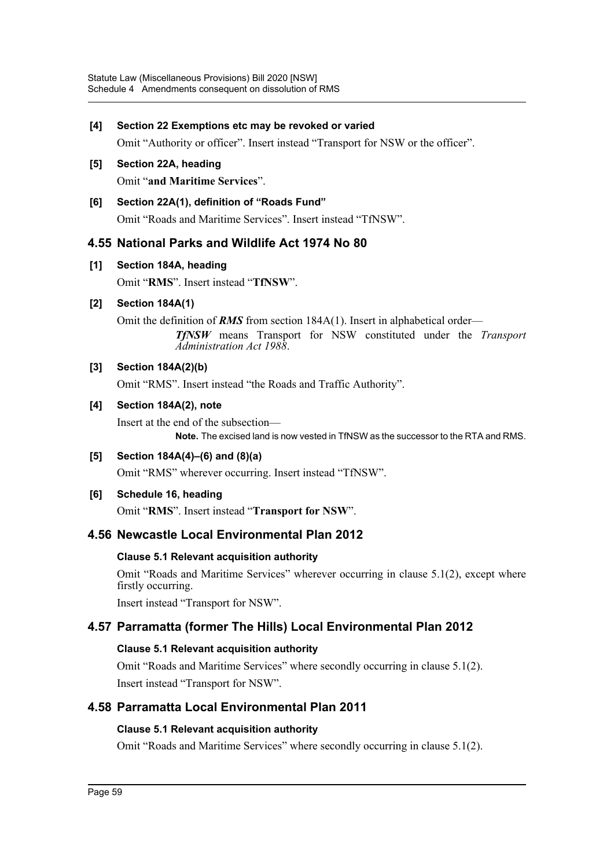#### **[4] Section 22 Exemptions etc may be revoked or varied**

Omit "Authority or officer". Insert instead "Transport for NSW or the officer".

## **[5] Section 22A, heading**

Omit "**and Maritime Services**".

### **[6] Section 22A(1), definition of "Roads Fund"**

Omit "Roads and Maritime Services". Insert instead "TfNSW".

## **4.55 National Parks and Wildlife Act 1974 No 80**

**[1] Section 184A, heading**

Omit "**RMS**". Insert instead "**TfNSW**".

**[2] Section 184A(1)**

Omit the definition of **RMS** from section 184A(1). Insert in alphabetical order—

*TfNSW* means Transport for NSW constituted under the *Transport Administration Act 1988*.

### **[3] Section 184A(2)(b)**

Omit "RMS". Insert instead "the Roads and Traffic Authority".

### **[4] Section 184A(2), note**

Insert at the end of the subsection— **Note.** The excised land is now vested in TfNSW as the successor to the RTA and RMS.

**[5] Section 184A(4)–(6) and (8)(a)**

Omit "RMS" wherever occurring. Insert instead "TfNSW".

### **[6] Schedule 16, heading**

Omit "**RMS**". Insert instead "**Transport for NSW**".

## **4.56 Newcastle Local Environmental Plan 2012**

### **Clause 5.1 Relevant acquisition authority**

Omit "Roads and Maritime Services" wherever occurring in clause 5.1(2), except where firstly occurring.

Insert instead "Transport for NSW".

## **4.57 Parramatta (former The Hills) Local Environmental Plan 2012**

### **Clause 5.1 Relevant acquisition authority**

Omit "Roads and Maritime Services" where secondly occurring in clause 5.1(2). Insert instead "Transport for NSW".

## **4.58 Parramatta Local Environmental Plan 2011**

### **Clause 5.1 Relevant acquisition authority**

Omit "Roads and Maritime Services" where secondly occurring in clause 5.1(2).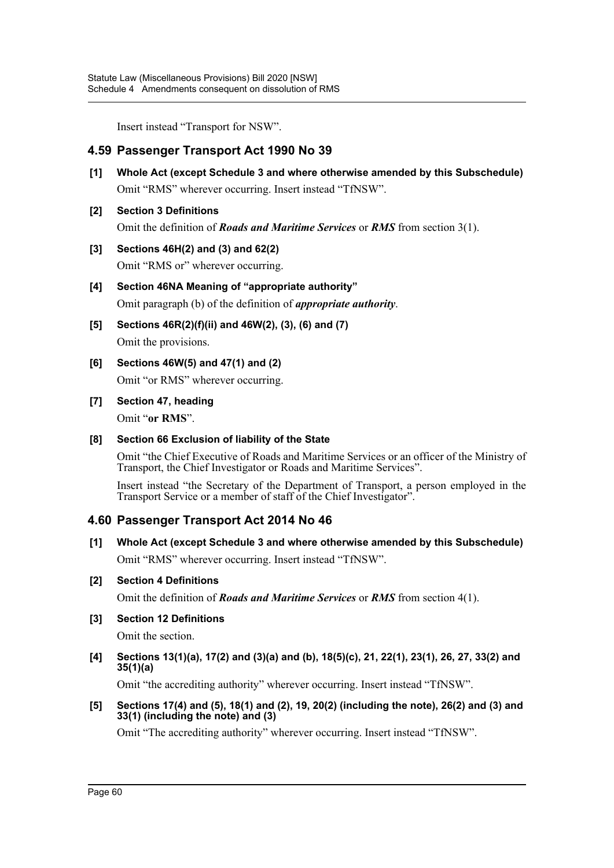Insert instead "Transport for NSW".

## **4.59 Passenger Transport Act 1990 No 39**

- **[1] Whole Act (except Schedule 3 and where otherwise amended by this Subschedule)** Omit "RMS" wherever occurring. Insert instead "TfNSW".
- **[2] Section 3 Definitions** Omit the definition of *Roads and Maritime Services* or *RMS* from section 3(1).

### **[3] Sections 46H(2) and (3) and 62(2)**

Omit "RMS or" wherever occurring.

- **[4] Section 46NA Meaning of "appropriate authority"** Omit paragraph (b) of the definition of *appropriate authority*.
- **[5] Sections 46R(2)(f)(ii) and 46W(2), (3), (6) and (7)** Omit the provisions.
- **[6] Sections 46W(5) and 47(1) and (2)**

Omit "or RMS" wherever occurring.

**[7] Section 47, heading** Omit "**or RMS**".

### **[8] Section 66 Exclusion of liability of the State**

Omit "the Chief Executive of Roads and Maritime Services or an officer of the Ministry of Transport, the Chief Investigator or Roads and Maritime Services".

Insert instead "the Secretary of the Department of Transport, a person employed in the Transport Service or a member of staff of the Chief Investigator".

## **4.60 Passenger Transport Act 2014 No 46**

**[1] Whole Act (except Schedule 3 and where otherwise amended by this Subschedule)** Omit "RMS" wherever occurring. Insert instead "TfNSW".

### **[2] Section 4 Definitions**

Omit the definition of *Roads and Maritime Services* or *RMS* from section 4(1).

### **[3] Section 12 Definitions**

Omit the section.

**[4] Sections 13(1)(a), 17(2) and (3)(a) and (b), 18(5)(c), 21, 22(1), 23(1), 26, 27, 33(2) and 35(1)(a)**

Omit "the accrediting authority" wherever occurring. Insert instead "TfNSW".

**[5] Sections 17(4) and (5), 18(1) and (2), 19, 20(2) (including the note), 26(2) and (3) and 33(1) (including the note) and (3)**

Omit "The accrediting authority" wherever occurring. Insert instead "TfNSW".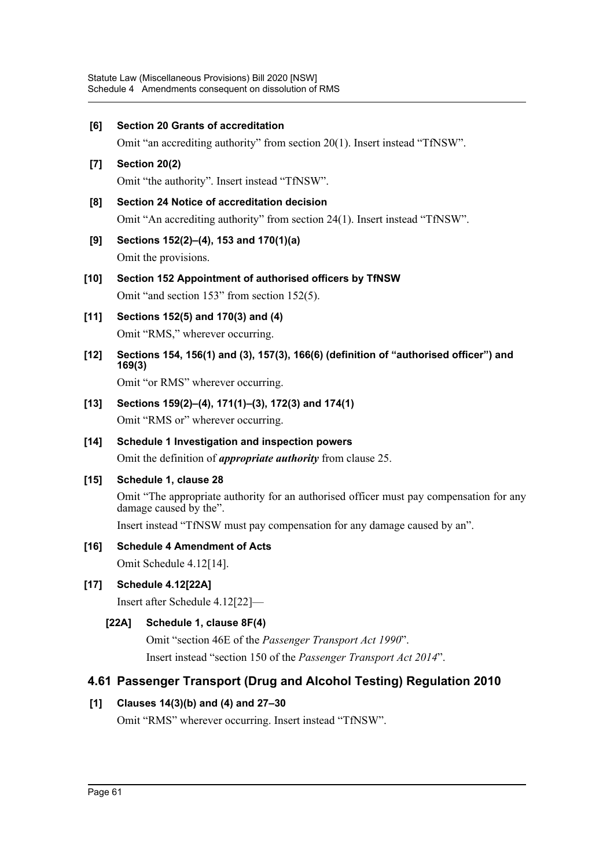| [6]                | <b>Section 20 Grants of accreditation</b>                                                                         |  |
|--------------------|-------------------------------------------------------------------------------------------------------------------|--|
|                    | Omit "an accrediting authority" from section 20(1). Insert instead "TfNSW".                                       |  |
| $\left[ 7 \right]$ | Section 20(2)                                                                                                     |  |
|                    | Omit "the authority". Insert instead "TfNSW".                                                                     |  |
| [8]                | Section 24 Notice of accreditation decision                                                                       |  |
|                    | Omit "An accrediting authority" from section 24(1). Insert instead "TfNSW".                                       |  |
| [9]                | Sections 152(2)–(4), 153 and 170(1)(a)<br>Omit the provisions.                                                    |  |
| $[10]$             | Section 152 Appointment of authorised officers by TfNSW                                                           |  |
|                    | Omit "and section 153" from section 152(5).                                                                       |  |
| $[11]$             | Sections 152(5) and 170(3) and (4)                                                                                |  |
|                    | Omit "RMS," wherever occurring.                                                                                   |  |
| $[12]$             | Sections 154, 156(1) and (3), 157(3), 166(6) (definition of "authorised officer") and<br>169(3)                   |  |
|                    | Omit "or RMS" wherever occurring.                                                                                 |  |
| $[13]$             | Sections 159(2)–(4), 171(1)–(3), 172(3) and 174(1)                                                                |  |
|                    | Omit "RMS or" wherever occurring.                                                                                 |  |
| $[14]$             | Schedule 1 Investigation and inspection powers                                                                    |  |
|                    | Omit the definition of <i>appropriate authority</i> from clause 25.                                               |  |
| $[15]$             | Schedule 1, clause 28                                                                                             |  |
|                    | Omit "The appropriate authority for an authorised officer must pay compensation for any<br>damage caused by the". |  |
|                    | Insert instead "TfNSW must pay compensation for any damage caused by an".                                         |  |
| [16]               | <b>Schedule 4 Amendment of Acts</b>                                                                               |  |
|                    | Omit Schedule 4.12[14].                                                                                           |  |
| $[17]$             | <b>Schedule 4.12[22A]</b>                                                                                         |  |
|                    | Insert after Schedule 4.12[22]-                                                                                   |  |
|                    | Schedule 1, clause 8F(4)<br>[22A]                                                                                 |  |
|                    | Omit "section 46E of the Passenger Transport Act 1990".                                                           |  |
|                    | Insert instead "section 150 of the Passenger Transport Act 2014".                                                 |  |
|                    | 4.61 Passenger Transport (Drug and Alcohol Testing) Regulation 2010                                               |  |
| [1]                | Clauses 14(3)(b) and (4) and 27-30                                                                                |  |
|                    | Omit "RMS" wherever occurring. Insert instead "TfNSW".                                                            |  |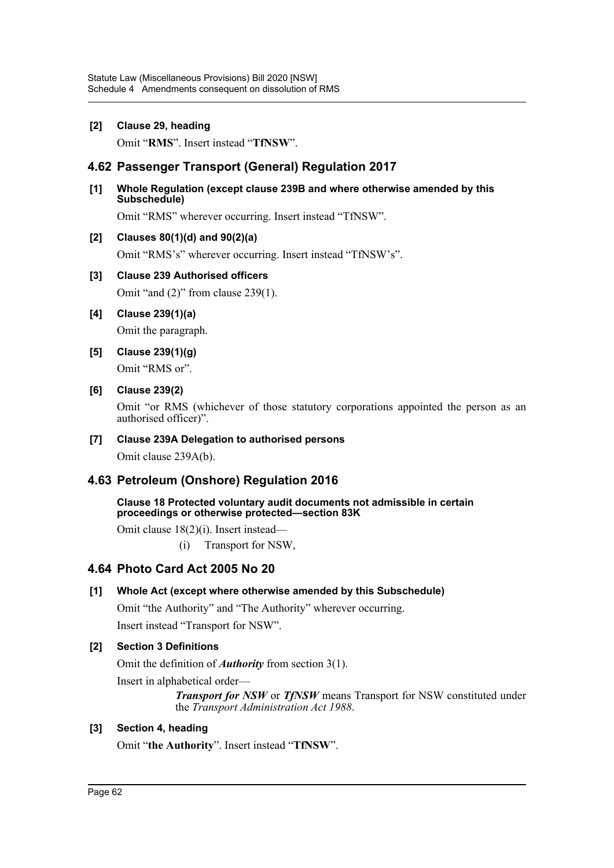#### **[2] Clause 29, heading**

Omit "**RMS**". Insert instead "**TfNSW**".

## **4.62 Passenger Transport (General) Regulation 2017**

#### **[1] Whole Regulation (except clause 239B and where otherwise amended by this Subschedule)**

Omit "RMS" wherever occurring. Insert instead "TfNSW".

#### **[2] Clauses 80(1)(d) and 90(2)(a)**

Omit "RMS's" wherever occurring. Insert instead "TfNSW's".

#### **[3] Clause 239 Authorised officers**

Omit "and (2)" from clause 239(1).

## **[4] Clause 239(1)(a)**

Omit the paragraph.

**[5] Clause 239(1)(g)** Omit "RMS or".

## **[6] Clause 239(2)**

Omit "or RMS (whichever of those statutory corporations appointed the person as an authorised officer)".

#### **[7] Clause 239A Delegation to authorised persons**

Omit clause 239A(b).

## **4.63 Petroleum (Onshore) Regulation 2016**

**Clause 18 Protected voluntary audit documents not admissible in certain proceedings or otherwise protected—section 83K**

Omit clause 18(2)(i). Insert instead—

(i) Transport for NSW,

## **4.64 Photo Card Act 2005 No 20**

### **[1] Whole Act (except where otherwise amended by this Subschedule)**

Omit "the Authority" and "The Authority" wherever occurring.

# Insert instead "Transport for NSW".

### **[2] Section 3 Definitions**

Omit the definition of *Authority* from section 3(1).

Insert in alphabetical order—

*Transport for NSW* or *TfNSW* means Transport for NSW constituted under the *Transport Administration Act 1988*.

### **[3] Section 4, heading**

Omit "**the Authority**". Insert instead "**TfNSW**".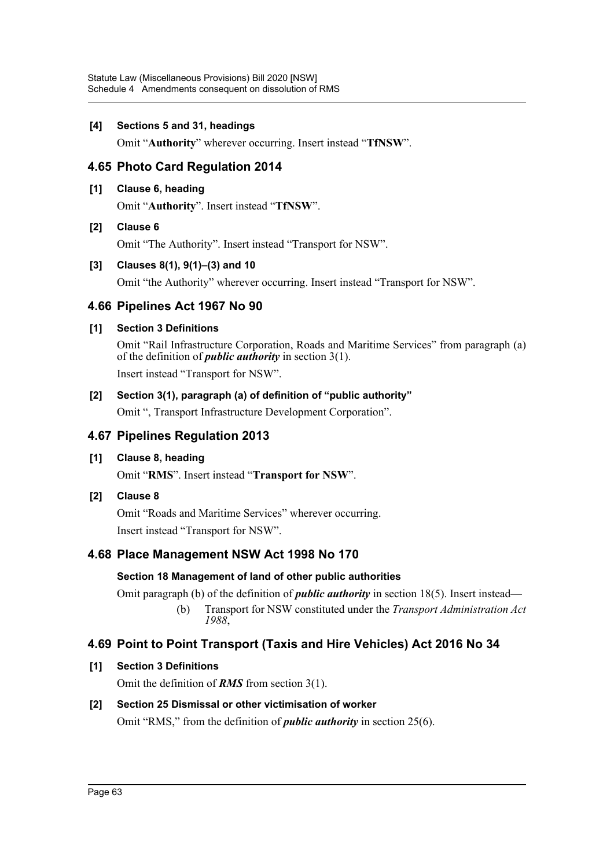### **[4] Sections 5 and 31, headings**

Omit "**Authority**" wherever occurring. Insert instead "**TfNSW**".

## **4.65 Photo Card Regulation 2014**

### **[1] Clause 6, heading**

Omit "**Authority**". Insert instead "**TfNSW**".

### **[2] Clause 6**

Omit "The Authority". Insert instead "Transport for NSW".

### **[3] Clauses 8(1), 9(1)–(3) and 10**

Omit "the Authority" wherever occurring. Insert instead "Transport for NSW".

## **4.66 Pipelines Act 1967 No 90**

### **[1] Section 3 Definitions**

Omit "Rail Infrastructure Corporation, Roads and Maritime Services" from paragraph (a) of the definition of *public authority* in section 3(1). Insert instead "Transport for NSW".

## **[2] Section 3(1), paragraph (a) of definition of "public authority"**

Omit ", Transport Infrastructure Development Corporation".

## **4.67 Pipelines Regulation 2013**

## **[1] Clause 8, heading**

Omit "**RMS**". Insert instead "**Transport for NSW**".

## **[2] Clause 8**

Omit "Roads and Maritime Services" wherever occurring. Insert instead "Transport for NSW".

# **4.68 Place Management NSW Act 1998 No 170**

## **Section 18 Management of land of other public authorities**

Omit paragraph (b) of the definition of *public authority* in section 18(5). Insert instead— (b) Transport for NSW constituted under the *Transport Administration Act 1988*,

# **4.69 Point to Point Transport (Taxis and Hire Vehicles) Act 2016 No 34**

## **[1] Section 3 Definitions**

Omit the definition of *RMS* from section 3(1).

## **[2] Section 25 Dismissal or other victimisation of worker**

Omit "RMS," from the definition of *public authority* in section 25(6).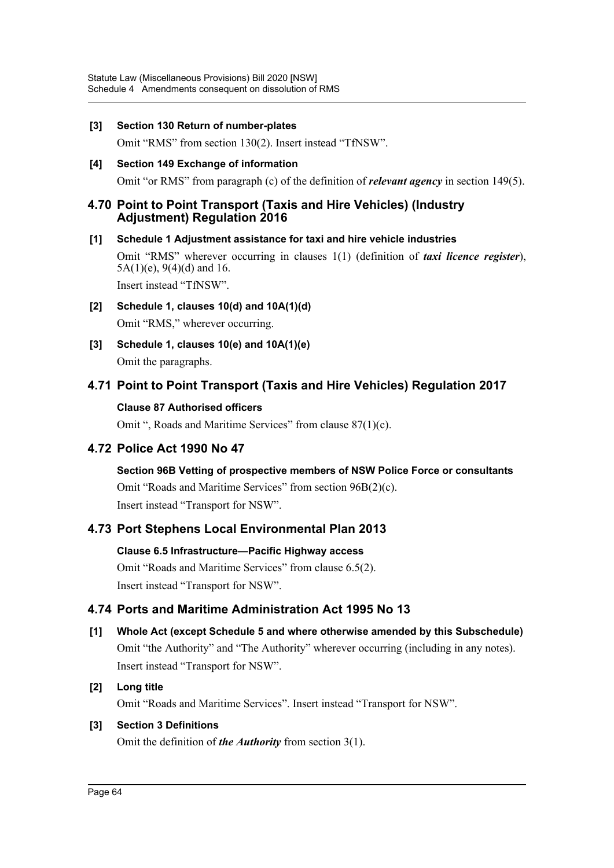#### **[3] Section 130 Return of number-plates**

Omit "RMS" from section 130(2). Insert instead "TfNSW".

**[4] Section 149 Exchange of information**

Omit "or RMS" from paragraph (c) of the definition of *relevant agency* in section 149(5).

### **4.70 Point to Point Transport (Taxis and Hire Vehicles) (Industry Adjustment) Regulation 2016**

### **[1] Schedule 1 Adjustment assistance for taxi and hire vehicle industries**

Omit "RMS" wherever occurring in clauses 1(1) (definition of *taxi licence register*),  $5A(1)(e)$ , 9(4)(d) and 16.

Insert instead "TfNSW".

- **[2] Schedule 1, clauses 10(d) and 10A(1)(d)** Omit "RMS," wherever occurring.
- **[3] Schedule 1, clauses 10(e) and 10A(1)(e)** Omit the paragraphs.

## **4.71 Point to Point Transport (Taxis and Hire Vehicles) Regulation 2017**

### **Clause 87 Authorised officers**

Omit ", Roads and Maritime Services" from clause 87(1)(c).

## **4.72 Police Act 1990 No 47**

**Section 96B Vetting of prospective members of NSW Police Force or consultants** Omit "Roads and Maritime Services" from section 96B(2)(c). Insert instead "Transport for NSW".

## **4.73 Port Stephens Local Environmental Plan 2013**

### **Clause 6.5 Infrastructure—Pacific Highway access**

Omit "Roads and Maritime Services" from clause 6.5(2). Insert instead "Transport for NSW".

## **4.74 Ports and Maritime Administration Act 1995 No 13**

**[1] Whole Act (except Schedule 5 and where otherwise amended by this Subschedule)** Omit "the Authority" and "The Authority" wherever occurring (including in any notes). Insert instead "Transport for NSW".

### **[2] Long title**

Omit "Roads and Maritime Services". Insert instead "Transport for NSW".

### **[3] Section 3 Definitions**

Omit the definition of *the Authority* from section 3(1).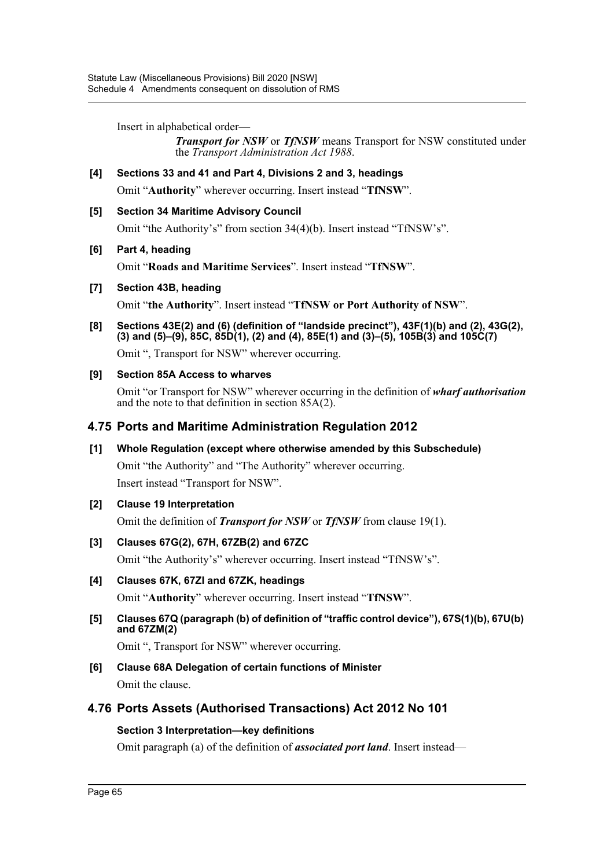Insert in alphabetical order—

*Transport for NSW* or *TfNSW* means Transport for NSW constituted under the *Transport Administration Act 1988*.

### **[4] Sections 33 and 41 and Part 4, Divisions 2 and 3, headings**

Omit "**Authority**" wherever occurring. Insert instead "**TfNSW**".

#### **[5] Section 34 Maritime Advisory Council**

Omit "the Authority's" from section 34(4)(b). Insert instead "TfNSW's".

#### **[6] Part 4, heading**

Omit "**Roads and Maritime Services**". Insert instead "**TfNSW**".

#### **[7] Section 43B, heading**

Omit "**the Authority**". Insert instead "**TfNSW or Port Authority of NSW**".

**[8] Sections 43E(2) and (6) (definition of "landside precinct"), 43F(1)(b) and (2), 43G(2), (3) and (5)–(9), 85C, 85D(1), (2) and (4), 85E(1) and (3)–(5), 105B(3) and 105C(7)**

Omit ", Transport for NSW" wherever occurring.

### **[9] Section 85A Access to wharves**

Omit "or Transport for NSW" wherever occurring in the definition of *wharf authorisation* and the note to that definition in section  $85A(2)$ .

### **4.75 Ports and Maritime Administration Regulation 2012**

### **[1] Whole Regulation (except where otherwise amended by this Subschedule)**

Omit "the Authority" and "The Authority" wherever occurring.

Insert instead "Transport for NSW".

### **[2] Clause 19 Interpretation**

Omit the definition of *Transport for NSW* or *TfNSW* from clause 19(1).

### **[3] Clauses 67G(2), 67H, 67ZB(2) and 67ZC**

Omit "the Authority's" wherever occurring. Insert instead "TfNSW's".

### **[4] Clauses 67K, 67ZI and 67ZK, headings**

Omit "**Authority**" wherever occurring. Insert instead "**TfNSW**".

**[5] Clauses 67Q (paragraph (b) of definition of "traffic control device"), 67S(1)(b), 67U(b) and 67ZM(2)**

Omit ", Transport for NSW" wherever occurring.

**[6] Clause 68A Delegation of certain functions of Minister** Omit the clause.

## **4.76 Ports Assets (Authorised Transactions) Act 2012 No 101**

### **Section 3 Interpretation—key definitions**

Omit paragraph (a) of the definition of *associated port land*. Insert instead—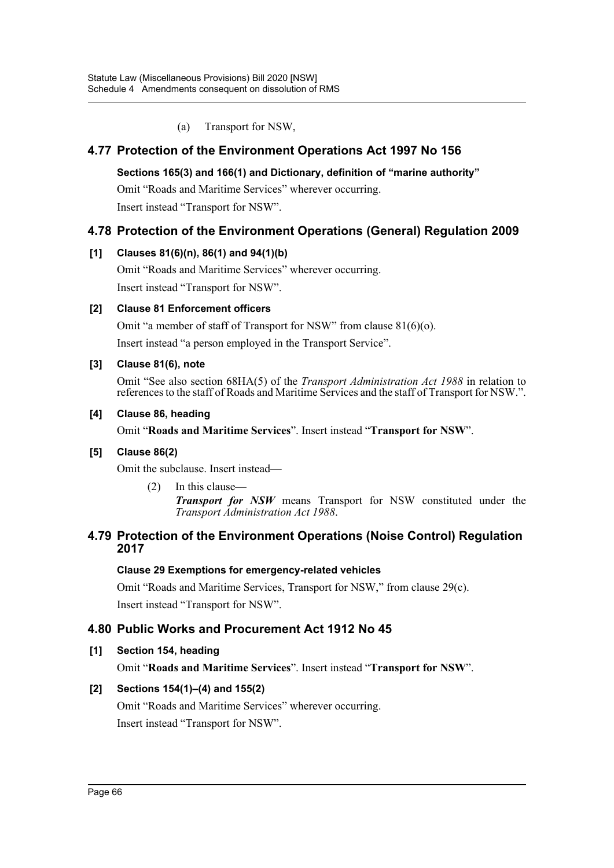(a) Transport for NSW,

# **4.77 Protection of the Environment Operations Act 1997 No 156**

### **Sections 165(3) and 166(1) and Dictionary, definition of "marine authority"**

Omit "Roads and Maritime Services" wherever occurring.

Insert instead "Transport for NSW".

## **4.78 Protection of the Environment Operations (General) Regulation 2009**

### **[1] Clauses 81(6)(n), 86(1) and 94(1)(b)**

Omit "Roads and Maritime Services" wherever occurring. Insert instead "Transport for NSW".

## **[2] Clause 81 Enforcement officers**

Omit "a member of staff of Transport for NSW" from clause 81(6)(o).

Insert instead "a person employed in the Transport Service".

### **[3] Clause 81(6), note**

Omit "See also section 68HA(5) of the *Transport Administration Act 1988* in relation to references to the staff of Roads and Maritime Services and the staff of Transport for NSW.".

### **[4] Clause 86, heading**

Omit "**Roads and Maritime Services**". Insert instead "**Transport for NSW**".

### **[5] Clause 86(2)**

Omit the subclause. Insert instead—

(2) In this clause— *Transport for NSW* means Transport for NSW constituted under the *Transport Administration Act 1988*.

### **4.79 Protection of the Environment Operations (Noise Control) Regulation 2017**

### **Clause 29 Exemptions for emergency-related vehicles**

Omit "Roads and Maritime Services, Transport for NSW," from clause 29(c).

Insert instead "Transport for NSW".

## **4.80 Public Works and Procurement Act 1912 No 45**

### **[1] Section 154, heading**

Omit "**Roads and Maritime Services**". Insert instead "**Transport for NSW**".

## **[2] Sections 154(1)–(4) and 155(2)**

Omit "Roads and Maritime Services" wherever occurring. Insert instead "Transport for NSW".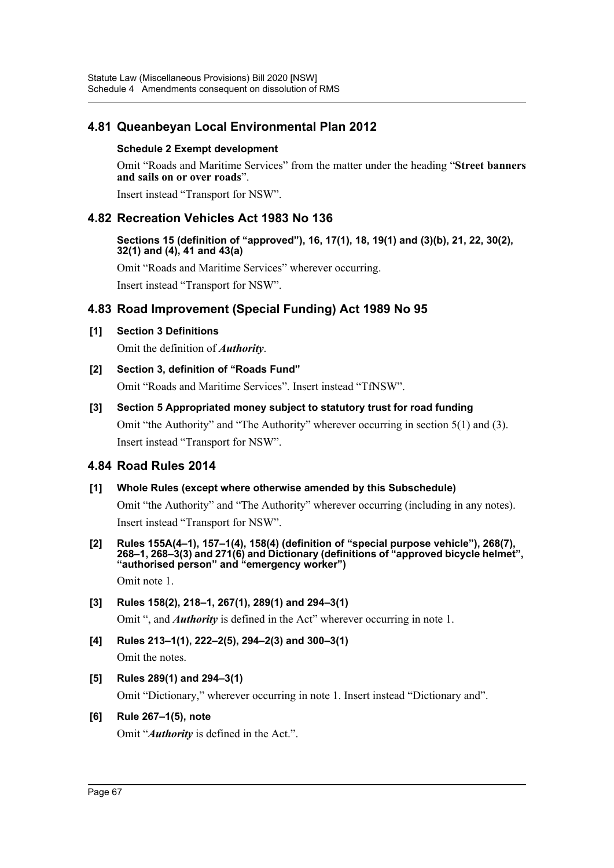## **4.81 Queanbeyan Local Environmental Plan 2012**

#### **Schedule 2 Exempt development**

Omit "Roads and Maritime Services" from the matter under the heading "**Street banners and sails on or over roads**".

Insert instead "Transport for NSW".

### **4.82 Recreation Vehicles Act 1983 No 136**

#### **Sections 15 (definition of "approved"), 16, 17(1), 18, 19(1) and (3)(b), 21, 22, 30(2), 32(1) and (4), 41 and 43(a)**

Omit "Roads and Maritime Services" wherever occurring.

Insert instead "Transport for NSW".

### **4.83 Road Improvement (Special Funding) Act 1989 No 95**

#### **[1] Section 3 Definitions**

Omit the definition of *Authority*.

**[2] Section 3, definition of "Roads Fund"**

Omit "Roads and Maritime Services". Insert instead "TfNSW".

### **[3] Section 5 Appropriated money subject to statutory trust for road funding** Omit "the Authority" and "The Authority" wherever occurring in section 5(1) and (3).

Insert instead "Transport for NSW".

### **4.84 Road Rules 2014**

### **[1] Whole Rules (except where otherwise amended by this Subschedule)**

Omit "the Authority" and "The Authority" wherever occurring (including in any notes). Insert instead "Transport for NSW".

**[2] Rules 155A(4–1), 157–1(4), 158(4) (definition of "special purpose vehicle"), 268(7), 268–1, 268–3(3) and 271(6) and Dictionary (definitions of "approved bicycle helmet", "authorised person" and "emergency worker")** 

Omit note 1.

### **[3] Rules 158(2), 218–1, 267(1), 289(1) and 294–3(1)**

Omit ", and *Authority* is defined in the Act" wherever occurring in note 1.

### **[4] Rules 213–1(1), 222–2(5), 294–2(3) and 300–3(1)**

Omit the notes.

### **[5] Rules 289(1) and 294–3(1)**

Omit "Dictionary," wherever occurring in note 1. Insert instead "Dictionary and".

#### **[6] Rule 267–1(5), note**

Omit "*Authority* is defined in the Act.".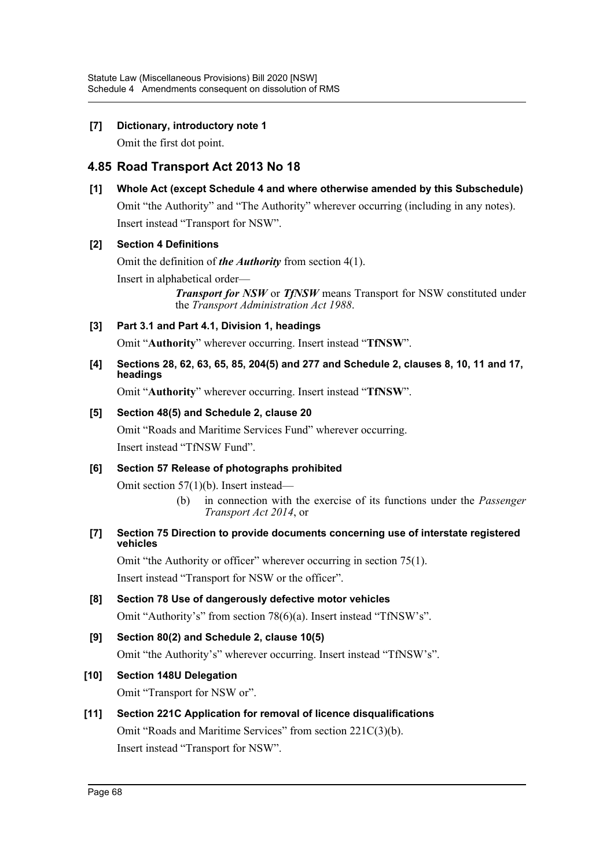### **[7] Dictionary, introductory note 1**

Omit the first dot point.

## **4.85 Road Transport Act 2013 No 18**

### **[1] Whole Act (except Schedule 4 and where otherwise amended by this Subschedule)**

Omit "the Authority" and "The Authority" wherever occurring (including in any notes). Insert instead "Transport for NSW".

### **[2] Section 4 Definitions**

Omit the definition of *the Authority* from section 4(1).

Insert in alphabetical order—

*Transport for NSW* or *TfNSW* means Transport for NSW constituted under the *Transport Administration Act 1988*.

### **[3] Part 3.1 and Part 4.1, Division 1, headings**

Omit "**Authority**" wherever occurring. Insert instead "**TfNSW**".

#### **[4] Sections 28, 62, 63, 65, 85, 204(5) and 277 and Schedule 2, clauses 8, 10, 11 and 17, headings**

Omit "**Authority**" wherever occurring. Insert instead "**TfNSW**".

### **[5] Section 48(5) and Schedule 2, clause 20**

Omit "Roads and Maritime Services Fund" wherever occurring. Insert instead "TfNSW Fund".

### **[6] Section 57 Release of photographs prohibited**

Omit section 57(1)(b). Insert instead—

(b) in connection with the exercise of its functions under the *Passenger Transport Act 2014*, or

#### **[7] Section 75 Direction to provide documents concerning use of interstate registered vehicles**

Omit "the Authority or officer" wherever occurring in section 75(1). Insert instead "Transport for NSW or the officer".

- **[8] Section 78 Use of dangerously defective motor vehicles** Omit "Authority's" from section 78(6)(a). Insert instead "TfNSW's".
- **[9] Section 80(2) and Schedule 2, clause 10(5)** Omit "the Authority's" wherever occurring. Insert instead "TfNSW's".

## **[10] Section 148U Delegation**

Omit "Transport for NSW or".

**[11] Section 221C Application for removal of licence disqualifications** Omit "Roads and Maritime Services" from section 221C(3)(b). Insert instead "Transport for NSW".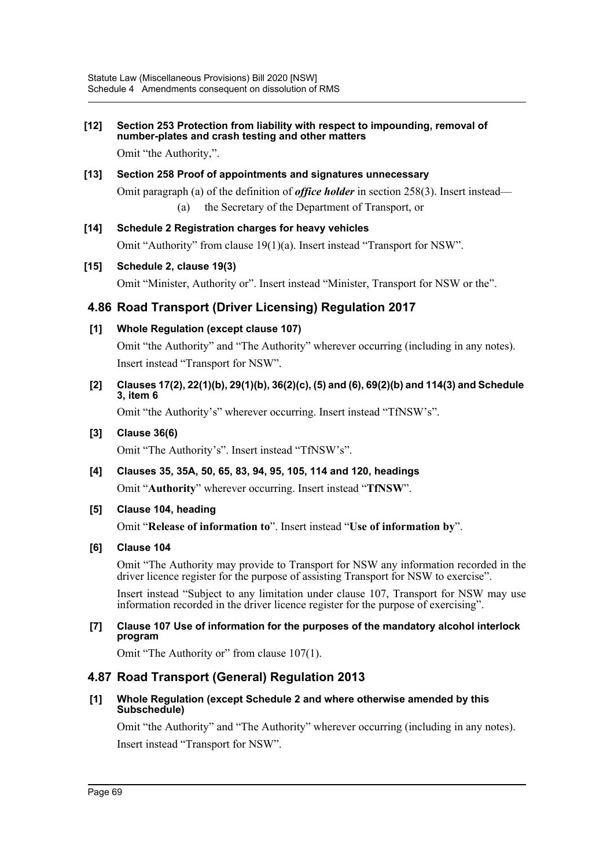## **[12] Section 253 Protection from liability with respect to impounding, removal of number-plates and crash testing and other matters**

Omit "the Authority,".

#### **[13] Section 258 Proof of appointments and signatures unnecessary**

Omit paragraph (a) of the definition of *office holder* in section 258(3). Insert instead—

- (a) the Secretary of the Department of Transport, or
- **[14] Schedule 2 Registration charges for heavy vehicles**

Omit "Authority" from clause 19(1)(a). Insert instead "Transport for NSW".

#### **[15] Schedule 2, clause 19(3)**

Omit "Minister, Authority or". Insert instead "Minister, Transport for NSW or the".

### **4.86 Road Transport (Driver Licensing) Regulation 2017**

#### **[1] Whole Regulation (except clause 107)**

Omit "the Authority" and "The Authority" wherever occurring (including in any notes). Insert instead "Transport for NSW".

### **[2] Clauses 17(2), 22(1)(b), 29(1)(b), 36(2)(c), (5) and (6), 69(2)(b) and 114(3) and Schedule 3, item 6**

Omit "the Authority's" wherever occurring. Insert instead "TfNSW's".

#### **[3] Clause 36(6)**

Omit "The Authority's". Insert instead "TfNSW's".

# **[4] Clauses 35, 35A, 50, 65, 83, 94, 95, 105, 114 and 120, headings**

Omit "**Authority**" wherever occurring. Insert instead "**TfNSW**".

### **[5] Clause 104, heading**

Omit "**Release of information to**". Insert instead "**Use of information by**".

#### **[6] Clause 104**

Omit "The Authority may provide to Transport for NSW any information recorded in the driver licence register for the purpose of assisting Transport for NSW to exercise".

Insert instead "Subject to any limitation under clause 107, Transport for NSW may use information recorded in the driver licence register for the purpose of exercising".

#### **[7] Clause 107 Use of information for the purposes of the mandatory alcohol interlock program**

Omit "The Authority or" from clause 107(1).

## **4.87 Road Transport (General) Regulation 2013**

#### **[1] Whole Regulation (except Schedule 2 and where otherwise amended by this Subschedule)**

Omit "the Authority" and "The Authority" wherever occurring (including in any notes). Insert instead "Transport for NSW".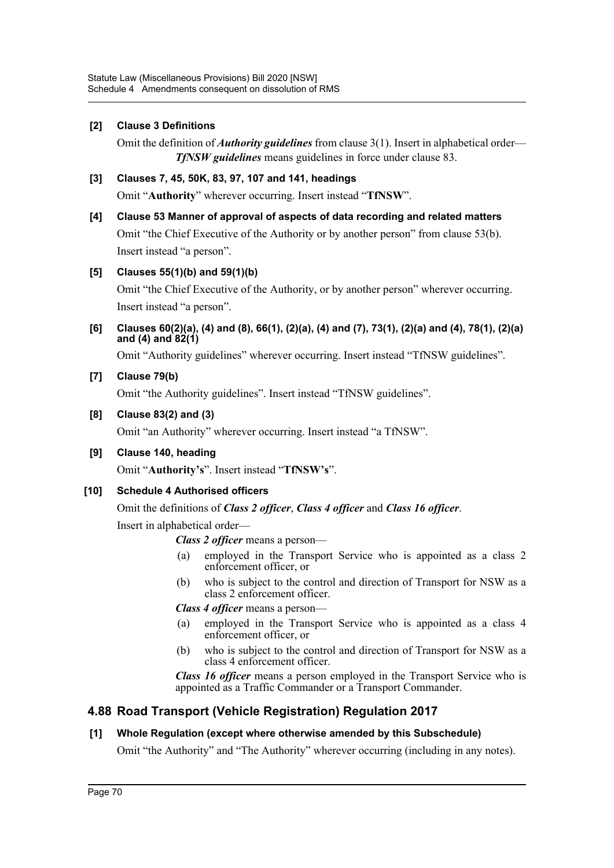### **[2] Clause 3 Definitions**

Omit the definition of *Authority guidelines* from clause 3(1). Insert in alphabetical order— *TfNSW guidelines* means guidelines in force under clause 83.

### **[3] Clauses 7, 45, 50K, 83, 97, 107 and 141, headings**

Omit "**Authority**" wherever occurring. Insert instead "**TfNSW**".

#### **[4] Clause 53 Manner of approval of aspects of data recording and related matters**

Omit "the Chief Executive of the Authority or by another person" from clause 53(b). Insert instead "a person".

### **[5] Clauses 55(1)(b) and 59(1)(b)**

Omit "the Chief Executive of the Authority, or by another person" wherever occurring. Insert instead "a person".

**[6] Clauses 60(2)(a), (4) and (8), 66(1), (2)(a), (4) and (7), 73(1), (2)(a) and (4), 78(1), (2)(a) and (4) and 82(1)**

Omit "Authority guidelines" wherever occurring. Insert instead "TfNSW guidelines".

### **[7] Clause 79(b)**

Omit "the Authority guidelines". Insert instead "TfNSW guidelines".

#### **[8] Clause 83(2) and (3)**

Omit "an Authority" wherever occurring. Insert instead "a TfNSW".

**[9] Clause 140, heading**

Omit "**Authority's**". Insert instead "**TfNSW's**".

### **[10] Schedule 4 Authorised officers**

#### Omit the definitions of *Class 2 officer*, *Class 4 officer* and *Class 16 officer*.

Insert in alphabetical order—

*Class 2 officer* means a person—

- (a) employed in the Transport Service who is appointed as a class 2 enforcement officer, or
- (b) who is subject to the control and direction of Transport for NSW as a class 2 enforcement officer.

*Class 4 officer* means a person—

- (a) employed in the Transport Service who is appointed as a class 4 enforcement officer, or
- (b) who is subject to the control and direction of Transport for NSW as a class 4 enforcement officer.

*Class 16 officer* means a person employed in the Transport Service who is appointed as a Traffic Commander or a Transport Commander.

## **4.88 Road Transport (Vehicle Registration) Regulation 2017**

#### **[1] Whole Regulation (except where otherwise amended by this Subschedule)**

Omit "the Authority" and "The Authority" wherever occurring (including in any notes).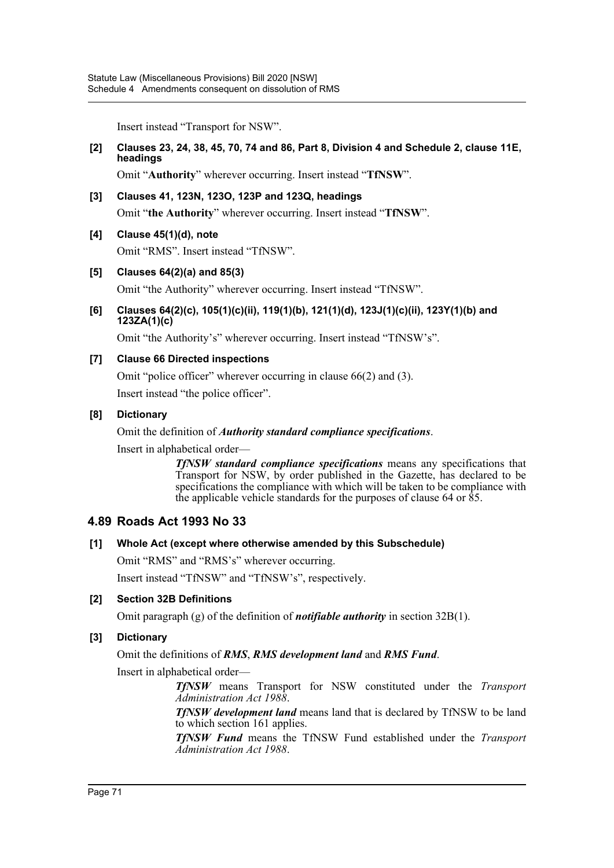Insert instead "Transport for NSW".

#### **[2] Clauses 23, 24, 38, 45, 70, 74 and 86, Part 8, Division 4 and Schedule 2, clause 11E, headings**

Omit "**Authority**" wherever occurring. Insert instead "**TfNSW**".

#### **[3] Clauses 41, 123N, 123O, 123P and 123Q, headings**

Omit "**the Authority**" wherever occurring. Insert instead "**TfNSW**".

#### **[4] Clause 45(1)(d), note**

Omit "RMS". Insert instead "TfNSW".

#### **[5] Clauses 64(2)(a) and 85(3)**

Omit "the Authority" wherever occurring. Insert instead "TfNSW".

#### **[6] Clauses 64(2)(c), 105(1)(c)(ii), 119(1)(b), 121(1)(d), 123J(1)(c)(ii), 123Y(1)(b) and 123ZA(1)(c)**

Omit "the Authority's" wherever occurring. Insert instead "TfNSW's".

#### **[7] Clause 66 Directed inspections**

Omit "police officer" wherever occurring in clause 66(2) and (3).

Insert instead "the police officer".

#### **[8] Dictionary**

#### Omit the definition of *Authority standard compliance specifications*.

Insert in alphabetical order—

*TfNSW standard compliance specifications* means any specifications that Transport for NSW, by order published in the Gazette, has declared to be specifications the compliance with which will be taken to be compliance with the applicable vehicle standards for the purposes of clause 64 or 85.

### **4.89 Roads Act 1993 No 33**

#### **[1] Whole Act (except where otherwise amended by this Subschedule)**

Omit "RMS" and "RMS's" wherever occurring.

Insert instead "TfNSW" and "TfNSW's", respectively.

### **[2] Section 32B Definitions**

Omit paragraph (g) of the definition of *notifiable authority* in section 32B(1).

### **[3] Dictionary**

Omit the definitions of *RMS*, *RMS development land* and *RMS Fund*.

Insert in alphabetical order—

*TfNSW* means Transport for NSW constituted under the *Transport Administration Act 1988*.

*TfNSW development land* means land that is declared by TfNSW to be land to which section 161 applies.

*TfNSW Fund* means the TfNSW Fund established under the *Transport Administration Act 1988*.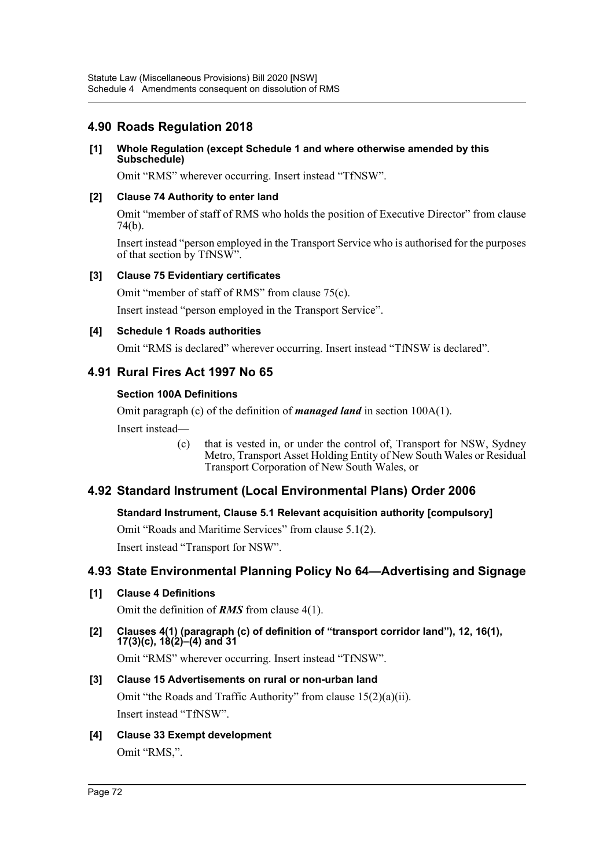## **4.90 Roads Regulation 2018**

### **[1] Whole Regulation (except Schedule 1 and where otherwise amended by this Subschedule)**

Omit "RMS" wherever occurring. Insert instead "TfNSW".

### **[2] Clause 74 Authority to enter land**

Omit "member of staff of RMS who holds the position of Executive Director" from clause 74(b).

Insert instead "person employed in the Transport Service who is authorised for the purposes of that section by TfNSW".

### **[3] Clause 75 Evidentiary certificates**

Omit "member of staff of RMS" from clause 75(c).

Insert instead "person employed in the Transport Service".

### **[4] Schedule 1 Roads authorities**

Omit "RMS is declared" wherever occurring. Insert instead "TfNSW is declared".

## **4.91 Rural Fires Act 1997 No 65**

### **Section 100A Definitions**

Omit paragraph (c) of the definition of *managed land* in section 100A(1).

Insert instead—

(c) that is vested in, or under the control of, Transport for NSW, Sydney Metro, Transport Asset Holding Entity of New South Wales or Residual Transport Corporation of New South Wales, or

## **4.92 Standard Instrument (Local Environmental Plans) Order 2006**

### **Standard Instrument, Clause 5.1 Relevant acquisition authority [compulsory]**

Omit "Roads and Maritime Services" from clause 5.1(2).

Insert instead "Transport for NSW".

## **4.93 State Environmental Planning Policy No 64—Advertising and Signage**

### **[1] Clause 4 Definitions**

Omit the definition of *RMS* from clause 4(1).

**[2] Clauses 4(1) (paragraph (c) of definition of "transport corridor land"), 12, 16(1), 17(3)(c), 18(2)–(4) and 31**

Omit "RMS" wherever occurring. Insert instead "TfNSW".

## **[3] Clause 15 Advertisements on rural or non-urban land** Omit "the Roads and Traffic Authority" from clause 15(2)(a)(ii). Insert instead "TfNSW".

**[4] Clause 33 Exempt development** Omit "RMS,".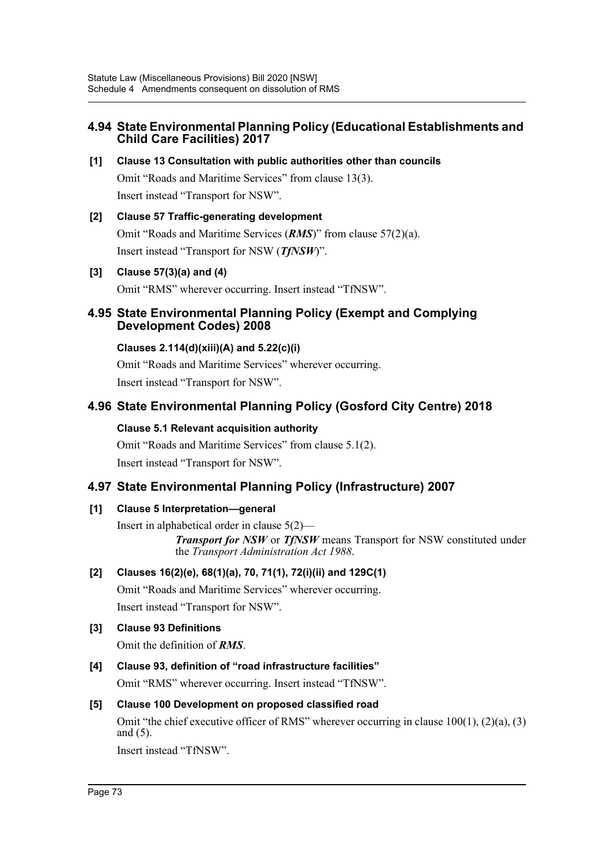## **4.94 State Environmental Planning Policy (Educational Establishments and Child Care Facilities) 2017**

- **[1] Clause 13 Consultation with public authorities other than councils** Omit "Roads and Maritime Services" from clause 13(3). Insert instead "Transport for NSW".
- **[2] Clause 57 Traffic-generating development** Omit "Roads and Maritime Services (*RMS*)" from clause 57(2)(a). Insert instead "Transport for NSW (*TfNSW*)".
- **[3] Clause 57(3)(a) and (4)**

Omit "RMS" wherever occurring. Insert instead "TfNSW".

## **4.95 State Environmental Planning Policy (Exempt and Complying Development Codes) 2008**

### **Clauses 2.114(d)(xiii)(A) and 5.22(c)(i)**

Omit "Roads and Maritime Services" wherever occurring. Insert instead "Transport for NSW".

## **4.96 State Environmental Planning Policy (Gosford City Centre) 2018**

### **Clause 5.1 Relevant acquisition authority**

Omit "Roads and Maritime Services" from clause 5.1(2). Insert instead "Transport for NSW".

## **4.97 State Environmental Planning Policy (Infrastructure) 2007**

### **[1] Clause 5 Interpretation—general**

Insert in alphabetical order in clause 5(2)— *Transport for NSW* or *TfNSW* means Transport for NSW constituted under the *Transport Administration Act 1988*.

## **[2] Clauses 16(2)(e), 68(1)(a), 70, 71(1), 72(i)(ii) and 129C(1)**

Omit "Roads and Maritime Services" wherever occurring. Insert instead "Transport for NSW".

## **[3] Clause 93 Definitions**

Omit the definition of *RMS*.

## **[4] Clause 93, definition of "road infrastructure facilities"**

Omit "RMS" wherever occurring. Insert instead "TfNSW".

### **[5] Clause 100 Development on proposed classified road**

Omit "the chief executive officer of RMS" wherever occurring in clause  $100(1)$ ,  $(2)(a)$ ,  $(3)$ and (5).

Insert instead "TfNSW".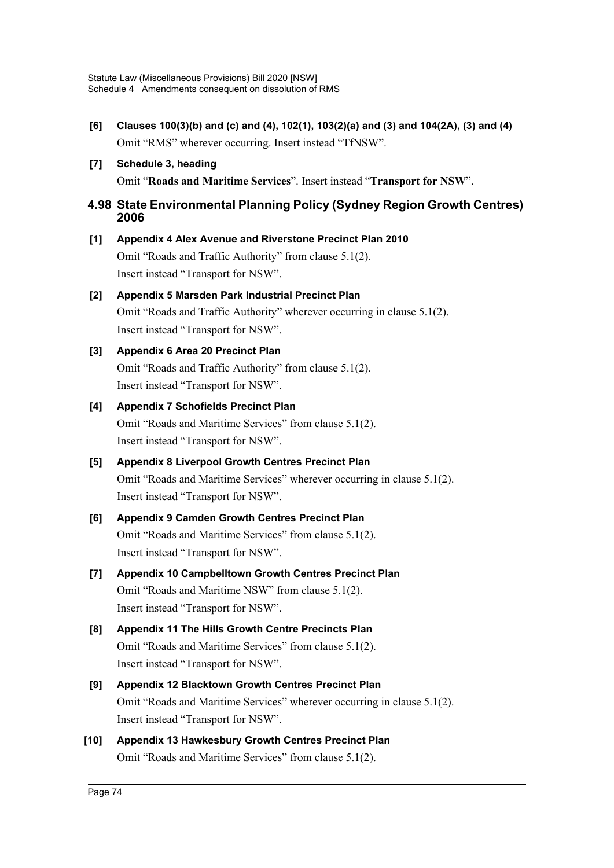- **[6] Clauses 100(3)(b) and (c) and (4), 102(1), 103(2)(a) and (3) and 104(2A), (3) and (4)** Omit "RMS" wherever occurring. Insert instead "TfNSW".
- **[7] Schedule 3, heading**

Omit "**Roads and Maritime Services**". Insert instead "**Transport for NSW**".

### **4.98 State Environmental Planning Policy (Sydney Region Growth Centres) 2006**

**[1] Appendix 4 Alex Avenue and Riverstone Precinct Plan 2010** Omit "Roads and Traffic Authority" from clause 5.1(2). Insert instead "Transport for NSW".

# **[2] Appendix 5 Marsden Park Industrial Precinct Plan**

Omit "Roads and Traffic Authority" wherever occurring in clause 5.1(2). Insert instead "Transport for NSW".

## **[3] Appendix 6 Area 20 Precinct Plan**

Omit "Roads and Traffic Authority" from clause 5.1(2). Insert instead "Transport for NSW".

## **[4] Appendix 7 Schofields Precinct Plan**

Omit "Roads and Maritime Services" from clause 5.1(2). Insert instead "Transport for NSW".

## **[5] Appendix 8 Liverpool Growth Centres Precinct Plan** Omit "Roads and Maritime Services" wherever occurring in clause 5.1(2).

Insert instead "Transport for NSW".

# **[6] Appendix 9 Camden Growth Centres Precinct Plan**

Omit "Roads and Maritime Services" from clause 5.1(2). Insert instead "Transport for NSW".

**[7] Appendix 10 Campbelltown Growth Centres Precinct Plan** Omit "Roads and Maritime NSW" from clause 5.1(2). Insert instead "Transport for NSW".

# **[8] Appendix 11 The Hills Growth Centre Precincts Plan** Omit "Roads and Maritime Services" from clause 5.1(2). Insert instead "Transport for NSW".

# **[9] Appendix 12 Blacktown Growth Centres Precinct Plan** Omit "Roads and Maritime Services" wherever occurring in clause 5.1(2). Insert instead "Transport for NSW".

**[10] Appendix 13 Hawkesbury Growth Centres Precinct Plan** Omit "Roads and Maritime Services" from clause 5.1(2).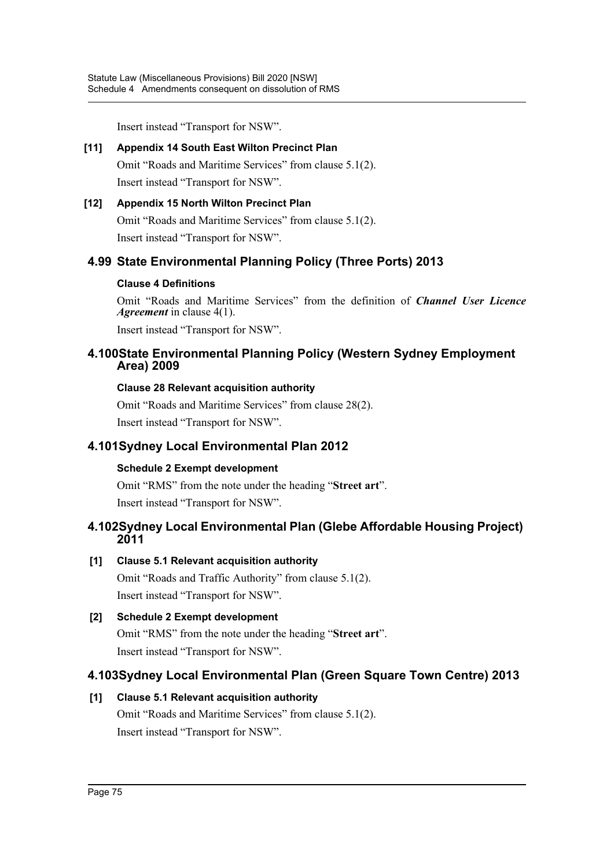Insert instead "Transport for NSW".

## **[11] Appendix 14 South East Wilton Precinct Plan**

Omit "Roads and Maritime Services" from clause 5.1(2). Insert instead "Transport for NSW".

## **[12] Appendix 15 North Wilton Precinct Plan** Omit "Roads and Maritime Services" from clause 5.1(2). Insert instead "Transport for NSW".

## **4.99 State Environmental Planning Policy (Three Ports) 2013**

### **Clause 4 Definitions**

Omit "Roads and Maritime Services" from the definition of *Channel User Licence Agreement* in clause 4(1).

Insert instead "Transport for NSW".

## **4.100State Environmental Planning Policy (Western Sydney Employment Area) 2009**

### **Clause 28 Relevant acquisition authority**

Omit "Roads and Maritime Services" from clause 28(2). Insert instead "Transport for NSW".

## **4.101Sydney Local Environmental Plan 2012**

## **Schedule 2 Exempt development**

Omit "RMS" from the note under the heading "**Street art**". Insert instead "Transport for NSW".

## **4.102Sydney Local Environmental Plan (Glebe Affordable Housing Project) 2011**

## **[1] Clause 5.1 Relevant acquisition authority**

Omit "Roads and Traffic Authority" from clause 5.1(2). Insert instead "Transport for NSW".

**[2] Schedule 2 Exempt development** Omit "RMS" from the note under the heading "**Street art**". Insert instead "Transport for NSW".

## **4.103Sydney Local Environmental Plan (Green Square Town Centre) 2013**

## **[1] Clause 5.1 Relevant acquisition authority** Omit "Roads and Maritime Services" from clause 5.1(2). Insert instead "Transport for NSW".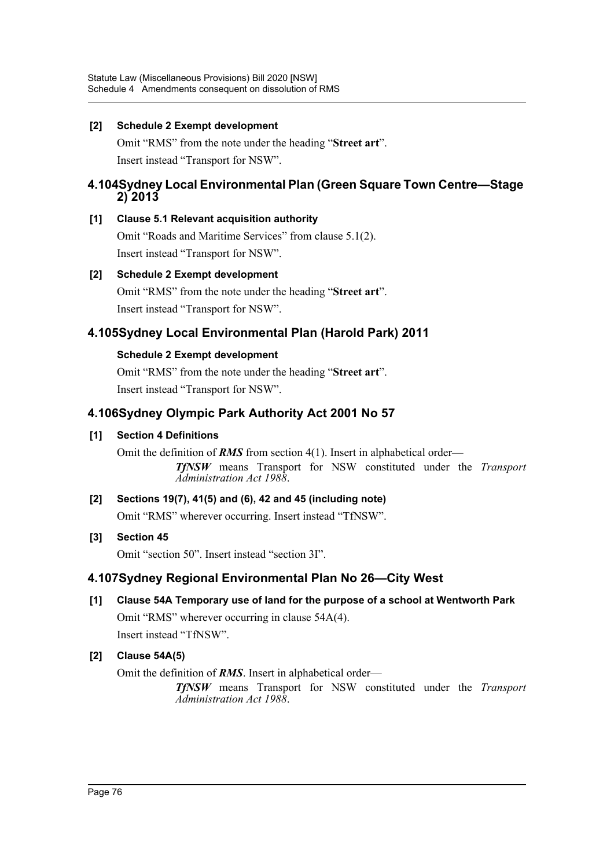### **[2] Schedule 2 Exempt development**

Omit "RMS" from the note under the heading "**Street art**". Insert instead "Transport for NSW".

## **4.104Sydney Local Environmental Plan (Green Square Town Centre—Stage 2) 2013**

## **[1] Clause 5.1 Relevant acquisition authority**

Omit "Roads and Maritime Services" from clause 5.1(2). Insert instead "Transport for NSW".

## **[2] Schedule 2 Exempt development**

Omit "RMS" from the note under the heading "**Street art**". Insert instead "Transport for NSW".

# **4.105Sydney Local Environmental Plan (Harold Park) 2011**

## **Schedule 2 Exempt development**

Omit "RMS" from the note under the heading "**Street art**". Insert instead "Transport for NSW".

# **4.106Sydney Olympic Park Authority Act 2001 No 57**

## **[1] Section 4 Definitions**

Omit the definition of *RMS* from section 4(1). Insert in alphabetical order— *TfNSW* means Transport for NSW constituted under the *Transport Administration Act 1988*.

## **[2] Sections 19(7), 41(5) and (6), 42 and 45 (including note)** Omit "RMS" wherever occurring. Insert instead "TfNSW".

## **[3] Section 45**

Omit "section 50". Insert instead "section 3I".

## **4.107Sydney Regional Environmental Plan No 26—City West**

# **[1] Clause 54A Temporary use of land for the purpose of a school at Wentworth Park**

Omit "RMS" wherever occurring in clause 54A(4). Insert instead "TfNSW".

## **[2] Clause 54A(5)**

Omit the definition of *RMS*. Insert in alphabetical order—

*TfNSW* means Transport for NSW constituted under the *Transport Administration Act 1988*.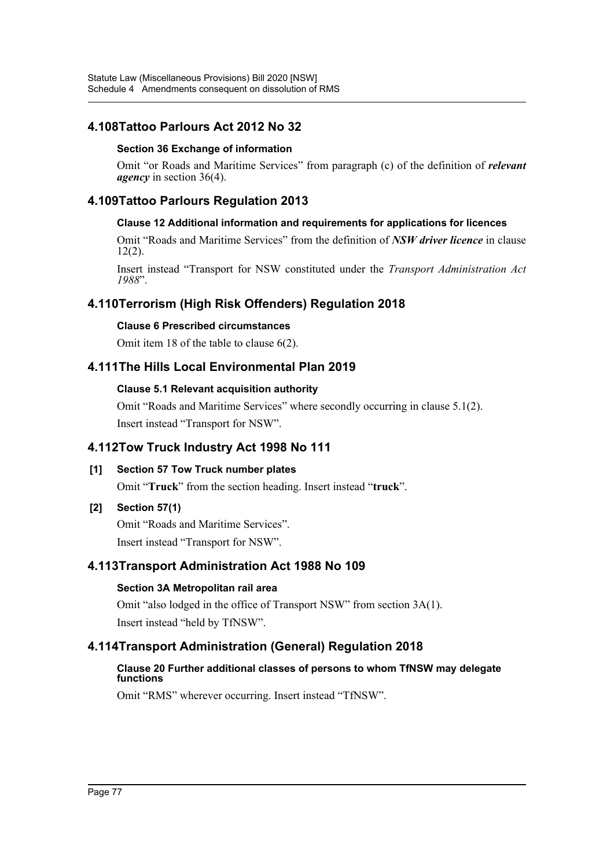## **4.108Tattoo Parlours Act 2012 No 32**

### **Section 36 Exchange of information**

Omit "or Roads and Maritime Services" from paragraph (c) of the definition of *relevant agency* in section 36(4).

## **4.109Tattoo Parlours Regulation 2013**

### **Clause 12 Additional information and requirements for applications for licences**

Omit "Roads and Maritime Services" from the definition of *NSW driver licence* in clause 12(2).

Insert instead "Transport for NSW constituted under the *Transport Administration Act 1988*".

## **4.110Terrorism (High Risk Offenders) Regulation 2018**

### **Clause 6 Prescribed circumstances**

Omit item 18 of the table to clause 6(2).

## **4.111The Hills Local Environmental Plan 2019**

### **Clause 5.1 Relevant acquisition authority**

Omit "Roads and Maritime Services" where secondly occurring in clause 5.1(2). Insert instead "Transport for NSW".

## **4.112Tow Truck Industry Act 1998 No 111**

### **[1] Section 57 Tow Truck number plates**

Omit "**Truck**" from the section heading. Insert instead "**truck**".

### **[2] Section 57(1)**

Omit "Roads and Maritime Services". Insert instead "Transport for NSW".

## **4.113Transport Administration Act 1988 No 109**

### **Section 3A Metropolitan rail area**

Omit "also lodged in the office of Transport NSW" from section 3A(1). Insert instead "held by TfNSW".

## **4.114Transport Administration (General) Regulation 2018**

### **Clause 20 Further additional classes of persons to whom TfNSW may delegate functions**

Omit "RMS" wherever occurring. Insert instead "TfNSW".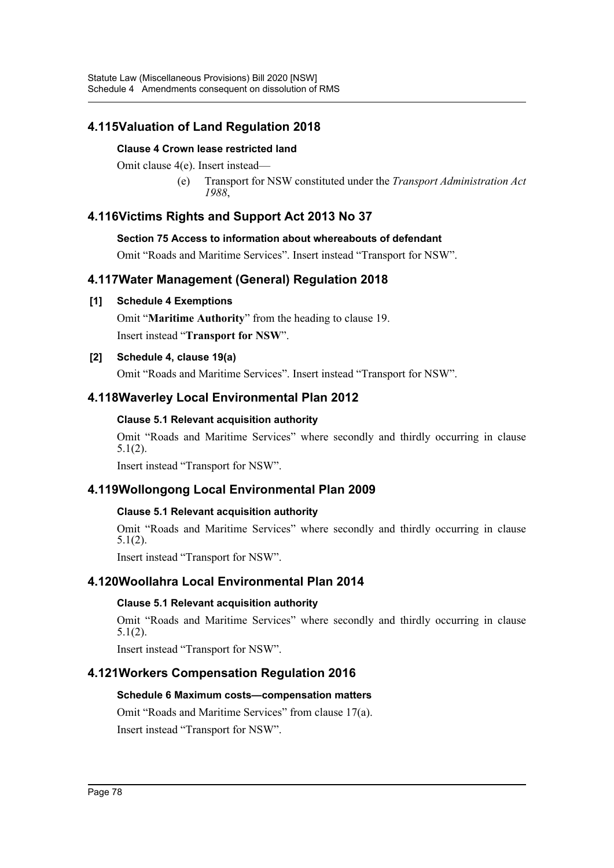## **4.115Valuation of Land Regulation 2018**

### **Clause 4 Crown lease restricted land**

Omit clause 4(e). Insert instead—

(e) Transport for NSW constituted under the *Transport Administration Act 1988*,

## **4.116Victims Rights and Support Act 2013 No 37**

### **Section 75 Access to information about whereabouts of defendant**

Omit "Roads and Maritime Services". Insert instead "Transport for NSW".

## **4.117Water Management (General) Regulation 2018**

### **[1] Schedule 4 Exemptions**

Omit "**Maritime Authority**" from the heading to clause 19. Insert instead "**Transport for NSW**".

### **[2] Schedule 4, clause 19(a)**

Omit "Roads and Maritime Services". Insert instead "Transport for NSW".

## **4.118Waverley Local Environmental Plan 2012**

### **Clause 5.1 Relevant acquisition authority**

Omit "Roads and Maritime Services" where secondly and thirdly occurring in clause 5.1(2).

Insert instead "Transport for NSW".

## **4.119Wollongong Local Environmental Plan 2009**

### **Clause 5.1 Relevant acquisition authority**

Omit "Roads and Maritime Services" where secondly and thirdly occurring in clause 5.1(2).

Insert instead "Transport for NSW".

## **4.120Woollahra Local Environmental Plan 2014**

### **Clause 5.1 Relevant acquisition authority**

Omit "Roads and Maritime Services" where secondly and thirdly occurring in clause 5.1(2).

Insert instead "Transport for NSW".

## **4.121Workers Compensation Regulation 2016**

### **Schedule 6 Maximum costs—compensation matters**

Omit "Roads and Maritime Services" from clause 17(a). Insert instead "Transport for NSW".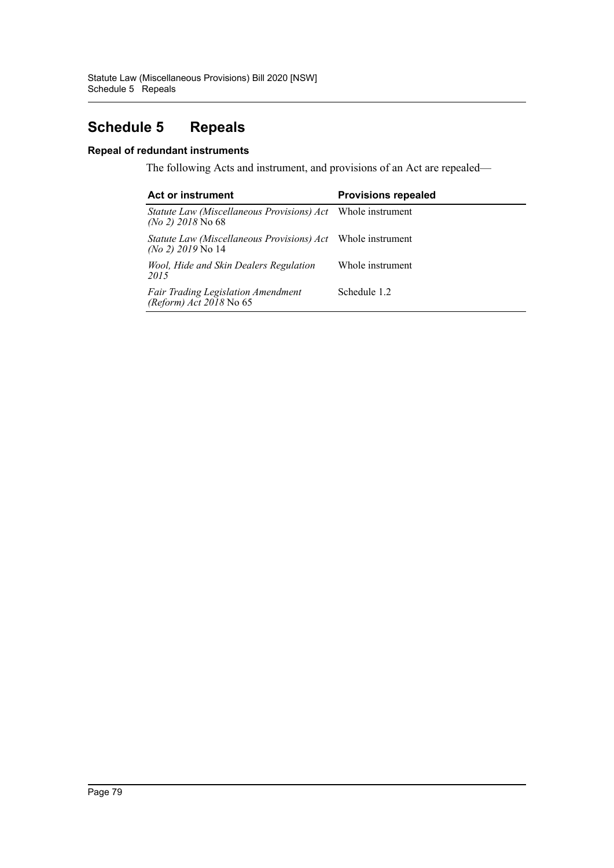# **Schedule 5 Repeals**

### **Repeal of redundant instruments**

The following Acts and instrument, and provisions of an Act are repealed—

| <b>Act or instrument</b>                                                                  | <b>Provisions repealed</b> |
|-------------------------------------------------------------------------------------------|----------------------------|
| Statute Law (Miscellaneous Provisions) Act Whole instrument<br>$(No 2)$ 2018 No 68        |                            |
| <i>Statute Law (Miscellaneous Provisions) Act</i> Whole instrument<br>$(No 2)$ 2019 No 14 |                            |
| Wool, Hide and Skin Dealers Regulation<br>2015                                            | Whole instrument           |
| <b>Fair Trading Legislation Amendment</b><br>(Reform) $Act 2018$ No 65                    | Schedule 1.2               |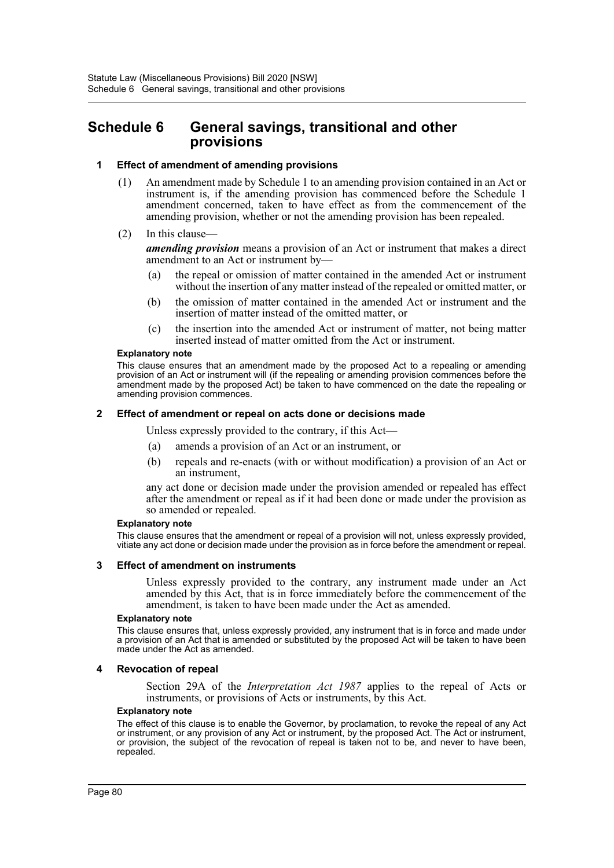# **Schedule 6 General savings, transitional and other provisions**

### **1 Effect of amendment of amending provisions**

- (1) An amendment made by Schedule 1 to an amending provision contained in an Act or instrument is, if the amending provision has commenced before the Schedule 1 amendment concerned, taken to have effect as from the commencement of the amending provision, whether or not the amending provision has been repealed.
- (2) In this clause—

*amending provision* means a provision of an Act or instrument that makes a direct amendment to an Act or instrument by—

- (a) the repeal or omission of matter contained in the amended Act or instrument without the insertion of any matter instead of the repealed or omitted matter, or
- (b) the omission of matter contained in the amended Act or instrument and the insertion of matter instead of the omitted matter, or
- (c) the insertion into the amended Act or instrument of matter, not being matter inserted instead of matter omitted from the Act or instrument.

#### **Explanatory note**

This clause ensures that an amendment made by the proposed Act to a repealing or amending provision of an Act or instrument will (if the repealing or amending provision commences before the amendment made by the proposed Act) be taken to have commenced on the date the repealing or amending provision commences.

### **2 Effect of amendment or repeal on acts done or decisions made**

Unless expressly provided to the contrary, if this Act—

- (a) amends a provision of an Act or an instrument, or
- (b) repeals and re-enacts (with or without modification) a provision of an Act or an instrument,

any act done or decision made under the provision amended or repealed has effect after the amendment or repeal as if it had been done or made under the provision as so amended or repealed.

#### **Explanatory note**

This clause ensures that the amendment or repeal of a provision will not, unless expressly provided, vitiate any act done or decision made under the provision as in force before the amendment or repeal.

### **3 Effect of amendment on instruments**

Unless expressly provided to the contrary, any instrument made under an Act amended by this Act, that is in force immediately before the commencement of the amendment, is taken to have been made under the Act as amended.

#### **Explanatory note**

This clause ensures that, unless expressly provided, any instrument that is in force and made under a provision of an Act that is amended or substituted by the proposed Act will be taken to have been made under the Act as amended.

### **4 Revocation of repeal**

Section 29A of the *Interpretation Act 1987* applies to the repeal of Acts or instruments, or provisions of Acts or instruments, by this Act.

#### **Explanatory note**

The effect of this clause is to enable the Governor, by proclamation, to revoke the repeal of any Act or instrument, or any provision of any Act or instrument, by the proposed Act. The Act or instrument, or provision, the subject of the revocation of repeal is taken not to be, and never to have been, repealed.